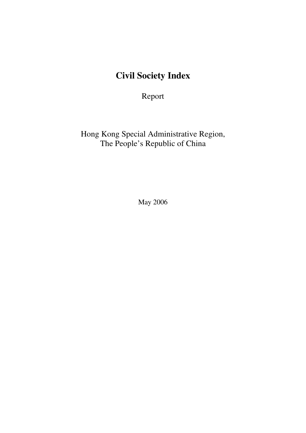# **Civil Society Index**

Report

Hong Kong Special Administrative Region, The People's Republic of China

May 2006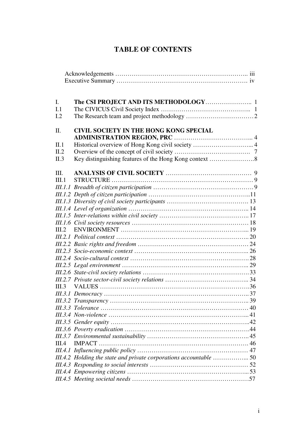# **TABLE OF CONTENTS**

| I.         |                                                                   |
|------------|-------------------------------------------------------------------|
| I.1<br>I.2 |                                                                   |
|            |                                                                   |
| II.        | <b>CIVIL SOCIETY IN THE HONG KONG SPECIAL</b>                     |
| II.1       | Historical overview of Hong Kong civil society  4                 |
| II.2       |                                                                   |
| II.3       |                                                                   |
| III.       |                                                                   |
| III.1      |                                                                   |
|            |                                                                   |
|            |                                                                   |
|            |                                                                   |
|            |                                                                   |
|            |                                                                   |
|            |                                                                   |
| III.2      |                                                                   |
|            |                                                                   |
|            |                                                                   |
|            |                                                                   |
|            |                                                                   |
|            |                                                                   |
|            |                                                                   |
|            |                                                                   |
| III.3      |                                                                   |
|            |                                                                   |
|            |                                                                   |
|            |                                                                   |
|            |                                                                   |
|            |                                                                   |
|            |                                                                   |
|            |                                                                   |
| III.4      |                                                                   |
|            |                                                                   |
|            | III.4.2 Holding the state and private corporations accountable 50 |
|            |                                                                   |
|            |                                                                   |
|            |                                                                   |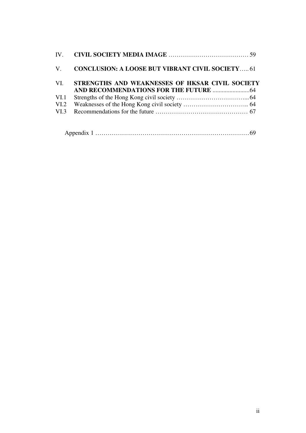|      | V. CONCLUSION: A LOOSE BUT VIBRANT CIVIL SOCIETY 61 |  |
|------|-----------------------------------------------------|--|
| VI.  | STRENGTHS AND WEAKNESSES OF HKSAR CIVIL SOCIETY     |  |
|      |                                                     |  |
| VI.1 |                                                     |  |
| VI.2 |                                                     |  |
| VI.3 |                                                     |  |
|      |                                                     |  |
|      |                                                     |  |

|--|--|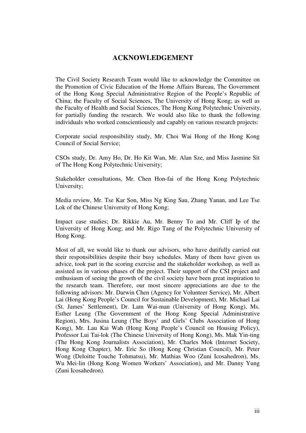## **ACKNOWLEDGEMENT**

The Civil Society Research Team would like to acknowledge the Committee on the Promotion of Civic Education of the Home Affairs Bureau, The Government of the Hong Kong Special Administrative Region of the People's Republic of China; the Faculty of Social Sciences, The University of Hong Kong; as well as the Faculty of Health and Social Sciences, The Hong Kong Polytechnic University, for partially funding the research. We would also like to thank the following individuals who worked conscientiously and capably on various research projects:

Corporate social responsibility study, Mr. Choi Wai Hong of the Hong Kong Council of Social Service;

CSOs study, Dr. Amy Ho, Dr. Ho Kit Wan, Mr. Alan Sze, and Miss Jasmine Sit of The Hong Kong Polytechnic University;

Stakeholder consultations, Mr. Chen Hon-fai of the Hong Kong Polytechnic University;

Media review, Mr. Tse Kar Son, Miss Ng King Sau, Zhang Yanan, and Lee Tse Lok of the Chinese University of Hong Kong;

Impact case studies; Dr. Rikkie Au, Mr. Benny To and Mr. Cliff Ip of the University of Hong Kong; and Mr. Rigo Tang of the Polytechnic University of Hong Kong.

Most of all, we would like to thank our advisors, who have dutifully carried out their responsibilities despite their busy schedules. Many of them have given us advice, took part in the scoring exercise and the stakeholder workshop, as well as assisted us in various phases of the project. Their support of the CSI project and enthusiasm of seeing the growth of the civil society have been great inspiration to the research team. Therefore, our most sincere appreciations are due to the following advisors: Mr. Darwin Chen (Agency for Volunteer Service), Mr. Albert Lai (Hong Kong People's Council for Sustainable Development), Mr. Michael Lai (St. James' Settlement), Dr. Lam Wai-man (University of Hong Kong), Ms. Esther Leung (The Government of the Hong Kong Special Administrative Region), Mrs. Jusina Leung (The Boys' and Girls' Clubs Association of Hong Kong), Mr. Lau Kai Wah (Hong Kong People's Council on Housing Policy), Professor Lui Tai-lok (The Chinese University of Hong Kong), Ms. Mak Yin-ting (The Hong Kong Journalists Association), Mr. Charles Mok (Internet Society, Hong Kong Chapter), Mr. Eric So (Hong Kong Christian Council), Mr. Peter Wong (Deloitte Touche Tohmatsu), Mr. Mathias Woo (Zuni Icosahedron), Ms. Wu Mei-lin (Hong Kong Women Workers' Association), and Mr. Danny Yung (Zuni Icosahedron).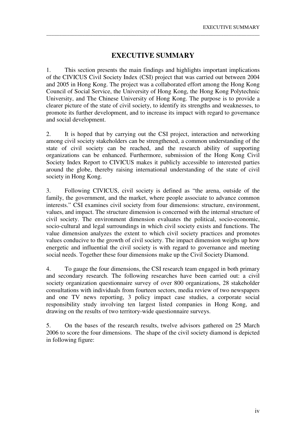# **EXECUTIVE SUMMARY**

\_\_\_\_\_\_\_\_\_\_\_\_\_\_\_\_\_\_\_\_\_\_\_\_\_\_\_\_\_\_\_\_\_\_\_\_\_\_\_\_\_\_\_\_\_\_\_\_\_\_\_\_\_\_\_\_\_\_\_\_\_\_\_\_\_\_\_\_\_\_\_\_\_\_\_\_\_\_\_\_\_\_\_

1. This section presents the main findings and highlights important implications of the CIVICUS Civil Society Index (CSI) project that was carried out between 2004 and 2005 in Hong Kong. The project was a collaborated effort among the Hong Kong Council of Social Service, the University of Hong Kong, the Hong Kong Polytechnic University, and The Chinese University of Hong Kong. The purpose is to provide a clearer picture of the state of civil society, to identify its strengths and weaknesses, to promote its further development, and to increase its impact with regard to governance and social development.

2. It is hoped that by carrying out the CSI project, interaction and networking among civil society stakeholders can be strengthened, a common understanding of the state of civil society can be reached, and the research ability of supporting organizations can be enhanced. Furthermore, submission of the Hong Kong Civil Society Index Report to CIVICUS makes it publicly accessible to interested parties around the globe, thereby raising international understanding of the state of civil society in Hong Kong.

3. Following CIVICUS, civil society is defined as "the arena, outside of the family, the government, and the market, where people associate to advance common interests." CSI examines civil society from four dimensions: structure, environment, values, and impact. The structure dimension is concerned with the internal structure of civil society. The environment dimension evaluates the political, socio-economic, socio-cultural and legal surroundings in which civil society exists and functions. The value dimension analyzes the extent to which civil society practices and promotes values conducive to the growth of civil society. The impact dimension weighs up how energetic and influential the civil society is with regard to governance and meeting social needs. Together these four dimensions make up the Civil Society Diamond.

4. To gauge the four dimensions, the CSI research team engaged in both primary and secondary research. The following researches have been carried out: a civil society organization questionnaire survey of over 800 organizations, 28 stakeholder consultations with individuals from fourteen sectors, media review of two newspapers and one TV news reporting, 3 policy impact case studies, a corporate social responsibility study involving ten largest listed companies in Hong Kong, and drawing on the results of two territory-wide questionnaire surveys.

5. On the bases of the research results, twelve advisors gathered on 25 March 2006 to score the four dimensions. The shape of the civil society diamond is depicted in following figure: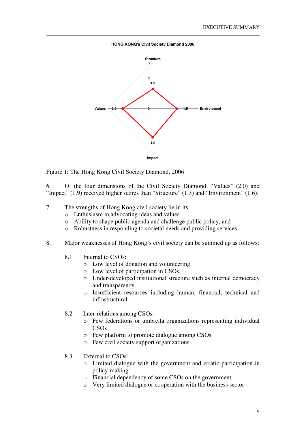**HONG KONG's Civil Society Diamond 2006**

\_\_\_\_\_\_\_\_\_\_\_\_\_\_\_\_\_\_\_\_\_\_\_\_\_\_\_\_\_\_\_\_\_\_\_\_\_\_\_\_\_\_\_\_\_\_\_\_\_\_\_\_\_\_\_\_\_\_\_\_\_\_\_\_\_\_\_\_\_\_\_\_\_\_\_\_\_\_\_\_\_\_\_



Figure 1: The Hong Kong Civil Society Diamond, 2006

6. Of the four dimensions of the Civil Society Diamond, "Values" (2.0) and "Impact" (1.9) received higher scores than "Structure" (1.3) and "Environment" (1.6).

- 7. The strengths of Hong Kong civil society lie in its
	- o Enthusiasm in advocating ideas and values
	- o Ability to shape public agenda and challenge public policy, and
	- o Robustness in responding to societal needs and providing services.
- 8. Major weaknesses of Hong Kong's civil society can be summed up as follows:
	- 8.1 Internal to CSOs:
		- o Low level of donation and volunteering
		- o Low level of participation in CSOs
		- o Under-developed institutional structure such as internal democracy and transparency
		- o Insufficient resources including human, financial, technical and infrastructural
	- 8.2 Inter-relations among CSOs:
		- o Few federations or umbrella organizations representing individual CSOs
		- o Few platform to promote dialogue among CSOs
		- o Few civil society support organizations
	- 8.3 External to CSOs:
		- o Limited dialogue with the government and erratic participation in policy-making
		- o Financial dependency of some CSOs on the government
		- o Very limited dialogue or cooperation with the business sector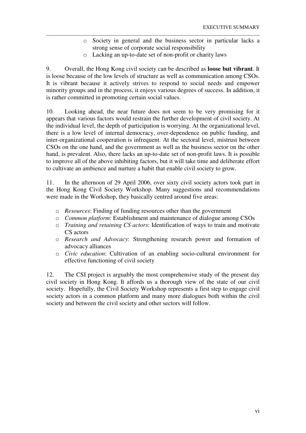- o Society in general and the business sector in particular lacks a strong sense of corporate social responsibility
- o Lacking an up-to-date set of non-profit or charity laws

\_\_\_\_\_\_\_\_\_\_\_\_\_\_\_\_\_\_\_\_\_\_\_\_\_\_\_\_\_\_\_\_\_\_\_\_\_\_\_\_\_\_\_\_\_\_\_\_\_\_\_\_\_\_\_\_\_\_\_\_\_\_\_\_\_\_\_\_\_\_\_\_\_\_\_\_\_\_\_\_\_\_\_

9. Overall, the Hong Kong civil society can be described as **loose but vibrant**. It is loose because of the low levels of structure as well as communication among CSOs. It is vibrant because it actively strives to respond to social needs and empower minority groups and in the process, it enjoys various degrees of success. In addition, it is rather committed in promoting certain social values.

10. Looking ahead, the near future does not seem to be very promising for it appears that various factors would restrain the further development of civil society. At the individual level, the depth of participation is worrying. At the organizational level, there is a low level of internal democracy, over-dependence on public funding, and inter-organizational cooperation is infrequent. At the sectoral level, mistrust between CSOs on the one hand, and the government as well as the business sector on the other hand, is prevalent. Also, there lacks an up-to-date set of non-profit laws. It is possible to improve all of the above inhibiting factors, but it will take time and deliberate effort to cultivate an ambience and nurture a habit that enable civil society to grow.

11. In the afternoon of 29 April 2006, over sixty civil society actors took part in the Hong Kong Civil Society Workshop. Many suggestions and recommendations were made in the Workshop, they basically centred around five areas:

- o *Resources*: Finding of funding resources other than the government
- o *Common platform*: Establishment and maintenance of dialogue among CSOs
- o *Training and retaining CS actors*: Identification of ways to train and motivate CS actors
- o *Research and Advocacy*: Strengthening research power and formation of advocacy alliances
- o *Civic education*: Cultivation of an enabling socio-cultural environment for effective functioning of civil society

12. The CSI project is arguably the most comprehensive study of the present day civil society in Hong Kong. It affords us a thorough view of the state of our civil society. Hopefully, the Civil Society Workshop represents a first step to engage civil society actors in a common platform and many more dialogues both within the civil society and between the civil society and other sectors will follow.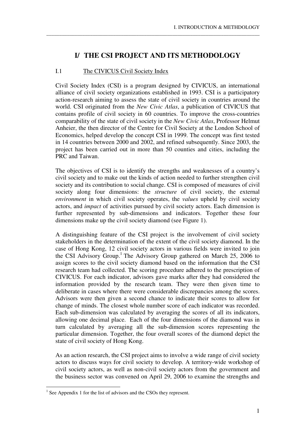# **I/ THE CSI PROJECT AND ITS METHODOLOGY**

\_\_\_\_\_\_\_\_\_\_\_\_\_\_\_\_\_\_\_\_\_\_\_\_\_\_\_\_\_\_\_\_\_\_\_\_\_\_\_\_\_\_\_\_\_\_\_\_\_\_\_\_\_\_\_\_\_\_\_\_\_\_\_\_\_\_\_\_\_\_\_\_\_\_\_\_\_\_\_\_\_\_\_

## I.1 The CIVICUS Civil Society Index

Civil Society Index (CSI) is a program designed by CIVICUS, an international alliance of civil society organizations established in 1993. CSI is a participatory action-research aiming to assess the state of civil society in countries around the world. CSI originated from the *New Civic Atlas*, a publication of CIVICUS that contains profile of civil society in 60 countries. To improve the cross-countries comparability of the state of civil society in the *New Civic Atlas*, Professor Helmut Anheier, the then director of the Centre for Civil Society at the London School of Economics, helped develop the concept CSI in 1999. The concept was first tested in 14 countries between 2000 and 2002, and refined subsequently. Since 2003, the project has been carried out in more than 50 counties and cities, including the PRC and Taiwan.

The objectives of CSI is to identify the strengths and weaknesses of a country's civil society and to make out the kinds of action needed to further strengthen civil society and its contribution to social change. CSI is composed of measures of civil society along four dimensions: the *structure* of civil society, the external *environment* in which civil society operates, the *values* upheld by civil society actors, and *impact* of activities pursued by civil society actors. Each dimension is further represented by sub-dimensions and indicators. Together these four dimensions make up the civil society diamond (see Figure 1).

A distinguishing feature of the CSI project is the involvement of civil society stakeholders in the determination of the extent of the civil society diamond. In the case of Hong Kong, 12 civil society actors in various fields were invited to join the CSI Advisory Group.<sup>1</sup> The Advisory Group gathered on March 25, 2006 to assign scores to the civil society diamond based on the information that the CSI research team had collected. The scoring procedure adhered to the prescription of CIVICUS. For each indicator, advisors gave marks after they had considered the information provided by the research team. They were then given time to deliberate in cases where there were considerable discrepancies among the scores. Advisors were then given a second chance to indicate their scores to allow for change of minds. The closest whole number score of each indicator was recorded. Each sub-dimension was calculated by averaging the scores of all its indicators, allowing one decimal place. Each of the four dimensions of the diamond was in turn calculated by averaging all the sub-dimension scores representing the particular dimension. Together, the four overall scores of the diamond depict the state of civil society of Hong Kong.

As an action research, the CSI project aims to involve a wide range of civil society actors to discuss ways for civil society to develop. A territory-wide workshop of civil society actors, as well as non-civil society actors from the government and the business sector was convened on April 29, 2006 to examine the strengths and

<sup>&</sup>lt;u>.</u> <sup>1</sup> See Appendix 1 for the list of advisors and the CSOs they represent.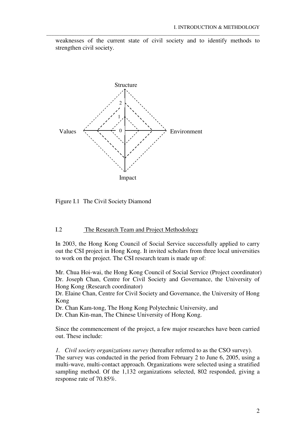weaknesses of the current state of civil society and to identify methods to strengthen civil society.

\_\_\_\_\_\_\_\_\_\_\_\_\_\_\_\_\_\_\_\_\_\_\_\_\_\_\_\_\_\_\_\_\_\_\_\_\_\_\_\_\_\_\_\_\_\_\_\_\_\_\_\_\_\_\_\_\_\_\_\_\_\_\_\_\_\_\_\_\_\_\_\_\_\_\_\_\_\_\_\_\_\_\_



Figure I.1 The Civil Society Diamond

#### I.2 The Research Team and Project Methodology

In 2003, the Hong Kong Council of Social Service successfully applied to carry out the CSI project in Hong Kong. It invited scholars from three local universities to work on the project. The CSI research team is made up of:

Mr. Chua Hoi-wai, the Hong Kong Council of Social Service (Project coordinator) Dr. Joseph Chan, Centre for Civil Society and Governance, the University of Hong Kong (Research coordinator)

Dr. Elaine Chan, Centre for Civil Society and Governance, the University of Hong Kong

Dr. Chan Kam-tong, The Hong Kong Polytechnic University, and

Dr. Chan Kin-man, The Chinese University of Hong Kong.

Since the commencement of the project, a few major researches have been carried out. These include:

*1. Civil society organizations survey* (hereafter referred to as the CSO survey). The survey was conducted in the period from February 2 to June 6, 2005, using a multi-wave, multi-contact approach. Organizations were selected using a stratified sampling method. Of the 1,132 organizations selected, 802 responded, giving a response rate of 70.85%.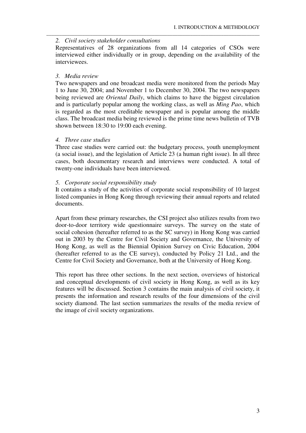#### *2. Civil society stakeholder consultations*

Representatives of 28 organizations from all 14 categories of CSOs were interviewed either individually or in group, depending on the availability of the interviewees.

\_\_\_\_\_\_\_\_\_\_\_\_\_\_\_\_\_\_\_\_\_\_\_\_\_\_\_\_\_\_\_\_\_\_\_\_\_\_\_\_\_\_\_\_\_\_\_\_\_\_\_\_\_\_\_\_\_\_\_\_\_\_\_\_\_\_\_\_\_\_\_\_\_\_\_\_\_\_\_\_\_\_\_

#### *3. Media review*

Two newspapers and one broadcast media were monitored from the periods May 1 to June 30, 2004; and November 1 to December 30, 2004. The two newspapers being reviewed are *Oriental Daily*, which claims to have the biggest circulation and is particularly popular among the working class, as well as *Ming Pao*, which is regarded as the most creditable newspaper and is popular among the middle class. The broadcast media being reviewed is the prime time news bulletin of TVB shown between 18:30 to 19:00 each evening.

#### *4. Three case studies*

Three case studies were carried out: the budgetary process, youth unemployment (a social issue), and the legislation of Article 23 (a human right issue). In all three cases, both documentary research and interviews were conducted. A total of twenty-one individuals have been interviewed.

#### *5. Corporate social responsibility study*

It contains a study of the activities of corporate social responsibility of 10 largest listed companies in Hong Kong through reviewing their annual reports and related documents.

Apart from these primary researches, the CSI project also utilizes results from two door-to-door territory wide questionnaire surveys. The survey on the state of social cohesion (hereafter referred to as the SC survey) in Hong Kong was carried out in 2003 by the Centre for Civil Society and Governance, the University of Hong Kong, as well as the Biennial Opinion Survey on Civic Education, 2004 (hereafter referred to as the CE survey), conducted by Policy 21 Ltd., and the Centre for Civil Society and Governance, both at the University of Hong Kong.

This report has three other sections. In the next section, overviews of historical and conceptual developments of civil society in Hong Kong, as well as its key features will be discussed. Section 3 contains the main analysis of civil society, it presents the information and research results of the four dimensions of the civil society diamond. The last section summarizes the results of the media review of the image of civil society organizations.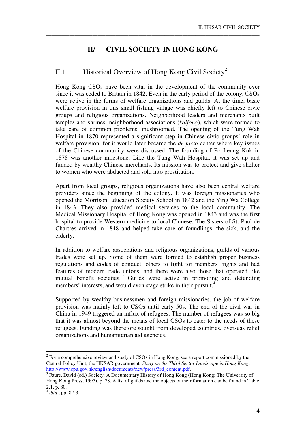# **II/ CIVIL SOCIETY IN HONG KONG**

\_\_\_\_\_\_\_\_\_\_\_\_\_\_\_\_\_\_\_\_\_\_\_\_\_\_\_\_\_\_\_\_\_\_\_\_\_\_\_\_\_\_\_\_\_\_\_\_\_\_\_\_\_\_\_\_\_\_\_\_\_\_\_\_\_\_\_\_\_\_\_\_\_\_\_\_\_\_\_\_\_\_\_

# II.1 Historical Overview of Hong Kong Civil Society<sup>2</sup>

Hong Kong CSOs have been vital in the development of the community ever since it was ceded to Britain in 1842. Even in the early period of the colony, CSOs were active in the forms of welfare organizations and guilds. At the time, basic welfare provision in this small fishing village was chiefly left to Chinese civic groups and religious organizations. Neighborhood leaders and merchants built temples and shrines; neighborhood associations (*kaifong*), which were formed to take care of common problems, mushroomed. The opening of the Tung Wah Hospital in 1870 represented a significant step in Chinese civic groups' role in welfare provision, for it would later became the *de facto* center where key issues of the Chinese community were discussed. The founding of Po Leung Kuk in 1878 was another milestone. Like the Tung Wah Hospital, it was set up and funded by wealthy Chinese merchants. Its mission was to protect and give shelter to women who were abducted and sold into prostitution.

Apart from local groups, religious organizations have also been central welfare providers since the beginning of the colony. It was foreign missionaries who opened the Morrison Education Society School in 1842 and the Ying Wa College in 1843. They also provided medical services to the local community. The Medical Missionary Hospital of Hong Kong was opened in 1843 and was the first hospital to provide Western medicine to local Chinese. The Sisters of St. Paul de Chartres arrived in 1848 and helped take care of foundlings, the sick, and the elderly.

In addition to welfare associations and religious organizations, guilds of various trades were set up. Some of them were formed to establish proper business regulations and codes of conduct, others to fight for members' rights and had features of modern trade unions; and there were also those that operated like mutual benefit societies.<sup>3</sup> Guilds were active in promoting and defending members' interests, and would even stage strike in their pursuit.<sup>4</sup>

Supported by wealthy businessmen and foreign missionaries, the job of welfare provision was mainly left to CSOs until early 50s. The end of the civil war in China in 1949 triggered an influx of refugees. The number of refugees was so big that it was almost beyond the means of local CSOs to cater to the needs of these refugees. Funding was therefore sought from developed countries, overseas relief organizations and humanitarian aid agencies.

<u>.</u>

 $2^2$  For a comprehensive review and study of CSOs in Hong Kong, see a report commissioned by the Central Policy Unit, the HKSAR government, *Study on the Third Sector Landscape in Hong Kong*, http://www.cpu.gov.hk/english/documents/new/press/3rd\_content.pdf.

<sup>&</sup>lt;sup>3</sup> Faure, David (ed.) Society: A Documentary History of Hong Kong (Hong Kong: The University of Hong Kong Press, 1997), p. 78. A list of guilds and the objects of their formation can be found in Table 2.1, p. 80.

<sup>4</sup> *ibid*., pp. 82-3.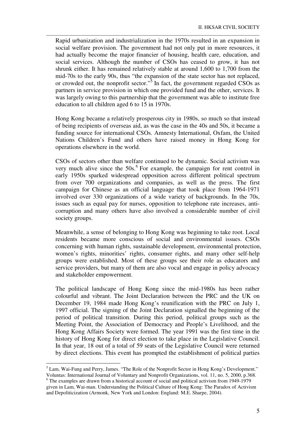Rapid urbanization and industrialization in the 1970s resulted in an expansion in social welfare provision. The government had not only put in more resources, it had actually become the major financier of housing, health care, education, and social services. Although the number of CSOs has ceased to grow, it has not shrunk either. It has remained relatively stable at around 1,600 to 1,700 from the mid-70s to the early 90s, thus "the expansion of the state sector has not replaced, or crowded out, the nonprofit sector."<sup>5</sup> In fact, the government regarded CSOs as partners in service provision in which one provided fund and the other, services. It was largely owing to this partnership that the government was able to institute free education to all children aged 6 to 15 in 1970s.

\_\_\_\_\_\_\_\_\_\_\_\_\_\_\_\_\_\_\_\_\_\_\_\_\_\_\_\_\_\_\_\_\_\_\_\_\_\_\_\_\_\_\_\_\_\_\_\_\_\_\_\_\_\_\_\_\_\_\_\_\_\_\_\_\_\_\_\_\_\_\_\_\_\_\_\_\_\_\_\_\_\_\_

Hong Kong became a relatively prosperous city in 1980s, so much so that instead of being recipients of overseas aid, as was the case in the 40s and 50s, it became a funding source for international CSOs. Amnesty International, Oxfam, the United Nations Children's Fund and others have raised money in Hong Kong for operations elsewhere in the world.

CSOs of sectors other than welfare continued to be dynamic. Social activism was very much alive since the  $50s$ .<sup>6</sup> For example, the campaign for rent control in early 1950s sparked widespread opposition across different political spectrum from over 700 organizations and companies, as well as the press. The first campaign for Chinese as an official language that took place from 1964-1971 involved over 330 organizations of a wide variety of backgrounds. In the 70s, issues such as equal pay for nurses, opposition to telephone rate increases, anticorruption and many others have also involved a considerable number of civil society groups.

Meanwhile, a sense of belonging to Hong Kong was beginning to take root. Local residents became more conscious of social and environmental issues. CSOs concerning with human rights, sustainable development, environmental protection, women's rights, minorities' rights, consumer rights, and many other self-help groups were established. Most of these groups see their role as educators and service providers, but many of them are also vocal and engage in policy advocacy and stakeholder empowerment.

The political landscape of Hong Kong since the mid-1980s has been rather colourful and vibrant. The Joint Declaration between the PRC and the UK on December 19, 1984 made Hong Kong's reunification with the PRC on July 1, 1997 official. The signing of the Joint Declaration signalled the beginning of the period of political transition. During this period, political groups such as the Meeting Point, the Association of Democracy and People's Livelihood, and the Hong Kong Affairs Society were formed. The year 1991 was the first time in the history of Hong Kong for direct election to take place in the Legislative Council. In that year, 18 out of a total of 59 seats of the Legislative Council were returned by direct elections. This event has prompted the establishment of political parties

-

<sup>&</sup>lt;sup>5</sup> Lam, Wai-Fung and Perry, James. "The Role of the Nonprofit Sector in Hong Kong's Development." Voluntas: International Journal of Voluntary and Nonprofit Organizations, vol. 11, no. 5, 2000, p.368.

<sup>&</sup>lt;sup>6</sup> The examples are drawn from a historical account of social and political activism from 1949-1979 given in Lam, Wai-man. Understanding the Political Culture of Hong Kong: The Paradox of Activism and Depoliticization (Armonk, New York and London: England: M.E. Sharpe, 2004).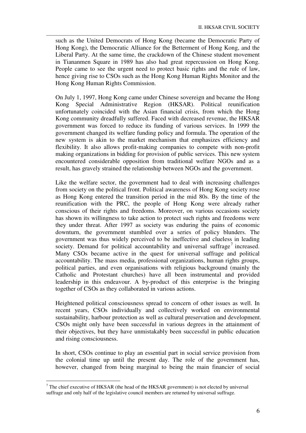such as the United Democrats of Hong Kong (became the Democratic Party of Hong Kong), the Democratic Alliance for the Betterment of Hong Kong, and the Liberal Party. At the same time, the crackdown of the Chinese student movement in Tiananmen Square in 1989 has also had great repercussion on Hong Kong. People came to see the urgent need to protect basic rights and the rule of law, hence giving rise to CSOs such as the Hong Kong Human Rights Monitor and the Hong Kong Human Rights Commission.

\_\_\_\_\_\_\_\_\_\_\_\_\_\_\_\_\_\_\_\_\_\_\_\_\_\_\_\_\_\_\_\_\_\_\_\_\_\_\_\_\_\_\_\_\_\_\_\_\_\_\_\_\_\_\_\_\_\_\_\_\_\_\_\_\_\_\_\_\_\_\_\_\_\_\_\_\_\_\_\_\_\_\_

On July 1, 1997, Hong Kong came under Chinese sovereign and became the Hong Kong Special Administrative Region (HKSAR). Political reunification unfortunately coincided with the Asian financial crisis, from which the Hong Kong community dreadfully suffered. Faced with decreased revenue, the HKSAR government was forced to reduce its funding of various services. In 1999 the government changed its welfare funding policy and formula. The operation of the new system is akin to the market mechanism that emphasizes efficiency and flexibility. It also allows profit-making companies to compete with non-profit making organizations in bidding for provision of public services. This new system encountered considerable opposition from traditional welfare NGOs and as a result, has gravely strained the relationship between NGOs and the government.

Like the welfare sector, the government had to deal with increasing challenges from society on the political front. Political awareness of Hong Kong society rose as Hong Kong entered the transition period in the mid 80s. By the time of the reunification with the PRC, the people of Hong Kong were already rather conscious of their rights and freedoms. Moreover, on various occasions society has shown its willingness to take action to protect such rights and freedoms were they under threat. After 1997 as society was enduring the pains of economic downturn, the government stumbled over a series of policy blunders. The government was thus widely perceived to be ineffective and clueless in leading society. Demand for political accountability and universal suffrage<sup>7</sup> increased. Many CSOs became active in the quest for universal suffrage and political accountability. The mass media, professional organizations, human rights groups, political parties, and even organisations with religious background (mainly the Catholic and Protestant churches) have all been instrumental and provided leadership in this endeavour. A by-product of this enterprise is the bringing together of CSOs as they collaborated in various actions.

Heightened political consciousness spread to concern of other issues as well. In recent years, CSOs individually and collectively worked on environmental sustainability, harbour protection as well as cultural preservation and development. CSOs might only have been successful in various degrees in the attainment of their objectives, but they have unmistakably been successful in public education and rising consciousness.

In short, CSOs continue to play an essential part in social service provision from the colonial time up until the present day. The role of the government has, however, changed from being marginal to being the main financier of social

-

 $7$  The chief executive of HKSAR (the head of the HKSAR government) is not elected by universal suffrage and only half of the legislative council members are returned by universal suffrage.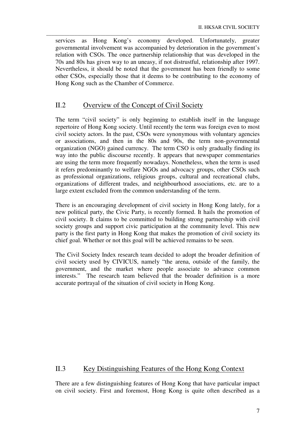services as Hong Kong's economy developed. Unfortunately, greater governmental involvement was accompanied by deterioration in the government's relation with CSOs. The once partnership relationship that was developed in the 70s and 80s has given way to an uneasy, if not distrustful, relationship after 1997. Nevertheless, it should be noted that the government has been friendly to some other CSOs, especially those that it deems to be contributing to the economy of Hong Kong such as the Chamber of Commerce.

\_\_\_\_\_\_\_\_\_\_\_\_\_\_\_\_\_\_\_\_\_\_\_\_\_\_\_\_\_\_\_\_\_\_\_\_\_\_\_\_\_\_\_\_\_\_\_\_\_\_\_\_\_\_\_\_\_\_\_\_\_\_\_\_\_\_\_\_\_\_\_\_\_\_\_\_\_\_\_\_\_\_\_

## II.2 Overview of the Concept of Civil Society

The term "civil society" is only beginning to establish itself in the language repertoire of Hong Kong society. Until recently the term was foreign even to most civil society actors. In the past, CSOs were synonymous with voluntary agencies or associations, and then in the 80s and 90s, the term non-governmental organization (NGO) gained currency. The term CSO is only gradually finding its way into the public discourse recently. It appears that newspaper commentaries are using the term more frequently nowadays. Nonetheless, when the term is used it refers predominantly to welfare NGOs and advocacy groups, other CSOs such as professional organizations, religious groups, cultural and recreational clubs, organizations of different trades, and neighbourhood associations, etc. are to a large extent excluded from the common understanding of the term.

There is an encouraging development of civil society in Hong Kong lately, for a new political party, the Civic Party, is recently formed. It hails the promotion of civil society. It claims to be committed to building strong partnership with civil society groups and support civic participation at the community level. This new party is the first party in Hong Kong that makes the promotion of civil society its chief goal. Whether or not this goal will be achieved remains to be seen.

The Civil Society Index research team decided to adopt the broader definition of civil society used by CIVICUS, namely "the arena, outside of the family, the government, and the market where people associate to advance common interests." The research team believed that the broader definition is a more accurate portrayal of the situation of civil society in Hong Kong.

## II.3 Key Distinguishing Features of the Hong Kong Context

There are a few distinguishing features of Hong Kong that have particular impact on civil society. First and foremost, Hong Kong is quite often described as a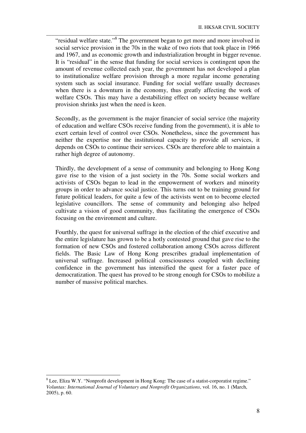"residual welfare state."<sup>8</sup> The government began to get more and more involved in social service provision in the 70s in the wake of two riots that took place in 1966 and 1967, and as economic growth and industrialization brought in bigger revenue. It is "residual" in the sense that funding for social services is contingent upon the amount of revenue collected each year, the government has not developed a plan to institutionalize welfare provision through a more regular income generating system such as social insurance. Funding for social welfare usually decreases when there is a downturn in the economy, thus greatly affecting the work of welfare CSOs. This may have a destabilizing effect on society because welfare provision shrinks just when the need is keen.

\_\_\_\_\_\_\_\_\_\_\_\_\_\_\_\_\_\_\_\_\_\_\_\_\_\_\_\_\_\_\_\_\_\_\_\_\_\_\_\_\_\_\_\_\_\_\_\_\_\_\_\_\_\_\_\_\_\_\_\_\_\_\_\_\_\_\_\_\_\_\_\_\_\_\_\_\_\_\_\_\_\_\_

Secondly, as the government is the major financier of social service (the majority of education and welfare CSOs receive funding from the government), it is able to exert certain level of control over CSOs. Nonetheless, since the government has neither the expertise nor the institutional capacity to provide all services, it depends on CSOs to continue their services. CSOs are therefore able to maintain a rather high degree of autonomy.

Thirdly, the development of a sense of community and belonging to Hong Kong gave rise to the vision of a just society in the 70s. Some social workers and activists of CSOs began to lead in the empowerment of workers and minority groups in order to advance social justice. This turns out to be training ground for future political leaders, for quite a few of the activists went on to become elected legislative councillors. The sense of community and belonging also helped cultivate a vision of good community, thus facilitating the emergence of CSOs focusing on the environment and culture.

Fourthly, the quest for universal suffrage in the election of the chief executive and the entire legislature has grown to be a hotly contested ground that gave rise to the formation of new CSOs and fostered collaboration among CSOs across different fields. The Basic Law of Hong Kong prescribes gradual implementation of universal suffrage. Increased political consciousness coupled with declining confidence in the government has intensified the quest for a faster pace of democratization. The quest has proved to be strong enough for CSOs to mobilize a number of massive political marches.

<u>.</u>

<sup>&</sup>lt;sup>8</sup> Lee, Eliza W.Y. "Nonprofit development in Hong Kong: The case of a statist-corporatist regime." *Voluntas: International Journal of Voluntary and Nonprofit Organizations*, vol. 16, no. 1 (March, 2005), p. 60.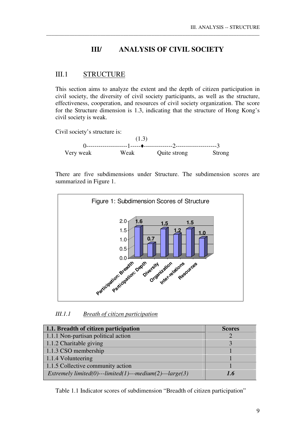## **III/ ANALYSIS OF CIVIL SOCIETY**

\_\_\_\_\_\_\_\_\_\_\_\_\_\_\_\_\_\_\_\_\_\_\_\_\_\_\_\_\_\_\_\_\_\_\_\_\_\_\_\_\_\_\_\_\_\_\_\_\_\_\_\_\_\_\_\_\_\_\_\_\_\_\_\_\_\_\_\_\_\_\_\_\_\_\_\_\_\_\_\_\_\_\_

## III.1 STRUCTURE

This section aims to analyze the extent and the depth of citizen participation in civil society, the diversity of civil society participants, as well as the structure, effectiveness, cooperation, and resources of civil society organization. The score for the Structure dimension is 1.3, indicating that the structure of Hong Kong's civil society is weak.

Civil society's structure is:



There are five subdimensions under Structure. The subdimension scores are summarized in Figure 1.



*III.1.1 Breath of citizen participation*

| 1.1. Breadth of citizen participation                    | <b>Scores</b> |
|----------------------------------------------------------|---------------|
| 1.1.1 Non-partisan political action                      |               |
| 1.1.2 Charitable giving                                  |               |
| 1.1.3 CSO membership                                     |               |
| 1.1.4 Volunteering                                       |               |
| 1.1.5 Collective community action                        |               |
| Extremely limited(0)---limited(1)---medium(2)---large(3) | 1.6           |

Table 1.1 Indicator scores of subdimension "Breadth of citizen participation"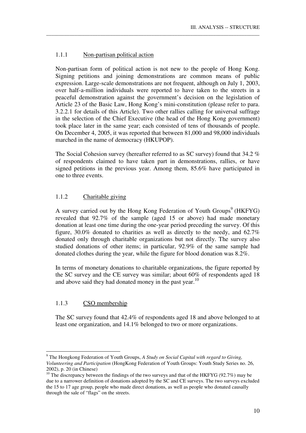#### 1.1.1 Non-partisan political action

Non-partisan form of political action is not new to the people of Hong Kong. Signing petitions and joining demonstrations are common means of public expression. Large-scale demonstrations are not frequent, although on July 1, 2003, over half-a-million individuals were reported to have taken to the streets in a peaceful demonstration against the government's decision on the legislation of Article 23 of the Basic Law, Hong Kong's mini-constitution (please refer to para. 3.2.2.1 for details of this Article). Two other rallies calling for universal suffrage in the selection of the Chief Executive (the head of the Hong Kong government) took place later in the same year; each consisted of tens of thousands of people. On December 4, 2005, it was reported that between 81,000 and 98,000 individuals marched in the name of democracy (HKUPOP).

\_\_\_\_\_\_\_\_\_\_\_\_\_\_\_\_\_\_\_\_\_\_\_\_\_\_\_\_\_\_\_\_\_\_\_\_\_\_\_\_\_\_\_\_\_\_\_\_\_\_\_\_\_\_\_\_\_\_\_\_\_\_\_\_\_\_\_\_\_\_\_\_\_\_\_\_\_\_\_\_\_\_\_

The Social Cohesion survey (hereafter referred to as SC survey) found that 34.2 % of respondents claimed to have taken part in demonstrations, rallies, or have signed petitions in the previous year. Among them, 85.6% have participated in one to three events.

#### 1.1.2 Charitable giving

A survey carried out by the Hong Kong Federation of Youth Groups<sup>9</sup> (HKFYG) revealed that 92.7% of the sample (aged 15 or above) had made monetary donation at least one time during the one-year period preceding the survey. Of this figure, 30.0% donated to charities as well as directly to the needy, and 62.7% donated only through charitable organizations but not directly. The survey also studied donations of other items; in particular, 92.9% of the same sample had donated clothes during the year, while the figure for blood donation was 8.2%.

In terms of monetary donations to charitable organizations, the figure reported by the SC survey and the CE survey was similar; about 60% of respondents aged 18 and above said they had donated money in the past year.<sup>10</sup>

#### 1.1.3 CSO membership

<u>.</u>

The SC survey found that 42.4% of respondents aged 18 and above belonged to at least one organization, and 14.1% belonged to two or more organizations.

<sup>9</sup> The Hongkong Federation of Youth Groups, *A Study on Social Capital with regard to Giving, Volunteering and Participation* (HongKong Federation of Youth Groups: Youth Study Series no. 26, 2002), p. 20 (in Chinese)

<sup>&</sup>lt;sup>10</sup> The discrepancy between the findings of the two surveys and that of the HKFYG (92.7%) may be due to a narrower definition of donations adopted by the SC and CE surveys. The two surveys excluded the 15 to 17 age group, people who made direct donations, as well as people who donated causally through the sale of "flags" on the streets.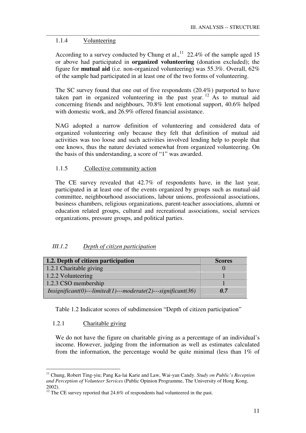### 1.1.4 Volunteering

According to a survey conducted by Chung et al.,  $11$  22.4% of the sample aged 15 or above had participated in **organized volunteering** (donation excluded); the figure for **mutual aid** (i.e. non-organized volunteering) was 55.3%. Overall, 62% of the sample had participated in at least one of the two forms of volunteering.

\_\_\_\_\_\_\_\_\_\_\_\_\_\_\_\_\_\_\_\_\_\_\_\_\_\_\_\_\_\_\_\_\_\_\_\_\_\_\_\_\_\_\_\_\_\_\_\_\_\_\_\_\_\_\_\_\_\_\_\_\_\_\_\_\_\_\_\_\_\_\_\_\_\_\_\_\_\_\_\_\_\_\_

The SC survey found that one out of five respondents (20.4%) purported to have taken part in organized volunteering in the past year. <sup>12</sup> As to mutual aid concerning friends and neighbours, 70.8% lent emotional support, 40.6% helped with domestic work, and 26.9% offered financial assistance.

NAG adopted a narrow definition of volunteering and considered data of organized volunteering only because they felt that definition of mutual aid activities was too loose and such activities involved lending help to people that one knows, thus the nature deviated somewhat from organized volunteering. On the basis of this understanding, a score of "1" was awarded.

## 1.1.5 Collective community action

The CE survey revealed that 42.7% of respondents have, in the last year, participated in at least one of the events organized by groups such as mutual-aid committee, neighbourhood associations, labour unions, professional associations, business chambers, religious organizations, parent-teacher associations, alumni or education related groups, cultural and recreational associations, social services organizations, pressure groups, and political parties.

## *III.1.2 Depth of citizen participation*

| 1.2. Depth of citizen participation                              | <b>Scores</b> |
|------------------------------------------------------------------|---------------|
| 1.2.1 Charitable giving                                          |               |
| 1.2.2 Volunteering                                               |               |
| 1.2.3 CSO membership                                             |               |
| $Insignificant(0)$ ---limited(1)---moderate(2)---significant(36) | 0.7           |

Table 1.2 Indicator scores of subdimension "Depth of citizen participation"

#### 1.2.1 Charitable giving

<u>.</u>

We do not have the figure on charitable giving as a percentage of an individual's income. However, judging from the information as well as estimates calculated from the information, the percentage would be quite minimal (less than 1% of

<sup>11</sup> Chung, Robert Ting-yiu; Pang Ka-lai Karie and Law, Wai-yan Candy. *Study on Public's Reception and Perception of Volunteer Services* (Public Opinion Programme, The University of Hong Kong, 2002).

 $\frac{12}{12}$  The CE survey reported that 24.6% of respondents had volunteered in the past.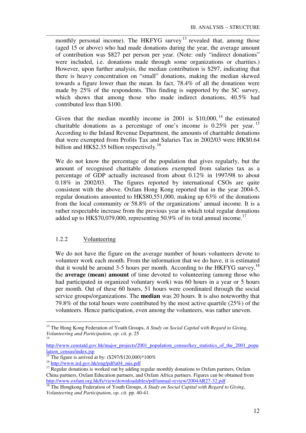monthly personal income). The HKFYG survey<sup>13</sup> revealed that, among those (aged 15 or above) who had made donations during the year, the average amount of contribution was \$827 per person per year. (Note: only "indirect donations" were included, i.e. donations made through some organizations or charities.) However, upon further analysis, the median contribution is \$297, indicating that there is heavy concentration on "small" donations, making the median skewed towards a figure lower than the mean. In fact, 78.4% of all the donations were made by 25% of the respondents. This finding is supported by the SC survey, which shows that among those who made indirect donations, 40.5% had contributed less than \$100.

\_\_\_\_\_\_\_\_\_\_\_\_\_\_\_\_\_\_\_\_\_\_\_\_\_\_\_\_\_\_\_\_\_\_\_\_\_\_\_\_\_\_\_\_\_\_\_\_\_\_\_\_\_\_\_\_\_\_\_\_\_\_\_\_\_\_\_\_\_\_\_\_\_\_\_\_\_\_\_\_\_\_\_

Given that the median monthly income in 2001 is  $$10,000$ , <sup>14</sup> the estimated charitable donations as a percentage of one's income is  $0.25\%$  per year. <sup>15</sup> According to the Inland Revenue Department, the amounts of charitable donations that were exempted from Profits Tax and Salaries Tax in 2002/03 were HK\$0.64 billion and HK\$2.35 billion respectively.<sup>16</sup>

We do not know the percentage of the population that gives regularly, but the amount of recognised charitable donations exempted from salaries tax as a percentage of GDP actually increased from about 0.12% in 1997/98 to about 0.18% in 2002/03. The figures reported by international CSOs are quite consistent with the above. Oxfam Hong Kong reported that in the year 2004-5, regular donations amounted to HK\$80,551,000, making up 63% of the donations from the local community or 58.8% of the organizations' annual income. It is a rather respectable increase from the previous year in which total regular donations added up to HK\$70,079,000, representing  $50.9\%$  of its total annual income.<sup>17</sup>

#### 1.2.2 Volunteering

We do not have the figure on the average number of hours volunteers devote to volunteer work each month. From the information that we do have, it is estimated that it would be around 3-5 hours per month. According to the HKFYG survey,  $^{18}$ the **average (mean) amount** of time devoted to volunteering (among those who had participated in organized voluntary work) was 60 hours in a year or 5 hours per month. Out of these 60 hours, 51 hours were coordinated through the social service groups/organizations. The **median** was 20 hours. It is also noteworthy that 79.8% of the total hours were contributed by the most active quartile (25%) of the volunteers. Hence participation, even among the volunteers, was rather uneven.

http://www.censtatd.gov.hk/major\_projects/2001\_population\_census/key\_statistics\_of\_the\_2001\_popu lation census/index.jsp

-

<sup>&</sup>lt;sup>13</sup> The Hong Kong Federation of Youth Groups, *A Study on Social Capital with Regard to Giving, Volunteering and Participation, op. cit.* p. 25 14

<sup>&</sup>lt;sup>15</sup> The figure is arrived at by:  $(\$297/\$120,000)*100\%$ 

<sup>&</sup>lt;sup>16</sup> http://www.ird.gov.hk/eng/pdf/a04\_mis.pdf

 $17$  Regular donations is worked out by adding regular monthly donations to Oxfam partners, Oxfam China partners, Oxfam Education partners, and Oxfam Africa partners. Figures can be obtained from http://www.oxfam.org.hk/fs/view/downloadables/pdf/annual-review/2004AR27-32.pdf.

<sup>18</sup> The Hongkong Federation of Youth Groups, *A Study on Social Capital with Regard to Giving, Volunteering and Participation, op. cit.* pp. 40-41.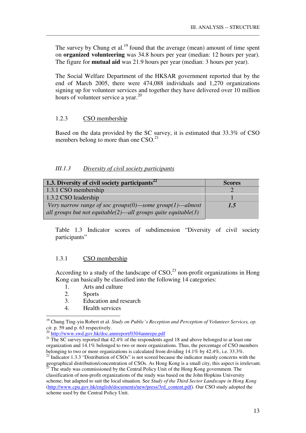The survey by Chung et al.<sup>19</sup> found that the average (mean) amount of time spent on **organized volunteering** was 34.8 hours per year (median: 12 hours per year). The figure for **mutual aid** was 21.9 hours per year (median: 3 hours per year).

\_\_\_\_\_\_\_\_\_\_\_\_\_\_\_\_\_\_\_\_\_\_\_\_\_\_\_\_\_\_\_\_\_\_\_\_\_\_\_\_\_\_\_\_\_\_\_\_\_\_\_\_\_\_\_\_\_\_\_\_\_\_\_\_\_\_\_\_\_\_\_\_\_\_\_\_\_\_\_\_\_\_\_

The Social Welfare Department of the HKSAR government reported that by the end of March 2005, there were 474,088 individuals and 1,270 organizations signing up for volunteer services and together they have delivered over 10 million hours of volunteer service a year.<sup>20</sup>

#### 1.2.3 CSO membership

Based on the data provided by the SC survey, it is estimated that 33.3% of CSO members belong to more than one CSO.<sup>21</sup>

#### *III.1.3 Diversity of civil society participants*

| 1.3. Diversity of civil society participants <sup>22</sup>        | <b>Scores</b> |
|-------------------------------------------------------------------|---------------|
| 1.3.1 CSO membership                                              |               |
| 1.3.2 CSO leadership                                              |               |
| Very narrow range of soc groups $(0)$ —some group $(1)$ ---almost | 1.5           |
| all groups but not equitable(2)---all groups quite equitable(3)   |               |

Table 1.3 Indicator scores of subdimension "Diversity of civil society participants"

#### 1.3.1 CSO membership

According to a study of the landscape of  $\text{CSO}$ ,<sup>23</sup> non-profit organizations in Hong Kong can basically be classified into the following 14 categories:

- 1. Arts and culture
- 2. Sports

<u>.</u>

- 3. Education and research
- 4. Health services

<sup>&</sup>lt;sup>19</sup> Chung Ting-yiu Robert et al. *Study on Public's Reception and Perception of Volunteer Services, op. cit.* p. 59 and p. 63 respectively.

<sup>&</sup>lt;sup>20</sup> http://www.swd.gov.hk/doc.annreport/0304annrepe.pdf

<sup>&</sup>lt;sup>21</sup> The SC survey reported that  $42.4\%$  of the respondents aged 18 and above belonged to at least one organization and 14.1% belonged to two or more organizations. Thus, the percentage of CSO members belonging to two or more organizations is calculated from dividing 14.1% by 42.4%, i.e. 33.3%. <sup>22</sup> Indicator 1.3.3 "Distribution of CSOs" is not scored because the indicator mainly concerns with the

geographical distribution/concentration of CSOs. As Hong Kong is a small city, this aspect is irrelevant. <sup>23</sup> The study was commissioned by the Central Policy Unit of the Hong Kong government. The

classification of non-profit organizations of the study was based on the John Hopkins University scheme, but adapted to suit the local situation. See *Study of the Third Sector Landscape in Hong Kong*  (http://www.cpu.gov.hk/english/documents/new/press/3rd\_content.pdf). Our CSO study adopted the scheme used by the Central Policy Unit.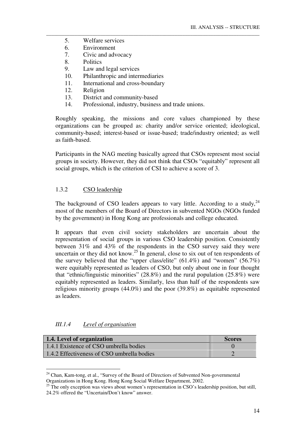- 5. Welfare services
- 6. Environment
- 7. Civic and advocacy
- 8. Politics
- 9. Law and legal services
- 10. Philanthropic and intermediaries
- 11. International and cross-boundary
- 12. Religion
- 13. District and community-based
- 14. Professional, industry, business and trade unions.

Roughly speaking, the missions and core values championed by these organizations can be grouped as: charity and/or service oriented; ideological, community-based; interest-based or issue-based; trade/industry oriented; as well as faith-based.

\_\_\_\_\_\_\_\_\_\_\_\_\_\_\_\_\_\_\_\_\_\_\_\_\_\_\_\_\_\_\_\_\_\_\_\_\_\_\_\_\_\_\_\_\_\_\_\_\_\_\_\_\_\_\_\_\_\_\_\_\_\_\_\_\_\_\_\_\_\_\_\_\_\_\_\_\_\_\_\_\_\_\_

Participants in the NAG meeting basically agreed that CSOs represent most social groups in society. However, they did not think that CSOs "equitably" represent all social groups, which is the criterion of CSI to achieve a score of 3.

## 1.3.2 CSO leadership

The background of CSO leaders appears to vary little. According to a study,  $24$ most of the members of the Board of Directors in subvented NGOs (NGOs funded by the government) in Hong Kong are professionals and college educated.

It appears that even civil society stakeholders are uncertain about the representation of social groups in various CSO leadership position. Consistently between 31% and 43% of the respondents in the CSO survey said they were uncertain or they did not know.<sup>25</sup> In general, close to six out of ten respondents of the survey believed that the "upper class/elite"  $(61.4\%)$  and "women"  $(56.7\%)$ were equitably represented as leaders of CSO, but only about one in four thought that "ethnic/linguistic minorities" (28.8%) and the rural population (25.8%) were equitably represented as leaders. Similarly, less than half of the respondents saw religious minority groups (44.0%) and the poor (39.8%) as equitable represented as leaders.

#### *III.1.4 Level of organisation*

<u>.</u>

| 1.4. Level of organization                 | <b>Scores</b> |
|--------------------------------------------|---------------|
| 1.4.1 Existence of CSO umbrella bodies     |               |
| 1.4.2 Effectiveness of CSO umbrella bodies |               |

<sup>&</sup>lt;sup>24</sup> Chan, Kam-tong, et al., "Survey of the Board of Directiors of Subvented Non-governmental Organizations in Hong Kong. Hong Kong Social Welfare Department, 2002.

<sup>&</sup>lt;sup>25</sup> The only exception was views about women's representation in CSO's leadership position, but still, 24.2% offered the "Uncertain/Don't know" answer.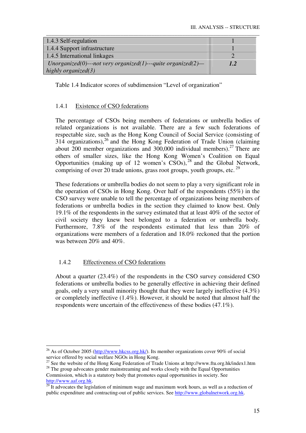| 1.4.3 Self-regulation                                        |     |
|--------------------------------------------------------------|-----|
| 1.4.4 Support infrastructure                                 |     |
| 1.4.5 International linkages                                 |     |
| Unorganized(0)---not very organized(1)---quite organized(2)- | 1.2 |
| highly organized $(3)$                                       |     |

Table 1.4 Indicator scores of subdimension "Level of organization"

## 1.4.1 Existence of CSO federations

The percentage of CSOs being members of federations or umbrella bodies of related organizations is not available. There are a few such federations of respectable size, such as the Hong Kong Council of Social Service (consisting of  $314$  organizations),<sup>26</sup> and the Hong Kong Federation of Trade Union (claiming about 200 member organizations and 300,000 individual members).<sup>27</sup> There are others of smaller sizes, like the Hong Kong Women's Coalition on Equal Opportunities (making up of 12 women's  $\overline{CSOs}$ ),  $^{28}$  and the Global Network, comprising of over 20 trade unions, grass root groups, youth groups, etc.<sup>29</sup>

These federations or umbrella bodies do not seem to play a very significant role in the operation of CSOs in Hong Kong. Over half of the respondents (55%) in the CSO survey were unable to tell the percentage of organizations being members of federations or umbrella bodies in the section they claimed to know best. Only 19.1% of the respondents in the survey estimated that at least 40% of the sector of civil society they knew best belonged to a federation or umbrella body. Furthermore, 7.8% of the respondents estimated that less than 20% of organizations were members of a federation and 18.0% reckoned that the portion was between 20% and 40%.

## 1.4.2 Effectiveness of CSO federations

About a quarter (23.4%) of the respondents in the CSO survey considered CSO federations or umbrella bodies to be generally effective in achieving their defined goals, only a very small minority thought that they were largely ineffective (4.3%) or completely ineffective (1.4%). However, it should be noted that almost half the respondents were uncertain of the effectiveness of these bodies (47.1%).

<sup>-</sup><sup>26</sup> As of October 2005 (http://www.hkcss.org.hk/). Its member organizations cover 90% of social service offered by social welfare NGOs in Hong Kong.

<sup>27</sup> See the website of the Hong Kong Federation of Trade Unions at http://www.ftu.org.hk/index1.htm <sup>28</sup> The group advocates gender mainstreaming and works closely with the Equal Opportunities

Commission, which is a statutory body that promotes equal opportunities in society. See http://www.aaf.org.hk.

 $29$  It advocates the legislation of minimum wage and maximum work hours, as well as a reduction of public expenditure and contracting-out of public services. See http://www.globalnetwork.org.hk.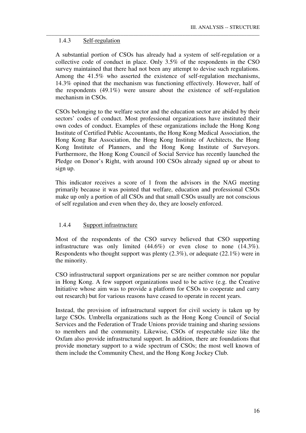### 1.4.3 Self-regulation

A substantial portion of CSOs has already had a system of self-regulation or a collective code of conduct in place. Only 3.5% of the respondents in the CSO survey maintained that there had not been any attempt to devise such regulations. Among the 41.5% who asserted the existence of self-regulation mechanisms, 14.3% opined that the mechanism was functioning effectively. However, half of the respondents (49.1%) were unsure about the existence of self-regulation mechanism in CSOs.

\_\_\_\_\_\_\_\_\_\_\_\_\_\_\_\_\_\_\_\_\_\_\_\_\_\_\_\_\_\_\_\_\_\_\_\_\_\_\_\_\_\_\_\_\_\_\_\_\_\_\_\_\_\_\_\_\_\_\_\_\_\_\_\_\_\_\_\_\_\_\_\_\_\_\_\_\_\_\_\_\_\_\_

CSOs belonging to the welfare sector and the education sector are abided by their sectors' codes of conduct. Most professional organizations have instituted their own codes of conduct. Examples of these organizations include the Hong Kong Institute of Certified Public Accountants, the Hong Kong Medical Association, the Hong Kong Bar Association, the Hong Kong Institute of Architects, the Hong Kong Institute of Planners, and the Hong Kong Institute of Surveyors. Furthermore, the Hong Kong Council of Social Service has recently launched the Pledge on Donor's Right, with around 100 CSOs already signed up or about to sign up.

This indicator receives a score of 1 from the advisors in the NAG meeting primarily because it was pointed that welfare, education and professional CSOs make up only a portion of all CSOs and that small CSOs usually are not conscious of self regulation and even when they do, they are loosely enforced.

## 1.4.4 Support infrastructure

Most of the respondents of the CSO survey believed that CSO supporting infrastructure was only limited (44.6%) or even close to none (14.3%). Respondents who thought support was plenty (2.3%), or adequate (22.1%) were in the minority.

CSO infrastructural support organizations per se are neither common nor popular in Hong Kong. A few support organizations used to be active (e.g. the Creative Initiative whose aim was to provide a platform for CSOs to cooperate and carry out research) but for various reasons have ceased to operate in recent years.

Instead, the provision of infrastructural support for civil society is taken up by large CSOs. Umbrella organizations such as the Hong Kong Council of Social Services and the Federation of Trade Unions provide training and sharing sessions to members and the community. Likewise, CSOs of respectable size like the Oxfam also provide infrastructural support. In addition, there are foundations that provide monetary support to a wide spectrum of CSOs; the most well known of them include the Community Chest, and the Hong Kong Jockey Club.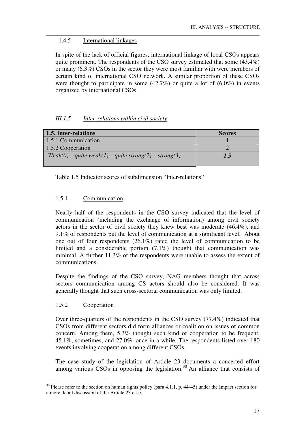## 1.4.5 International linkages

In spite of the lack of official figures, international linkage of local CSOs appears quite prominent. The respondents of the CSO survey estimated that some (43.4%) or many (6.3%) CSOs in the sector they were most familiar with were members of certain kind of international CSO network. A similar proportion of these CSOs were thought to participate in some  $(42.7%)$  or quite a lot of  $(6.0%)$  in events organized by international CSOs.

\_\_\_\_\_\_\_\_\_\_\_\_\_\_\_\_\_\_\_\_\_\_\_\_\_\_\_\_\_\_\_\_\_\_\_\_\_\_\_\_\_\_\_\_\_\_\_\_\_\_\_\_\_\_\_\_\_\_\_\_\_\_\_\_\_\_\_\_\_\_\_\_\_\_\_\_\_\_\_\_\_\_\_

## *III.1.5 Inter-relations within civil society*

| 1.5. Inter-relations                                     | <b>Scores</b> |
|----------------------------------------------------------|---------------|
| 1.5.1 Communication                                      |               |
| 1.5.2 Cooperation                                        |               |
| $Weak(0)$ ---quite weak(1)---quite strong(2)---strong(3) | 1.5           |

Table 1.5 Indicator scores of subdimension "Inter-relations"

## 1.5.1 Communication

Nearly half of the respondents in the CSO survey indicated that the level of communication (including the exchange of information) among civil society actors in the sector of civil society they knew best was moderate (46.4%), and 9.1% of respondents put the level of communication at a significant level. About one out of four respondents (26.1%) rated the level of communication to be limited and a considerable portion (7.1%) thought that communication was minimal. A further 11.3% of the respondents were unable to assess the extent of communications.

Despite the findings of the CSO survey, NAG members thought that across sectors communication among CS actors should also be considered. It was generally thought that such cross-sectoral communication was only limited.

## 1.5.2 Cooperation

-

Over three-quarters of the respondents in the CSO survey (77.4%) indicated that CSOs from different sectors did form alliances or coalition on issues of common concern. Among them, 5.3% thought such kind of cooperation to be frequent, 45.1%, sometimes, and 27.0%, once in a while. The respondents listed over 180 events involving cooperation among different CSOs.

The case study of the legislation of Article 23 documents a concerted effort among various CSOs in opposing the legislation.<sup>30</sup> An alliance that consists of

 $30$  Please refer to the section on human rights policy (para 4.1.1, p. 44-45) under the Impact section for a more detail discussion of the Article 23 case.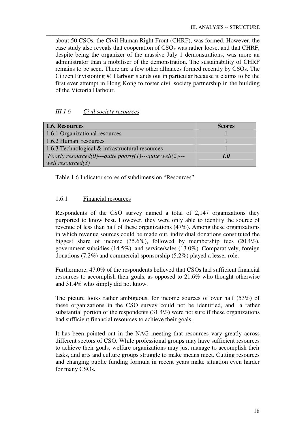about 50 CSOs, the Civil Human Right Front (CHRF), was formed. However, the case study also reveals that cooperation of CSOs was rather loose, and that CHRF, despite being the organizer of the massive July 1 demonstrations, was more an administrator than a mobiliser of the demonstration. The sustainability of CHRF remains to be seen. There are a few other alliances formed recently by CSOs. The Citizen Envisioning @ Harbour stands out in particular because it claims to be the first ever attempt in Hong Kong to foster civil society partnership in the building of the Victoria Harbour.

\_\_\_\_\_\_\_\_\_\_\_\_\_\_\_\_\_\_\_\_\_\_\_\_\_\_\_\_\_\_\_\_\_\_\_\_\_\_\_\_\_\_\_\_\_\_\_\_\_\_\_\_\_\_\_\_\_\_\_\_\_\_\_\_\_\_\_\_\_\_\_\_\_\_\_\_\_\_\_\_\_\_\_

## *III.1 6 Civil society resources*

| 1.6. Resources                                           | <b>Scores</b> |
|----------------------------------------------------------|---------------|
| 1.6.1 Organizational resources                           |               |
| 1.6.2 Human resources                                    |               |
| 1.6.3 Technological $&$ infrastructural resources        |               |
| Poorly resourced(0)---quite poorly(1)---quite well(2)--- | 1.0           |
| well resourced $(3)$                                     |               |

Table 1.6 Indicator scores of subdimension "Resources"

## 1.6.1 Financial resources

Respondents of the CSO survey named a total of 2,147 organizations they purported to know best. However, they were only able to identify the source of revenue of less than half of these organizations (47%). Among these organizations in which revenue sources could be made out, individual donations constituted the biggest share of income (35.6%), followed by membership fees (20.4%), government subsidies (14.5%), and service/sales (13.0%). Comparatively, foreign donations (7.2%) and commercial sponsorship (5.2%) played a lesser role.

Furthermore, 47.0% of the respondents believed that CSOs had sufficient financial resources to accomplish their goals, as opposed to 21.6% who thought otherwise and 31.4% who simply did not know.

The picture looks rather ambiguous, for income sources of over half (53%) of these organizations in the CSO survey could not be identified, and a rather substantial portion of the respondents (31.4%) were not sure if these organizations had sufficient financial resources to achieve their goals.

It has been pointed out in the NAG meeting that resources vary greatly across different sectors of CSO. While professional groups may have sufficient resources to achieve their goals, welfare organizations may just manage to accomplish their tasks, and arts and culture groups struggle to make means meet. Cutting resources and changing public funding formula in recent years make situation even harder for many CSOs.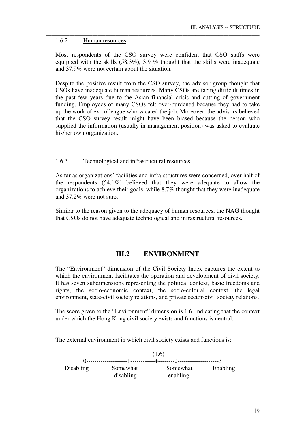#### 1.6.2 Human resources

Most respondents of the CSO survey were confident that CSO staffs were equipped with the skills (58.3%), 3.9 % thought that the skills were inadequate and 37.9% were not certain about the situation.

\_\_\_\_\_\_\_\_\_\_\_\_\_\_\_\_\_\_\_\_\_\_\_\_\_\_\_\_\_\_\_\_\_\_\_\_\_\_\_\_\_\_\_\_\_\_\_\_\_\_\_\_\_\_\_\_\_\_\_\_\_\_\_\_\_\_\_\_\_\_\_\_\_\_\_\_\_\_\_\_\_\_\_

Despite the positive result from the CSO survey, the advisor group thought that CSOs have inadequate human resources. Many CSOs are facing difficult times in the past few years due to the Asian financial crisis and cutting of government funding. Employees of many CSOs felt over-burdened because they had to take up the work of ex-colleague who vacated the job. Moreover, the advisors believed that the CSO survey result might have been biased because the person who supplied the information (usually in management position) was asked to evaluate his/her own organization.

#### 1.6.3 Technological and infrastructural resources

As far as organizations' facilities and infra-structures were concerned, over half of the respondents (54.1%) believed that they were adequate to allow the organizations to achieve their goals, while 8.7% thought that they were inadequate and 37.2% were not sure.

Similar to the reason given to the adequacy of human resources, the NAG thought that CSOs do not have adequate technological and infrastructural resources.

## **III.2 ENVIRONMENT**

The "Environment" dimension of the Civil Society Index captures the extent to which the environment facilitates the operation and development of civil society. It has seven subdimensions representing the political context, basic freedoms and rights, the socio-economic context, the socio-cultural context, the legal environment, state-civil society relations, and private sector-civil society relations.

The score given to the "Environment" dimension is 1.6, indicating that the context under which the Hong Kong civil society exists and functions is neutral.

The external environment in which civil society exists and functions is:

 (1.6) 0--------------------1------------♦--------2--------------------3 Disabling Somewhat Somewhat Enabling disabling enabling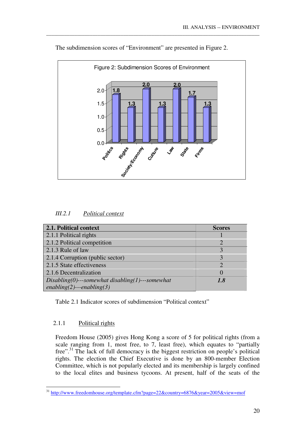

The subdimension scores of "Environment" are presented in Figure 2.

\_\_\_\_\_\_\_\_\_\_\_\_\_\_\_\_\_\_\_\_\_\_\_\_\_\_\_\_\_\_\_\_\_\_\_\_\_\_\_\_\_\_\_\_\_\_\_\_\_\_\_\_\_\_\_\_\_\_\_\_\_\_\_\_\_\_\_\_\_\_\_\_\_\_\_\_\_\_\_\_\_\_\_

| <i>III.2.1</i> | Political context |  |
|----------------|-------------------|--|
|                |                   |  |

| 2.1. Political context                             | <b>Scores</b>               |
|----------------------------------------------------|-----------------------------|
| 2.1.1 Political rights                             |                             |
| 2.1.2 Political competition                        | $\mathcal{D}_{\mathcal{A}}$ |
| 2.1.3 Rule of law                                  | 3                           |
| 2.1.4 Corruption (public sector)                   |                             |
| 2.1.5 State effectiveness                          | $\overline{2}$              |
| 2.1.6 Decentralization                             | $\theta$                    |
| $Disabling(0)$ ---somewhat disabling(1)---somewhat | 1.8                         |
| $enabling(2)--enabling(3)$                         |                             |

Table 2.1 Indicator scores of subdimension "Political context"

#### 2.1.1 Political rights

Freedom House (2005) gives Hong Kong a score of 5 for political rights (from a scale ranging from 1, most free, to 7, least free), which equates to "partially free".<sup>31</sup> The lack of full democracy is the biggest restriction on people's political rights. The election the Chief Executive is done by an 800-member Election Committee, which is not popularly elected and its membership is largely confined to the local elites and business tycoons. At present, half of the seats of the

<sup>&</sup>lt;u>.</u> <sup>31</sup> http://www.freedomhouse.org/template.cfm?page=22&country=6876&year=2005&view=mof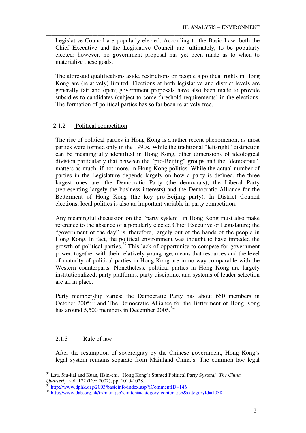Legislative Council are popularly elected. According to the Basic Law, both the Chief Executive and the Legislative Council are, ultimately, to be popularly elected; however, no government proposal has yet been made as to when to materialize these goals.

\_\_\_\_\_\_\_\_\_\_\_\_\_\_\_\_\_\_\_\_\_\_\_\_\_\_\_\_\_\_\_\_\_\_\_\_\_\_\_\_\_\_\_\_\_\_\_\_\_\_\_\_\_\_\_\_\_\_\_\_\_\_\_\_\_\_\_\_\_\_\_\_\_\_\_\_\_\_\_\_\_\_\_

The aforesaid qualifications aside, restrictions on people's political rights in Hong Kong are (relatively) limited. Elections at both legislative and district levels are generally fair and open; government proposals have also been made to provide subsidies to candidates (subject to some threshold requirements) in the elections. The formation of political parties has so far been relatively free.

## 2.1.2 Political competition

The rise of political parties in Hong Kong is a rather recent phenomenon, as most parties were formed only in the 1990s. While the traditional "left-right" distinction can be meaningfully identified in Hong Kong, other dimensions of ideological division particularly that between the "pro-Beijing" groups and the "democrats", matters as much, if not more, in Hong Kong politics. While the actual number of parties in the Legislature depends largely on how a party is defined, the three largest ones are: the Democratic Party (the democrats), the Liberal Party (representing largely the business interests) and the Democratic Alliance for the Betterment of Hong Kong (the key pro-Beijing party). In District Council elections, local politics is also an important variable in party competition.

Any meaningful discussion on the "party system" in Hong Kong must also make reference to the absence of a popularly elected Chief Executive or Legislature; the "government of the day" is, therefore, largely out of the hands of the people in Hong Kong. In fact, the political environment was thought to have impeded the growth of political parties.<sup>32</sup> This lack of opportunity to compete for government power, together with their relatively young age, means that resources and the level of maturity of political parties in Hong Kong are in no way comparable with the Western counterparts. Nonetheless, political parties in Hong Kong are largely institutionalized; party platforms, party discipline, and systems of leader selection are all in place.

Party membership varies: the Democratic Party has about 650 members in October 2005;<sup>33</sup> and The Democratic Alliance for the Betterment of Hong Kong has around 5,500 members in December 2005.<sup>34</sup>

## 2.1.3 Rule of law

After the resumption of sovereignty by the Chinese government, Hong Kong's legal system remains separate from Mainland China's. The common law legal

<sup>&</sup>lt;u>.</u> <sup>32</sup> Lau, Siu-kai and Kuan, Hsin-chi. "Hong Kong's Stunted Political Party System," *The China Quarterly*, vol. 172 (Dec 2002), pp. 1010-1028.

http://www.dphk.org/2003/basicinfo/index.asp?iCommentID=146

<sup>34</sup> http://www.dab.org.hk/tr/main.jsp?content=category-content.jsp&categoryId=1038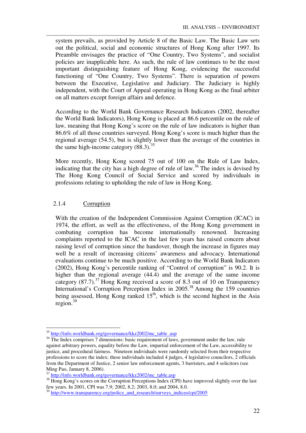system prevails, as provided by Article 8 of the Basic Law. The Basic Law sets out the political, social and economic structures of Hong Kong after 1997. Its Preamble envisages the practice of "One Country, Two Systems", and socialist policies are inapplicable here. As such, the rule of law continues to be the most important distinguishing feature of Hong Kong, evidencing the successful functioning of "One Country, Two Systems". There is separation of powers between the Executive, Legislative and Judiciary. The Judiciary is highly independent, with the Court of Appeal operating in Hong Kong as the final arbiter on all matters except foreign affairs and defence.

\_\_\_\_\_\_\_\_\_\_\_\_\_\_\_\_\_\_\_\_\_\_\_\_\_\_\_\_\_\_\_\_\_\_\_\_\_\_\_\_\_\_\_\_\_\_\_\_\_\_\_\_\_\_\_\_\_\_\_\_\_\_\_\_\_\_\_\_\_\_\_\_\_\_\_\_\_\_\_\_\_\_\_

According to the World Bank Governance Research Indicators (2002, thereafter the World Bank Indicators), Hong Kong is placed at 86.6 percentile on the rule of law, meaning that Hong Kong's score on the rule of law indicators is higher than 86.6% of all those countries surveyed. Hong Kong's score is much higher than the regional average (54.5), but is slightly lower than the average of the countries in the same high-income category  $(88.3).^{35}$ 

More recently, Hong Kong scored 75 out of 100 on the Rule of Law Index, indicating that the city has a high degree of rule of law.<sup>36</sup> The index is devised by The Hong Kong Council of Social Service and scored by individuals in professions relating to upholding the rule of law in Hong Kong.

## 2.1.4 Corruption

-

With the creation of the Independent Commission Against Corruption (ICAC) in 1974, the effort, as well as the effectiveness, of the Hong Kong government in combating corruption has become internationally renowned. Increasing complaints reported to the ICAC in the last few years has raised concern about raising level of corruption since the handover, though the increase in figures may well be a result of increasing citizens' awareness and advocacy. International evaluations continue to be much positive. According to the World Bank Indicators (2002), Hong Kong's percentile ranking of "Control of corruption" is 90.2. It is higher than the regional average (44.4) and the average of the same income category (87.7).<sup>37</sup> Hong Kong received a score of 8.3 out of 10 on Transparency International's Corruption Perception Index in 2005.<sup>38</sup> Among the 159 countries being assessed, Hong Kong ranked  $15<sup>th</sup>$ , which is the second highest in the Asia region.<sup>39</sup>

<sup>&</sup>lt;sup>35</sup> http://info.worldbank.org/governance/kkz2002/mc\_table .asp

<sup>&</sup>lt;sup>36</sup> The Index comprises 7 dimensions: basic requirement of laws, government under the law, rule against arbitrary powers, equality before the Law, impartial enforcement of the Law, accessibility to justice, and procedural fairness. Nineteen individuals were randomly selected from their respective professions to score the index; these individuals included 4 judges, 4 legislative councilors, 2 officials from the Department of Justice, 2 senior law enforcement agents, 3 barristers, and 4 solicitors (see Ming Pao, January 8, 2006).

<sup>37</sup> http://info.worldbank.org/governance/kkz2002/mc\_table.asp

<sup>&</sup>lt;sup>38</sup> Hong Kong's scores on the Corruption Perceptions Index (CPI) have improved slightly over the last few years. In 2001, CPI was 7.9; 2002, 8.2; 2003, 8.0; and 2004, 8.0.

<sup>&</sup>lt;sup>39</sup> http://www.transparency.org/policy\_and\_research/surveys\_indices/cpi/2005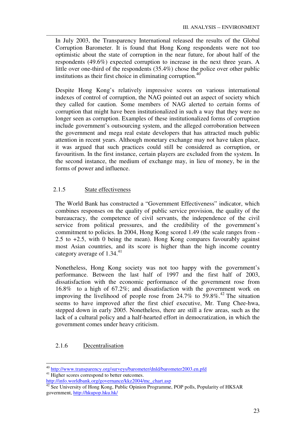In July 2003, the Transparency International released the results of the Global Corruption Barometer. It is found that Hong Kong respondents were not too optimistic about the state of corruption in the near future, for about half of the respondents (49.6%) expected corruption to increase in the next three years. A little over one-third of the respondents (35.4%) chose the police over other public institutions as their first choice in eliminating corruption. $40$ 

\_\_\_\_\_\_\_\_\_\_\_\_\_\_\_\_\_\_\_\_\_\_\_\_\_\_\_\_\_\_\_\_\_\_\_\_\_\_\_\_\_\_\_\_\_\_\_\_\_\_\_\_\_\_\_\_\_\_\_\_\_\_\_\_\_\_\_\_\_\_\_\_\_\_\_\_\_\_\_\_\_\_\_

Despite Hong Kong's relatively impressive scores on various international indexes of control of corruption, the NAG pointed out an aspect of society which they called for caution. Some members of NAG alerted to certain forms of corruption that might have been institutionalized in such a way that they were no longer seen as corruption. Examples of these institutionalized forms of corruption include government's outsourcing system, and the alleged corroboration between the government and mega real estate developers that has attracted much public attention in recent years. Although monetary exchange may not have taken place, it was argued that such practices could still be considered as corruption, or favouritism. In the first instance, certain players are excluded from the system. In the second instance, the medium of exchange may, in lieu of money, be in the forms of power and influence.

## 2.1.5 State effectiveness

The World Bank has constructed a "Government Effectiveness" indicator, which combines responses on the quality of public service provision, the quality of the bureaucracy, the competence of civil servants, the independence of the civil service from political pressures, and the credibility of the government's commitment to policies. In 2004, Hong Kong scored 1.49 (the scale ranges from - 2.5 to  $+2.5$ , with 0 being the mean). Hong Kong compares favourably against most Asian countries, and its score is higher than the high income country category average of  $1.34.^{41}$ 

Nonetheless, Hong Kong society was not too happy with the government's performance. Between the last half of 1997 and the first half of 2003, dissatisfaction with the economic performance of the government rose from 16.8% to a high of 67.2%; and dissatisfaction with the government work on improving the livelihood of people rose from  $24.7\%$  to  $59.8\%$ <sup>42</sup> The situation seems to have improved after the first chief executive, Mr. Tung Chee-hwa, stepped down in early 2005. Nonetheless, there are still a few areas, such as the lack of a cultural policy and a half-hearted effort in democratization, in which the government comes under heavy criticism.

## 2.1.6 Decentralisation

-

<sup>&</sup>lt;sup>40</sup> http://www.transparency.org/surveys/barometer/dnld/barometer2003.en.pfd <sup>41</sup> Higher scores correspond to better outcomes.

http://info.worldbank.org/governance/kkz2004/mc\_chart.asp

 $42$  See University of Hong Kong, Public Opinion Programme, POP polls, Popularity of HKSAR government, http://hkupop.hku.hk/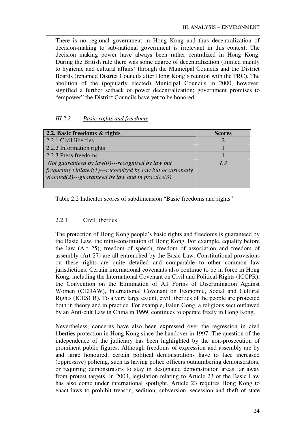There is no regional government in Hong Kong and thus decentralization of decision-making to sub-national government is irrelevant in this context. The decision making power have always been rather centralized in Hong Kong. During the British rule there was some degree of decentralization (limited mainly to hygienic and cultural affairs) through the Municipal Councils and the District Boards (renamed District Councils after Hong Kong's reunion with the PRC). The abolition of the (popularly elected) Municipal Councils in 2000, however, signified a further setback of power decentralization; government promises to "empower" the District Councils have yet to be honored.

\_\_\_\_\_\_\_\_\_\_\_\_\_\_\_\_\_\_\_\_\_\_\_\_\_\_\_\_\_\_\_\_\_\_\_\_\_\_\_\_\_\_\_\_\_\_\_\_\_\_\_\_\_\_\_\_\_\_\_\_\_\_\_\_\_\_\_\_\_\_\_\_\_\_\_\_\_\_\_\_\_\_\_

## *III.2.2 Basic rights and freedoms*

| 2.2. Basic freedoms & rights                                    | <b>Scores</b> |
|-----------------------------------------------------------------|---------------|
| 2.2.1 Civil liberties                                           |               |
| 2.2.2 Information rights                                        |               |
| 2.2.3 Press freedoms                                            |               |
| Not guaranteed by $law(0)$ ---recognized by law but             | 1.3           |
| $frequently violated (1) -- recognized by law but occasionally$ |               |
| violated(2)---guaranteed by law and in practice(3)              |               |
|                                                                 |               |

Table 2.2 Indicator scores of subdimension "Basic freedoms and rights"

## 2.2.1 Civil liberties

The protection of Hong Kong people's basic rights and freedoms is guaranteed by the Basic Law, the mini-constitution of Hong Kong. For example, equality before the law (Art 25), freedom of speech, freedom of association and freedom of assembly (Art 27) are all entrenched by the Basic Law. Constitutional provisions on these rights are quite detailed and comparable to other common law jurisdictions. Certain international covenants also continue to be in force in Hong Kong, including the International Covenant on Civil and Political Rights (ICCPR), the Convention on the Elimination of All Forms of Discrimination Against Women (CEDAW), International Covenant on Economic, Social and Cultural Rights (ICESCR). To a very large extent, civil liberties of the people are protected both in theory and in practice. For example, Falun Gong, a religious sect outlawed by an Anti-cult Law in China in 1999, continues to operate freely in Hong Kong.

Nevertheless, concerns have also been expressed over the regression in civil liberties protection in Hong Kong since the handover in 1997. The question of the independence of the judiciary has been highlighted by the non-prosecution of prominent public figures. Although freedoms of expression and assembly are by and large honoured, certain political demonstrations have to face increased (oppressive) policing, such as having police officers outnumbering demonstrators, or requiring demonstrators to stay in designated demonstration areas far away from protest targets. In 2003, legislation relating to Article 23 of the Basic Law has also come under international spotlight. Article 23 requires Hong Kong to enact laws to prohibit treason, sedition, subversion, secession and theft of state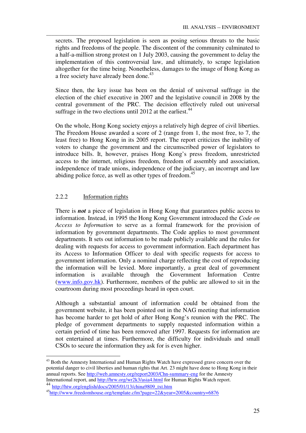secrets. The proposed legislation is seen as posing serious threats to the basic rights and freedoms of the people. The discontent of the community culminated to a half-a-million strong protest on 1 July 2003, causing the government to delay the implementation of this controversial law, and ultimately, to scrape legislation altogether for the time being. Nonetheless, damages to the image of Hong Kong as a free society have already been done.<sup>43</sup>

\_\_\_\_\_\_\_\_\_\_\_\_\_\_\_\_\_\_\_\_\_\_\_\_\_\_\_\_\_\_\_\_\_\_\_\_\_\_\_\_\_\_\_\_\_\_\_\_\_\_\_\_\_\_\_\_\_\_\_\_\_\_\_\_\_\_\_\_\_\_\_\_\_\_\_\_\_\_\_\_\_\_\_

Since then, the key issue has been on the denial of universal suffrage in the election of the chief executive in 2007 and the legislative council in 2008 by the central government of the PRC. The decision effectively ruled out universal suffrage in the two elections until 2012 at the earliest.<sup>44</sup>

On the whole, Hong Kong society enjoys a relatively high degree of civil liberties. The Freedom House awarded a score of 2 (range from 1, the most free, to 7, the least free) to Hong Kong in its 2005 report. The report criticizes the inability of voters to change the government and the circumscribed power of legislators to introduce bills. It, however, praises Hong Kong's press freedom, unrestricted access to the internet, religious freedom, freedom of assembly and association, independence of trade unions, independence of the judiciary, an incorrupt and law abiding police force, as well as other types of freedom.<sup>45</sup>

## 2.2.2 Information rights

There is *not* a piece of legislation in Hong Kong that guarantees public access to information. Instead, in 1995 the Hong Kong Government introduced the *Code on Access to Information* to serve as a formal framework for the provision of information by government departments. The Code applies to most government departments. It sets out information to be made publicly available and the rules for dealing with requests for access to government information. Each department has its Access to Information Officer to deal with specific requests for access to government information. Only a nominal charge reflecting the cost of reproducing the information will be levied. More importantly, a great deal of government information is available through the Government Information Centre (www.info.gov.hk). Furthermore, members of the public are allowed to sit in the courtroom during most proceedings heard in open court.

Although a substantial amount of information could be obtained from the government website, it has been pointed out in the NAG meeting that information has become harder to get hold of after Hong Kong's reunion with the PRC. The pledge of government departments to supply requested information within a certain period of time has been removed after 1997. Requests for information are not entertained at times. Furthermore, the difficulty for individuals and small CSOs to secure the information they ask for is even higher.

-

<sup>&</sup>lt;sup>43</sup> Both the Amnesty International and Human Rights Watch have expressed grave concern over the potential danger to civil liberties and human rights that Art. 23 might have done to Hong Kong in their annual reports. See http://web.amnesty.org/report2003/Chn-summary-eng for the Amnesty International report, and http://hrw.org/wr2k3/asia4.html for Human Rights Watch report. <sup>44</sup> http://htw.org/english/docs/2005/01/13/china9809\_txt.htm

<sup>45</sup>http://www.freedomhouse.org/template.cfm?page=22&year=2005&country=6876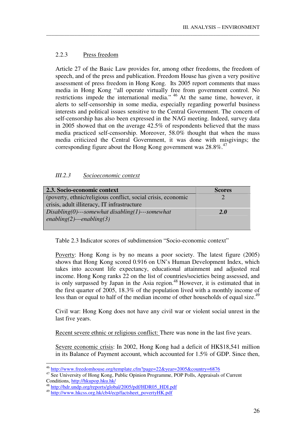## 2.2.3 Press freedom

Article 27 of the Basic Law provides for, among other freedoms, the freedom of speech, and of the press and publication. Freedom House has given a very positive assessment of press freedom in Hong Kong. Its 2005 report comments that mass media in Hong Kong "all operate virtually free from government control. No restrictions impede the international media." <sup>46</sup> At the same time, however, it alerts to self-censorship in some media, especially regarding powerful business interests and political issues sensitive to the Central Government. The concern of self-censorship has also been expressed in the NAG meeting. Indeed, survey data in 2005 showed that on the average 42.5% of respondents believed that the mass media practiced self-censorship. Moreover, 58.0% thought that when the mass media criticized the Central Government, it was done with misgivings; the corresponding figure about the Hong Kong government was  $28.8\%$ <sup>47</sup>

\_\_\_\_\_\_\_\_\_\_\_\_\_\_\_\_\_\_\_\_\_\_\_\_\_\_\_\_\_\_\_\_\_\_\_\_\_\_\_\_\_\_\_\_\_\_\_\_\_\_\_\_\_\_\_\_\_\_\_\_\_\_\_\_\_\_\_\_\_\_\_\_\_\_\_\_\_\_\_\_\_\_\_

#### *III.2.3 Socioeconomic context*

| 2.3. Socio-economic context                                  | <b>Scores</b> |
|--------------------------------------------------------------|---------------|
| (poverty, ethnic/religious conflict, social crisis, economic |               |
| crisis, adult illiteracy, IT infrastructure                  |               |
| $Disabling(0)$ ---somewhat disabling(1)---somewhat           | <b>2.0</b>    |
| enabling(2)---enabling(3)                                    |               |
|                                                              |               |

Table 2.3 Indicator scores of subdimension "Socio-economic context"

Poverty: Hong Kong is by no means a poor society. The latest figure (2005) shows that Hong Kong scored 0.916 on UN's Human Development Index, which takes into account life expectancy, educational attainment and adjusted real income. Hong Kong ranks 22 on the list of countries/societies being assessed, and is only surpassed by Japan in the Asia region. $48$  However, it is estimated that in the first quarter of 2005, 18.3% of the population lived with a monthly income of less than or equal to half of the median income of other households of equal size.<sup>49</sup>

Civil war: Hong Kong does not have any civil war or violent social unrest in the last five years.

Recent severe ethnic or religious conflict: There was none in the last five years.

Severe economic crisis: In 2002, Hong Kong had a deficit of HK\$18,541 million in its Balance of Payment account, which accounted for 1.5% of GDP. Since then,

-

<sup>&</sup>lt;sup>46</sup> http://www.freedomhouse.org/template.cfm?page=22&year=2005&country=6876

<sup>&</sup>lt;sup>47</sup> See University of Hong Kong, Public Opinion Programme, POP Polls, Appraisals of Current Conditions, http://hkupop.hku.hk/

<sup>&</sup>lt;sup>48</sup> http://hdr.undp.org/reports/global/2005/pdf/HDR05\_HDI.pdf

<sup>49</sup> http://www.hkcss.org.hk/cb4/ecp/factsheet\_povertyHK.pdf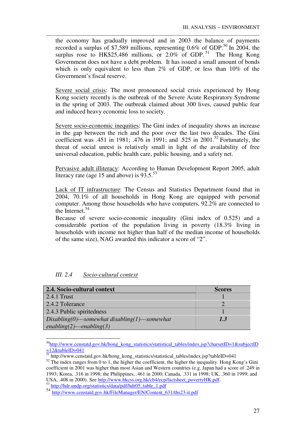the economy has gradually improved and in 2003 the balance of payments recorded a surplus of \$7,589 millions, representing  $0.6\%$  of GDP.<sup>50</sup> In 2004, the surplus rose to HK\$25,486 millions, or  $2.0\%$  of GDP.<sup>51</sup> The Hong Kong Government does not have a debt problem. It has issued a small amount of bonds which is only equivalent to less than 2% of GDP, or less than 10% of the Government's fiscal reserve.

\_\_\_\_\_\_\_\_\_\_\_\_\_\_\_\_\_\_\_\_\_\_\_\_\_\_\_\_\_\_\_\_\_\_\_\_\_\_\_\_\_\_\_\_\_\_\_\_\_\_\_\_\_\_\_\_\_\_\_\_\_\_\_\_\_\_\_\_\_\_\_\_\_\_\_\_\_\_\_\_\_\_\_

Severe social crisis: The most pronounced social crisis experienced by Hong Kong society recently is the outbreak of the Severe Acute Respiratory Syndrome in the spring of 2003. The outbreak claimed about 300 lives, caused public fear and induced heavy economic loss to society.

Severe socio-economic inequities: The Gini index of inequality shows an increase in the gap between the rich and the poor over the last two decades. The Gini coefficient was .451 in 1981; .476 in 1991; and .525 in 2001.<sup>52</sup> Fortunately, the threat of social unrest is relatively small in light of the availability of free universal education, public health care, public housing, and a safety net.

Pervasive adult illiteracy: According to Human Development Report 2005, adult literacy rate (age 15 and above) is  $93.5^{53}$ 

Lack of IT infrastructure: The Census and Statistics Department found that in 2004, 70.1% of all households in Hong Kong are equipped with personal computer. Among those households who have computers, 92.2% are connected to the Internet.<sup>54</sup>

Because of severe socio-economic inequality (Gini index of 0.525) and a considerable portion of the population living in poverty (18.3% living in households with income not higher than half of the median income of households of the same size), NAG awarded this indicator a score of "2".

| III. $2.4$ | Socio-cultural context |  |
|------------|------------------------|--|
|            |                        |  |

<u>.</u>

| 2.4. Socio-cultural context                        | <b>Scores</b> |
|----------------------------------------------------|---------------|
| $2.4.1$ Trust                                      |               |
| 2.4.2 Tolerance                                    |               |
| 2.4.3 Public spiritedness                          |               |
| $Disabling(0)$ ---somewhat disabling(1)---somewhat | 1.3           |
| enabling(2)---enabling(3)                          |               |

<sup>50</sup>http://www.censtatd.gov.hk/hong\_kong\_statistics/statistical\_tables/index.jsp?charsetID=1&subjectID  $=12$ &tableID=041

<sup>53</sup> http://hdr.undp.org/statistics/data/pdf/hdr05\_table\_1.pdf

<sup>&</sup>lt;sup>51</sup> http://www.censtatd.gov.hk/hong\_kong\_statistics/statistical\_tables/index.jsp?tableID=041  $52$  The index ranges from 0 to 1, the higher the coefficient, the higher the inequality. Hong Kong's Gini coefficient in 2001 was higher than most Asian and Western countries (e.g. Japan had a score of .249 in 1993; Korea, .316 in 1998; the Philippines, .461 in 2000; Canada, .331 in 1998; UK, .360 in 1999; and USA, .408 in 2000). See http://www.hkcss.org.hk/cb4/ecp/factsheet\_povertyHK.pdf.

<sup>54</sup> http://www.censtatd.gov.hk/FileManager/EN/Content\_631/ths23-it.pdf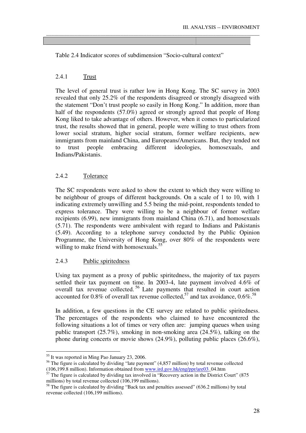Table 2.4 Indicator scores of subdimension "Socio-cultural context"

\_\_\_\_\_\_\_\_\_\_\_\_\_\_\_\_\_\_\_\_\_\_\_\_\_\_\_\_\_\_\_\_\_\_\_\_\_\_\_\_\_\_\_\_\_\_\_\_\_\_\_\_\_\_\_\_\_\_\_\_\_\_\_\_\_\_\_\_\_\_\_\_\_\_\_\_\_\_\_\_\_\_\_

## 2.4.1 Trust

The level of general trust is rather low in Hong Kong. The SC survey in 2003 revealed that only 25.2% of the respondents disagreed or strongly disagreed with the statement "Don't trust people so easily in Hong Kong." In addition, more than half of the respondents (57.0%) agreed or strongly agreed that people of Hong Kong liked to take advantage of others. However, when it comes to particularized trust, the results showed that in general, people were willing to trust others from lower social stratum, higher social stratum, former welfare recipients, new immigrants from mainland China, and Europeans/Americans. But, they tended not to trust people embracing different ideologies, homosexuals, and Indians/Pakistanis.

## 2.4.2 Tolerance

The SC respondents were asked to show the extent to which they were willing to be neighbour of groups of different backgrounds. On a scale of 1 to 10, with 1 indicating extremely unwilling and 5.5 being the mid-point, respondents tended to express tolerance. They were willing to be a neighbour of former welfare recipients (6.99), new immigrants from mainland China (6.71), and homosexuals (5.71). The respondents were ambivalent with regard to Indians and Pakistanis (5.49). According to a telephone survey conducted by the Public Opinion Programme, the University of Hong Kong, over 80% of the respondents were willing to make friend with homosexuals.<sup>55</sup>

#### 2.4.3 Public spiritedness

Using tax payment as a proxy of public spiritedness, the majority of tax payers settled their tax payment on time. In 2003-4, late payment involved 4.6% of overall tax revenue collected.<sup>56</sup> Late payments that resulted in court action accounted for 0.8% of overall tax revenue collected,<sup>57</sup> and tax avoidance,  $0.6\%$ .<sup>58</sup>

In addition, a few questions in the CE survey are related to public spiritedness. The percentages of the respondents who claimed to have encountered the following situations a lot of times or very often are: jumping queues when using public transport (25.7%), smoking in non-smoking area (24.5%), talking on the phone during concerts or movie shows (24.9%), polluting public places (26.6%),

<u>.</u>

<sup>&</sup>lt;sup>55</sup> It was reported in Ming Pao January 23, 2006.

<sup>&</sup>lt;sup>56</sup> The figure is calculated by dividing "late payment" (4,857 million) by total revenue collected (106,199.8 million). Information obtained from www.ird.gov.hk/eng/ppr/are03\_04.htm

 $57$  The figure is calculated by dividing tax involved in "Recovery action in the District Court" (875 millions) by total revenue collected (106,199 millions).

<sup>&</sup>lt;sup>58</sup> The figure is calculated by dividing "Back tax and penalties assessed" (636.2 millions) by total revenue collected (106,199 millions).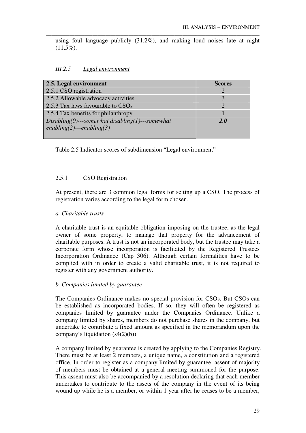using foul language publicly (31.2%), and making loud noises late at night  $(11.5\%).$ 

\_\_\_\_\_\_\_\_\_\_\_\_\_\_\_\_\_\_\_\_\_\_\_\_\_\_\_\_\_\_\_\_\_\_\_\_\_\_\_\_\_\_\_\_\_\_\_\_\_\_\_\_\_\_\_\_\_\_\_\_\_\_\_\_\_\_\_\_\_\_\_\_\_\_\_\_\_\_\_\_\_\_\_

#### *III.2.5 Legal environment*

| 2.5. Legal environment                             | <b>Scores</b> |
|----------------------------------------------------|---------------|
| 2.5.1 CSO registration                             |               |
| 2.5.2 Allowable advocacy activities                |               |
| 2.5.3 Tax laws favourable to CSOs                  |               |
| 2.5.4 Tax benefits for philanthropy                |               |
| $Disabling(0)$ ---somewhat disabling(1)---somewhat | 2.O           |
| enabling(2)---enabling(3)                          |               |
|                                                    |               |

Table 2.5 Indicator scores of subdimension "Legal environment"

## 2.5.1 CSO Registration

At present, there are 3 common legal forms for setting up a CSO. The process of registration varies according to the legal form chosen.

#### *a. Charitable trusts*

A charitable trust is an equitable obligation imposing on the trustee, as the legal owner of some property, to manage that property for the advancement of charitable purposes. A trust is not an incorporated body, but the trustee may take a corporate form whose incorporation is facilitated by the Registered Trustees Incorporation Ordinance (Cap 306). Although certain formalities have to be complied with in order to create a valid charitable trust, it is not required to register with any government authority.

#### *b. Companies limited by guarantee*

The Companies Ordinance makes no special provision for CSOs. But CSOs can be established as incorporated bodies. If so, they will often be registered as companies limited by guarantee under the Companies Ordinance. Unlike a company limited by shares, members do not purchase shares in the company, but undertake to contribute a fixed amount as specified in the memorandum upon the company's liquidation  $(s4(2)(b))$ .

A company limited by guarantee is created by applying to the Companies Registry. There must be at least 2 members, a unique name, a constitution and a registered office. In order to register as a company limited by guarantee, assent of majority of members must be obtained at a general meeting summoned for the purpose. This assent must also be accompanied by a resolution declaring that each member undertakes to contribute to the assets of the company in the event of its being wound up while he is a member, or within 1 year after he ceases to be a member,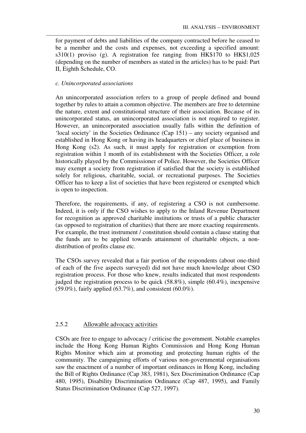for payment of debts and liabilities of the company contracted before he ceased to be a member and the costs and expenses, not exceeding a specified amount: s310(1) proviso (g). A registration fee ranging from HK\$170 to HK\$1,025 (depending on the number of members as stated in the articles) has to be paid: Part II, Eighth Schedule, CO.

\_\_\_\_\_\_\_\_\_\_\_\_\_\_\_\_\_\_\_\_\_\_\_\_\_\_\_\_\_\_\_\_\_\_\_\_\_\_\_\_\_\_\_\_\_\_\_\_\_\_\_\_\_\_\_\_\_\_\_\_\_\_\_\_\_\_\_\_\_\_\_\_\_\_\_\_\_\_\_\_\_\_\_

### *c. Unincorporated associations*

An unincorporated association refers to a group of people defined and bound together by rules to attain a common objective. The members are free to determine the nature, extent and constitutional structure of their association. Because of its unincorporated status, an unincorporated association is not required to register. However, an unincorporated association usually falls within the definition of 'local society' in the Societies Ordinance (Cap 151) – any society organised and established in Hong Kong or having its headquarters or chief place of business in Hong Kong (s2). As such, it must apply for registration or exemption from registration within 1 month of its establishment with the Societies Officer, a role historically played by the Commissioner of Police. However, the Societies Officer may exempt a society from registration if satisfied that the society is established solely for religious, charitable, social, or recreational purposes. The Societies Officer has to keep a list of societies that have been registered or exempted which is open to inspection.

Therefore, the requirements, if any, of registering a CSO is not cumbersome. Indeed, it is only if the CSO wishes to apply to the Inland Revenue Department for recognition as approved charitable institutions or trusts of a public character (as opposed to registration of charities) that there are more exacting requirements. For example, the trust instrument / constitution should contain a clause stating that the funds are to be applied towards attainment of charitable objects, a nondistribution of profits clause etc.

The CSOs survey revealed that a fair portion of the respondents (about one-third of each of the five aspects surveyed) did not have much knowledge about CSO registration process. For those who knew, results indicated that most respondents judged the registration process to be quick (58.8%), simple (60.4%), inexpensive  $(59.0\%)$ , fairly applied  $(63.7\%)$ , and consistent  $(60.0\%)$ .

### 2.5.2 Allowable advocacy activities

CSOs are free to engage to advocacy / criticise the government. Notable examples include the Hong Kong Human Rights Commission and Hong Kong Human Rights Monitor which aim at promoting and protecting human rights of the community. The campaigning efforts of various non-governmental organisations saw the enactment of a number of important ordinances in Hong Kong, including the Bill of Rights Ordinance (Cap 383, 1981), Sex Discrimination Ordinance (Cap 480, 1995), Disability Discrimination Ordinance (Cap 487, 1995), and Family Status Discrimination Ordinance (Cap 527, 1997).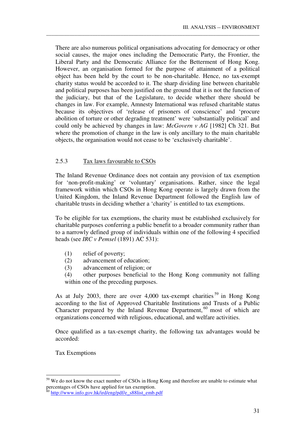There are also numerous political organisations advocating for democracy or other social causes, the major ones including the Democratic Party, the Frontier, the Liberal Party and the Democratic Alliance for the Betterment of Hong Kong. However, an organisation formed for the purpose of attainment of a political object has been held by the court to be non-charitable. Hence, no tax-exempt charity status would be accorded to it. The sharp dividing line between charitable and political purposes has been justified on the ground that it is not the function of the judiciary, but that of the Legislature, to decide whether there should be changes in law. For example, Amnesty International was refused charitable status because its objectives of 'release of prisoners of conscience' and 'procure abolition of torture or other degrading treatment' were 'substantially political' and could only be achieved by changes in law: *McGovern v AG* [1982] Ch 321. But where the promotion of change in the law is only ancillary to the main charitable objects, the organisation would not cease to be 'exclusively charitable'.

\_\_\_\_\_\_\_\_\_\_\_\_\_\_\_\_\_\_\_\_\_\_\_\_\_\_\_\_\_\_\_\_\_\_\_\_\_\_\_\_\_\_\_\_\_\_\_\_\_\_\_\_\_\_\_\_\_\_\_\_\_\_\_\_\_\_\_\_\_\_\_\_\_\_\_\_\_\_\_\_\_\_\_

### 2.5.3 Tax laws favourable to CSOs

The Inland Revenue Ordinance does not contain any provision of tax exemption for 'non-profit-making' or 'voluntary' organisations. Rather, since the legal framework within which CSOs in Hong Kong operate is largely drawn from the United Kingdom, the Inland Revenue Department followed the English law of charitable trusts in deciding whether a 'charity' is entitled to tax exemptions.

To be eligible for tax exemptions, the charity must be established exclusively for charitable purposes conferring a public benefit to a broader community rather than to a narrowly defined group of individuals within one of the following 4 specified heads (see *IRC v Pemsel* (1891) AC 531):

- (1) relief of poverty;
- (2) advancement of education;
- (3) advancement of religion; or

(4) other purposes beneficial to the Hong Kong community not falling within one of the preceding purposes.

As at July 2003, there are over 4,000 tax-exempt charities<sup>59</sup> in Hong Kong according to the list of Approved Charitable Institutions and Trusts of a Public Character prepared by the Inland Revenue Department, <sup>60</sup> most of which are organizations concerned with religious, educational, and welfare activities.

Once qualified as a tax-exempt charity, the following tax advantages would be accorded:

Tax Exemptions

<u>.</u>

<sup>&</sup>lt;sup>59</sup> We do not know the exact number of CSOs in Hong Kong and therefore are unable to estimate what percentages of CSOs have applied for tax exemption.

http://www.info.gov.hk/ird/eng/pdf/e\_s88list\_emb.pdf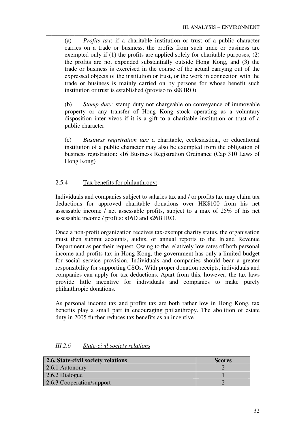(a) *Profits tax*: if a charitable institution or trust of a public character carries on a trade or business, the profits from such trade or business are exempted only if (1) the profits are applied solely for charitable purposes, (2) the profits are not expended substantially outside Hong Kong, and (3) the trade or business is exercised in the course of the actual carrying out of the expressed objects of the institution or trust, or the work in connection with the trade or business is mainly carried on by persons for whose benefit such institution or trust is established (proviso to s88 IRO).

\_\_\_\_\_\_\_\_\_\_\_\_\_\_\_\_\_\_\_\_\_\_\_\_\_\_\_\_\_\_\_\_\_\_\_\_\_\_\_\_\_\_\_\_\_\_\_\_\_\_\_\_\_\_\_\_\_\_\_\_\_\_\_\_\_\_\_\_\_\_\_\_\_\_\_\_\_\_\_\_\_\_\_

(b) *Stamp duty:* stamp duty not chargeable on conveyance of immovable property or any transfer of Hong Kong stock operating as a voluntary disposition inter vivos if it is a gift to a charitable institution or trust of a public character.

(c) *Business registration tax:* a charitable, ecclesiastical, or educational institution of a public character may also be exempted from the obligation of business registration: s16 Business Registration Ordinance (Cap 310 Laws of Hong Kong)

# 2.5.4 Tax benefits for philanthropy:

Individuals and companies subject to salaries tax and / or profits tax may claim tax deductions for approved charitable donations over HK\$100 from his net assessable income / net assessable profits, subject to a max of 25% of his net assessable income / profits: s16D and s26B IRO.

Once a non-profit organization receives tax-exempt charity status, the organisation must then submit accounts, audits, or annual reports to the Inland Revenue Department as per their request. Owing to the relatively low rates of both personal income and profits tax in Hong Kong, the government has only a limited budget for social service provision. Individuals and companies should bear a greater responsibility for supporting CSOs. With proper donation receipts, individuals and companies can apply for tax deductions. Apart from this, however, the tax laws provide little incentive for individuals and companies to make purely philanthropic donations.

As personal income tax and profits tax are both rather low in Hong Kong, tax benefits play a small part in encouraging philanthropy. The abolition of estate duty in 2005 further reduces tax benefits as an incentive.

| 2.6. State-civil society relations | <b>Scores</b> |
|------------------------------------|---------------|
| $\vert$ 2.6.1 Autonomy             |               |
| $\vert$ 2.6.2 Dialogue             |               |
| 2.6.3 Cooperation/support          |               |

# *III.2.6 State-civil society relations*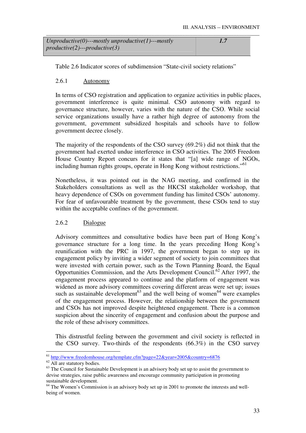| $Unproductive(0)$ ---mostly unproductive(1)---mostly |  |
|------------------------------------------------------|--|
| $productive(2)--productive(3)$                       |  |

Table 2.6 Indicator scores of subdimension "State-civil society relations"

# 2.6.1 Autonomy

In terms of CSO registration and application to organize activities in public places, government interference is quite minimal. CSO autonomy with regard to governance structure, however, varies with the nature of the CSO. While social service organizations usually have a rather high degree of autonomy from the government, government subsidized hospitals and schools have to follow government decree closely.

The majority of the respondents of the CSO survey (69.2%) did not think that the government had exerted undue interference in CSO activities. The 2005 Freedom House Country Report concurs for it states that "[a] wide range of NGOs, including human rights groups, operate in Hong Kong without restrictions."<sup>61</sup>

Nonetheless, it was pointed out in the NAG meeting, and confirmed in the Stakeholders consultations as well as the HKCSI stakeholder workshop, that heavy dependence of CSOs on government funding has limited CSOs' autonomy. For fear of unfavourable treatment by the government, these CSOs tend to stay within the acceptable confines of the government.

### 2.6.2 Dialogue

Advisory committees and consultative bodies have been part of Hong Kong's governance structure for a long time. In the years preceding Hong Kong's reunification with the PRC in 1997, the government began to step up its engagement policy by inviting a wider segment of society to join committees that were invested with certain power, such as the Town Planning Board, the Equal Opportunities Commission, and the Arts Development Council.<sup>62</sup> After 1997, the engagement process appeared to continue and the platform of engagement was widened as more advisory committees covering different areas were set up; issues such as sustainable development<sup>63</sup> and the well being of women<sup>64</sup> were examples of the engagement process. However, the relationship between the government and CSOs has not improved despite heightened engagement. There is a common suspicion about the sincerity of engagement and confusion about the purpose and the role of these advisory committees.

This distrustful feeling between the government and civil society is reflected in the CSO survey. Two-thirds of the respondents (66.3%) in the CSO survey

<u>.</u>

<sup>&</sup>lt;sup>61</sup> http://www.freedomhouse.org/template.cfm?page=22&year=2005&country=6876

 $62 \frac{\text{lnup.} \text{m} \cdot \text{m} \cdot \text{m}}{\text{All are statutory bodies.}}$ 

<sup>&</sup>lt;sup>63</sup> The Council for Sustainable Development is an advisory body set up to assist the government to devise strategies, raise public awareness and encourage community participation in promoting sustainable development.

<sup>&</sup>lt;sup>64</sup> The Women's Commission is an advisory body set up in 2001 to promote the interests and wellbeing of women.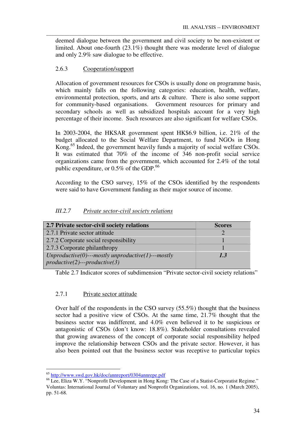deemed dialogue between the government and civil society to be non-existent or limited. About one-fourth (23.1%) thought there was moderate level of dialogue and only 2.9% saw dialogue to be effective.

\_\_\_\_\_\_\_\_\_\_\_\_\_\_\_\_\_\_\_\_\_\_\_\_\_\_\_\_\_\_\_\_\_\_\_\_\_\_\_\_\_\_\_\_\_\_\_\_\_\_\_\_\_\_\_\_\_\_\_\_\_\_\_\_\_\_\_\_\_\_\_\_\_\_\_\_\_\_\_\_\_\_\_

# 2.6.3 Cooperation/support

Allocation of government resources for CSOs is usually done on programme basis, which mainly falls on the following categories: education, health, welfare, environmental protection, sports, and arts & culture. There is also some support for community-based organisations. Government resources for primary and secondary schools as well as subsidized hospitals account for a very high percentage of their income. Such resources are also significant for welfare CSOs.

In 2003-2004, the HKSAR government spent HK\$6.9 billion, i.e. 21% of the budget allocated to the Social Welfare Department, to fund NGOs in Hong Kong.<sup>65</sup> Indeed, the government heavily funds a majority of social welfare CSOs. It was estimated that 70% of the income of 346 non-profit social service organizations came from the government, which accounted for 2.4% of the total public expenditure, or  $0.5\%$  of the GDP.<sup>66</sup>

According to the CSO survey, 15% of the CSOs identified by the respondents were said to have Government funding as their major source of income.

| 2.7 Private sector-civil society relations           | <b>Scores</b> |
|------------------------------------------------------|---------------|
| 2.7.1 Private sector attitude                        |               |
| 2.7.2 Corporate social responsibility                |               |
| 2.7.3 Corporate philanthropy                         |               |
| $Unproductive(0)$ ---mostly unproductive(1)---mostly | 1.3           |
| $productive(2)--productive(3)$                       |               |

# *III.2.7 Private sector-civil society relations*

Table 2.7 Indicator scores of subdimension "Private sector-civil society relations"

# 2.7.1 Private sector attitude

Over half of the respondents in the CSO survey (55.5%) thought that the business sector had a positive view of CSOs. At the same time, 21.7% thought that the business sector was indifferent, and 4.0% even believed it to be suspicious or antagonistic of CSOs (don't know: 18.8%). Stakeholder consultations revealed that growing awareness of the concept of corporate social responsibility helped improve the relationship between CSOs and the private sector. However, it has also been pointed out that the business sector was receptive to particular topics

<sup>&</sup>lt;u>.</u> <sup>65</sup> http://www.swd.gov.hk/doc/annreport/0304annrepe.pdf

<sup>&</sup>lt;sup>66</sup> Lee, Eliza W.Y. "Nonprofit Development in Hong Kong: The Case of a Statist-Corporatist Regime." Voluntas: International Journal of Voluntary and Nonprofit Organizations, vol. 16, no. 1 (March 2005), pp. 51-68.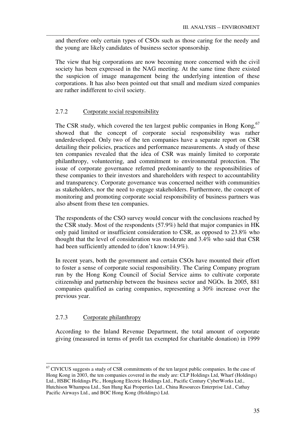and therefore only certain types of CSOs such as those caring for the needy and the young are likely candidates of business sector sponsorship.

\_\_\_\_\_\_\_\_\_\_\_\_\_\_\_\_\_\_\_\_\_\_\_\_\_\_\_\_\_\_\_\_\_\_\_\_\_\_\_\_\_\_\_\_\_\_\_\_\_\_\_\_\_\_\_\_\_\_\_\_\_\_\_\_\_\_\_\_\_\_\_\_\_\_\_\_\_\_\_\_\_\_\_

The view that big corporations are now becoming more concerned with the civil society has been expressed in the NAG meeting. At the same time there existed the suspicion of image management being the underlying intention of these corporations. It has also been pointed out that small and medium sized companies are rather indifferent to civil society.

# 2.7.2 Corporate social responsibility

The CSR study, which covered the ten largest public companies in Hong Kong,<sup>67</sup> showed that the concept of corporate social responsibility was rather underdeveloped. Only two of the ten companies have a separate report on CSR detailing their policies, practices and performance measurements. A study of these ten companies revealed that the idea of CSR was mainly limited to corporate philanthropy, volunteering, and commitment to environmental protection. The issue of corporate governance referred predominantly to the responsibilities of these companies to their investors and shareholders with respect to accountability and transparency. Corporate governance was concerned neither with communities as stakeholders, nor the need to engage stakeholders. Furthermore, the concept of monitoring and promoting corporate social responsibility of business partners was also absent from these ten companies.

The respondents of the CSO survey would concur with the conclusions reached by the CSR study. Most of the respondents (57.9%) held that major companies in HK only paid limited or insufficient consideration to CSR, as opposed to 23.8% who thought that the level of consideration was moderate and 3.4% who said that CSR had been sufficiently attended to (don't know:14.9%).

In recent years, both the government and certain CSOs have mounted their effort to foster a sense of corporate social responsibility. The Caring Company program run by the Hong Kong Council of Social Service aims to cultivate corporate citizenship and partnership between the business sector and NGOs. In 2005, 881 companies qualified as caring companies, representing a 30% increase over the previous year.

# 2.7.3 Corporate philanthropy

-

According to the Inland Revenue Department, the total amount of corporate giving (measured in terms of profit tax exempted for charitable donation) in 1999

 $67$  CIVICUS suggests a study of CSR commitments of the ten largest public companies. In the case of Hong Kong in 2003, the ten companies covered in the study are: CLP Holdings Ltd, Wharf (Holdings) Ltd., HSBC Holdings Plc., Hongkong Electric Holdings Ltd., Pacific Century CyberWorks Ltd., Hutchison Whampoa Ltd., Sun Hung Kai Properties Ltd., China Resources Enterprise Ltd., Cathay Pacific Airways Ltd., and BOC Hong Kong (Holdings) Ltd.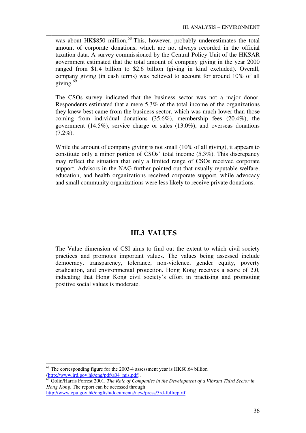was about HK\$850 million.<sup>68</sup> This, however, probably underestimates the total amount of corporate donations, which are not always recorded in the official taxation data. A survey commissioned by the Central Policy Unit of the HKSAR government estimated that the total amount of company giving in the year 2000 ranged from \$1.4 billion to \$2.6 billion (giving in kind excluded). Overall, company giving (in cash terms) was believed to account for around 10% of all giving. $69$ 

\_\_\_\_\_\_\_\_\_\_\_\_\_\_\_\_\_\_\_\_\_\_\_\_\_\_\_\_\_\_\_\_\_\_\_\_\_\_\_\_\_\_\_\_\_\_\_\_\_\_\_\_\_\_\_\_\_\_\_\_\_\_\_\_\_\_\_\_\_\_\_\_\_\_\_\_\_\_\_\_\_\_\_

The CSOs survey indicated that the business sector was not a major donor. Respondents estimated that a mere 5.3% of the total income of the organizations they knew best came from the business sector, which was much lower than those coming from individual donations (35.6%), membership fees (20.4%), the government (14.5%), service charge or sales (13.0%), and overseas donations  $(7.2\%)$ .

While the amount of company giving is not small (10% of all giving), it appears to constitute only a minor portion of CSOs' total income (5.3%). This discrepancy may reflect the situation that only a limited range of CSOs received corporate support. Advisors in the NAG further pointed out that usually reputable welfare, education, and health organizations received corporate support, while advocacy and small community organizations were less likely to receive private donations.

# **III.3 VALUES**

The Value dimension of CSI aims to find out the extent to which civil society practices and promotes important values. The values being assessed include democracy, transparency, tolerance, non-violence, gender equity, poverty eradication, and environmental protection. Hong Kong receives a score of 2.0, indicating that Hong Kong civil society's effort in practising and promoting positive social values is moderate.

-

<sup>&</sup>lt;sup>68</sup> The corresponding figure for the 2003-4 assessment year is HK\$0.64 billion (http://www.ird.gov.hk/eng/pdf/a04\_mis.pdf).

 $\overline{69}$  Golin/Harris Forrest 2001. *The Role of Companies in the Development of a Vibrant Third Sector in Hong Kong*. The report can be accessed through: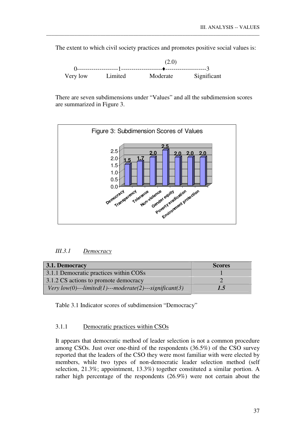The extent to which civil society practices and promotes positive social values is:

\_\_\_\_\_\_\_\_\_\_\_\_\_\_\_\_\_\_\_\_\_\_\_\_\_\_\_\_\_\_\_\_\_\_\_\_\_\_\_\_\_\_\_\_\_\_\_\_\_\_\_\_\_\_\_\_\_\_\_\_\_\_\_\_\_\_\_\_\_\_\_\_\_\_\_\_\_\_\_\_\_\_\_



There are seven subdimensions under "Values" and all the subdimension scores are summarized in Figure 3.



### *III.3.1 Democracy*

| 3.1. Democracy                                          | <b>Scores</b> |
|---------------------------------------------------------|---------------|
| 3.1.1 Democratic practices within COSs                  |               |
| 3.1.2 CS actions to promote democracy                   |               |
| Very low(0)---limited(1)---moderate(2)---significant(3) | 1.5           |

Table 3.1 Indicator scores of subdimension "Democracy"

### 3.1.1 Democratic practices within CSOs

It appears that democratic method of leader selection is not a common procedure among CSOs. Just over one-third of the respondents (36.5%) of the CSO survey reported that the leaders of the CSO they were most familiar with were elected by members, while two types of non-democratic leader selection method (self selection, 21.3%; appointment, 13.3%) together constituted a similar portion. A rather high percentage of the respondents (26.9%) were not certain about the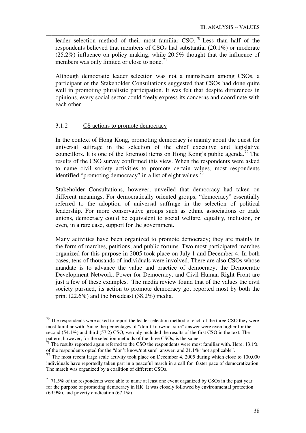leader selection method of their most familiar  $\text{CSO}$ .<sup>70</sup> Less than half of the respondents believed that members of CSOs had substantial (20.1%) or moderate (25.2%) influence on policy making, while 20.5% thought that the influence of members was only limited or close to none.<sup>71</sup>

\_\_\_\_\_\_\_\_\_\_\_\_\_\_\_\_\_\_\_\_\_\_\_\_\_\_\_\_\_\_\_\_\_\_\_\_\_\_\_\_\_\_\_\_\_\_\_\_\_\_\_\_\_\_\_\_\_\_\_\_\_\_\_\_\_\_\_\_\_\_\_\_\_\_\_\_\_\_\_\_\_\_\_

Although democratic leader selection was not a mainstream among CSOs, a participant of the Stakeholder Consultations suggested that CSOs had done quite well in promoting pluralistic participation. It was felt that despite differences in opinions, every social sector could freely express its concerns and coordinate with each other.

### 3.1.2 CS actions to promote democracy

<u>.</u>

In the context of Hong Kong, promoting democracy is mainly about the quest for universal suffrage in the selection of the chief executive and legislative councillors. It is one of the foremost items on Hong Kong's public agenda.<sup>72</sup> The results of the CSO survey confirmed this view. When the respondents were asked to name civil society activities to promote certain values, most respondents identified "promoting democracy" in a list of eight values.<sup>73</sup>

Stakeholder Consultations, however, unveiled that democracy had taken on different meanings. For democratically oriented groups, "democracy" essentially referred to the adoption of universal suffrage in the selection of political leadership. For more conservative groups such as ethnic associations or trade unions, democracy could be equivalent to social welfare, equality, inclusion, or even, in a rare case, support for the government.

Many activities have been organized to promote democracy; they are mainly in the form of marches, petitions, and public forums. Two most participated marches organized for this purpose in 2005 took place on July 1 and December 4. In both cases, tens of thousands of individuals were involved. There are also CSOs whose mandate is to advance the value and practice of democracy; the Democratic Development Network, Power for Democracy, and Civil Human Right Front are just a few of these examples. The media review found that of the values the civil society pursued, its action to promote democracy got reported most by both the print (22.6%) and the broadcast (38.2%) media.

 $70$  The respondents were asked to report the leader selection method of each of the three CSO they were most familiar with. Since the percentages of "don't know/not sure" answer were even higher for the second (54.1%) and third (57.2) CSO, we only included the results of the first CSO in the text. The pattern, however, for the selection methods of the three CSOs, is the same.

 $\frac{71}{1}$  The results reported again referred to the CSO the respondents were most familiar with. Here, 13.1% of the respondents opted for the "don't know/not sure" answer, and 21.1% "not applicable".

<sup>&</sup>lt;sup>72</sup> The most recent large scale activity took place on December 4, 2005 during which close to 100,000 individuals have reportedly taken part in a peaceful march in a call for faster pace of democratization. The march was organized by a coalition of different CSOs.

 $73$  71.5% of the respondents were able to name at least one event organized by CSOs in the past year for the purpose of promoting democracy in HK. It was closely followed by environmental protection  $(69.9\%)$ , and poverty eradication  $(67.1\%)$ .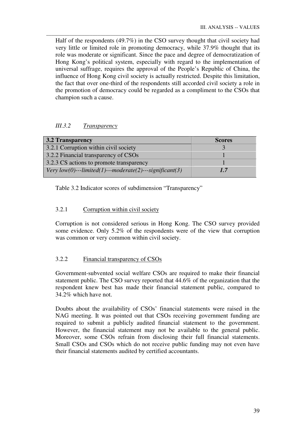Half of the respondents (49.7%) in the CSO survey thought that civil society had very little or limited role in promoting democracy, while 37.9% thought that its role was moderate or significant. Since the pace and degree of democratization of Hong Kong's political system, especially with regard to the implementation of universal suffrage, requires the approval of the People's Republic of China, the influence of Hong Kong civil society is actually restricted. Despite this limitation, the fact that over one-third of the respondents still accorded civil society a role in the promotion of democracy could be regarded as a compliment to the CSOs that champion such a cause.

\_\_\_\_\_\_\_\_\_\_\_\_\_\_\_\_\_\_\_\_\_\_\_\_\_\_\_\_\_\_\_\_\_\_\_\_\_\_\_\_\_\_\_\_\_\_\_\_\_\_\_\_\_\_\_\_\_\_\_\_\_\_\_\_\_\_\_\_\_\_\_\_\_\_\_\_\_\_\_\_\_\_\_

# *III.3.2 Transparency*

| <b>3.2 Transparency</b>                                 | <b>Scores</b> |
|---------------------------------------------------------|---------------|
| 3.2.1 Corruption within civil society                   |               |
| 3.2.2 Financial transparency of CSOs                    |               |
| 3.2.3 CS actions to promote transparency                |               |
| Very low(0)---limited(1)---moderate(2)---significant(3) | 17            |

Table 3.2 Indicator scores of subdimension "Transparency"

# 3.2.1 Corruption within civil society

Corruption is not considered serious in Hong Kong. The CSO survey provided some evidence. Only 5.2% of the respondents were of the view that corruption was common or very common within civil society.

# 3.2.2 Financial transparency of CSOs

Government-subvented social welfare CSOs are required to make their financial statement public. The CSO survey reported that 44.6% of the organization that the respondent knew best has made their financial statement public, compared to 34.2% which have not.

Doubts about the availability of CSOs' financial statements were raised in the NAG meeting. It was pointed out that CSOs receiving government funding are required to submit a publicly audited financial statement to the government. However, the financial statement may not be available to the general public. Moreover, some CSOs refrain from disclosing their full financial statements. Small CSOs and CSOs which do not receive public funding may not even have their financial statements audited by certified accountants.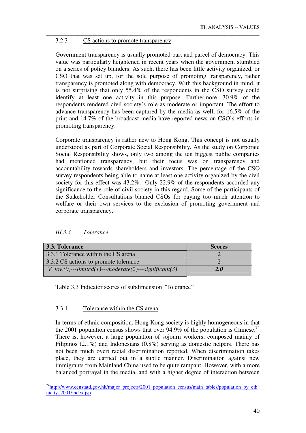### 3.2.3 CS actions to promote transparency

Government transparency is usually promoted part and parcel of democracy. This value was particularly heightened in recent years when the government stumbled on a series of policy blunders. As such, there has been little activity organized, or CSO that was set up, for the sole purpose of promoting transparency, rather transparency is promoted along with democracy. With this background in mind, it is not surprising that only 55.4% of the respondents in the CSO survey could identify at least one activity in this purpose. Furthermore, 30.9% of the respondents rendered civil society's role as moderate or important. The effort to advance transparency has been captured by the media as well, for 16.5% of the print and 14.7% of the broadcast media have reported news on CSO's efforts in promoting transparency.

\_\_\_\_\_\_\_\_\_\_\_\_\_\_\_\_\_\_\_\_\_\_\_\_\_\_\_\_\_\_\_\_\_\_\_\_\_\_\_\_\_\_\_\_\_\_\_\_\_\_\_\_\_\_\_\_\_\_\_\_\_\_\_\_\_\_\_\_\_\_\_\_\_\_\_\_\_\_\_\_\_\_\_

Corporate transparency is rather new to Hong Kong. This concept is not usually understood as part of Corporate Social Responsibility. As the study on Corporate Social Responsibility shows, only two among the ten biggest public companies had mentioned transparency, but their focus was on transparency and accountability towards shareholders and investors. The percentage of the CSO survey respondents being able to name at least one activity organized by the civil society for this effect was 43.2%. Only 22.9% of the respondents accorded any significance to the role of civil society in this regard. Some of the participants of the Stakeholder Consultations blamed CSOs for paying too much attention to welfare or their own services to the exclusion of promoting government and corporate transparency.

| 3.3. Tolerance                                           | <b>Scores</b> |
|----------------------------------------------------------|---------------|
| 3.3.1 Tolerance within the CS arena                      |               |
| 3.3.2 CS actions to promote tolerance                    |               |
| V. $low(0)$ ---limited(1)---moderate(2)---significant(3) | 2.0           |

#### *III.3.3 Tolerance*

-

Table 3.3 Indicator scores of subdimension "Tolerance"

## 3.3.1 Tolerance within the CS arena

In terms of ethnic composition, Hong Kong society is highly homogeneous in that the 2001 population census shows that over  $94.9\%$  of the population is Chinese.<sup>74</sup> There is, however, a large population of sojourn workers, composed mainly of Filipinos (2.1%) and Indonesians (0.8%) serving as domestic helpers. There has not been much overt racial discrimination reported. When discrimination takes place, they are carried out in a subtle manner. Discrimination against new immigrants from Mainland China used to be quite rampant. However, with a more balanced portrayal in the media, and with a higher degree of interaction between

<sup>&</sup>lt;sup>74</sup>http://www.censtatd.gov.hk/major\_projects/2001\_population\_census/main\_tables/population\_by\_eth nicity 2001/index.jsp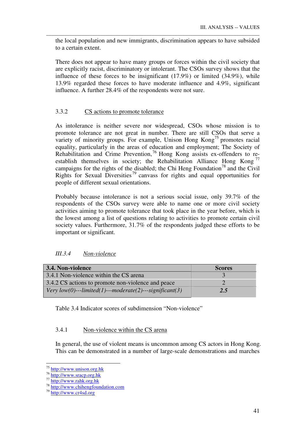the local population and new immigrants, discrimination appears to have subsided to a certain extent.

\_\_\_\_\_\_\_\_\_\_\_\_\_\_\_\_\_\_\_\_\_\_\_\_\_\_\_\_\_\_\_\_\_\_\_\_\_\_\_\_\_\_\_\_\_\_\_\_\_\_\_\_\_\_\_\_\_\_\_\_\_\_\_\_\_\_\_\_\_\_\_\_\_\_\_\_\_\_\_\_\_\_\_

There does not appear to have many groups or forces within the civil society that are explicitly racist, discriminatory or intolerant. The CSOs survey shows that the influence of these forces to be insignificant (17.9%) or limited (34.9%), while 13.9% regarded these forces to have moderate influence and 4.9%, significant influence. A further 28.4% of the respondents were not sure.

# 3.3.2 CS actions to promote tolerance

As intolerance is neither severe nor widespread, CSOs whose mission is to promote tolerance are not great in number. There are still CSOs that serve a variety of minority groups. For example, Unison Hong Kong<sup>75</sup> promotes racial equality, particularly in the areas of education and employment; The Society of Rehabilitation and Crime Prevention, <sup>76</sup> Hong Kong assists ex-offenders to reestablish themselves in society; the Rehabilitation Alliance Hong Kong<sup>77</sup> campaigns for the rights of the disabled; the Chi Heng Foundation<sup>78</sup> and the Civil Rights for Sexual Diversities<sup>79</sup> canvass for rights and equal opportunities for people of different sexual orientations.

Probably because intolerance is not a serious social issue, only 39.7% of the respondents of the CSOs survey were able to name one or more civil society activities aiming to promote tolerance that took place in the year before, which is the lowest among a list of questions relating to activities to promote certain civil society values. Furthermore, 31.7% of the respondents judged these efforts to be important or significant.

| III.3.4 | Non-violence |
|---------|--------------|
|         |              |

| 3.4. Non-violence                                               | <b>Scores</b> |  |
|-----------------------------------------------------------------|---------------|--|
| 3.4.1 Non-violence within the CS arena                          |               |  |
| 3.4.2 CS actions to promote non-violence and peace              |               |  |
| $\vert$ Very low(0)---limited(1)---moderate(2)---significant(3) | 2.5           |  |

Table 3.4 Indicator scores of subdimension "Non-violence"

### 3.4.1 Non-violence within the CS arena

In general, the use of violent means is uncommon among CS actors in Hong Kong. This can be demonstrated in a number of large-scale demonstrations and marches

<sup>-</sup><sup>75</sup> http://www.unison.org.hk

 $^{76}$  http://www.sracp.org.hk

<sup>77</sup> http://www.rahk.org.hk

<sup>78</sup> http://www.chihengfoundation.com

<sup>79</sup> http://www.cr4sd.org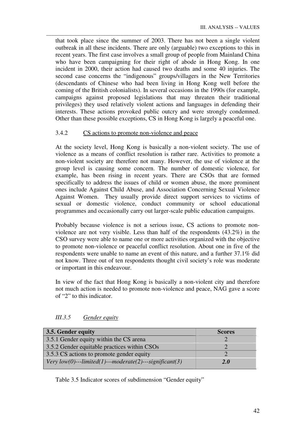that took place since the summer of 2003. There has not been a single violent outbreak in all these incidents. There are only (arguable) two exceptions to this in recent years. The first case involves a small group of people from Mainland China who have been campaigning for their right of abode in Hong Kong. In one incident in 2000, their action had caused two deaths and some 40 injuries. The second case concerns the "indigenous" groups/villagers in the New Territories (descendants of Chinese who had been living in Hong Kong well before the coming of the British colonialists). In several occasions in the 1990s (for example, campaigns against proposed legislations that may threaten their traditional privileges) they used relatively violent actions and languages in defending their interests. These actions provoked public outcry and were strongly condemned. Other than these possible exceptions, CS in Hong Kong is largely a peaceful one.

\_\_\_\_\_\_\_\_\_\_\_\_\_\_\_\_\_\_\_\_\_\_\_\_\_\_\_\_\_\_\_\_\_\_\_\_\_\_\_\_\_\_\_\_\_\_\_\_\_\_\_\_\_\_\_\_\_\_\_\_\_\_\_\_\_\_\_\_\_\_\_\_\_\_\_\_\_\_\_\_\_\_\_

### 3.4.2 CS actions to promote non-violence and peace

At the society level, Hong Kong is basically a non-violent society. The use of violence as a means of conflict resolution is rather rare. Activities to promote a non-violent society are therefore not many. However, the use of violence at the group level is causing some concern. The number of domestic violence, for example, has been rising in recent years. There are CSOs that are formed specifically to address the issues of child or women abuse, the more prominent ones include Against Child Abuse, and Association Concerning Sexual Violence Against Women. They usually provide direct support services to victims of sexual or domestic violence, conduct community or school educational programmes and occasionally carry out larger-scale public education campaigns.

Probably because violence is not a serious issue, CS actions to promote nonviolence are not very visible. Less than half of the respondents (43.2%) in the CSO survey were able to name one or more activities organized with the objective to promote non-violence or peaceful conflict resolution. About one in five of the respondents were unable to name an event of this nature, and a further 37.1% did not know. Three out of ten respondents thought civil society's role was moderate or important in this endeavour.

In view of the fact that Hong Kong is basically a non-violent city and therefore not much action is needed to promote non-violence and peace, NAG gave a score of "2" to this indicator.

| 3.5. Gender equity                                      | <b>Scores</b> |
|---------------------------------------------------------|---------------|
| 3.5.1 Gender equity within the CS arena                 |               |
| 3.5.2 Gender equitable practices within CSOs            |               |
| 3.5.3 CS actions to promote gender equity               |               |
| Very low(0)---limited(1)---moderate(2)---significant(3) | 2.0           |

# *III.3.5 Gender equity*

Table 3.5 Indicator scores of subdimension "Gender equity"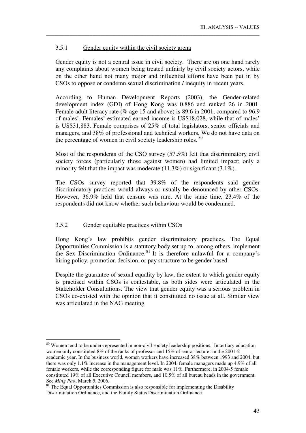### 3.5.1 Gender equity within the civil society arena

Gender equity is not a central issue in civil society. There are on one hand rarely any complaints about women being treated unfairly by civil society actors, while on the other hand not many major and influential efforts have been put in by CSOs to oppose or condemn sexual discrimination / inequity in recent years.

\_\_\_\_\_\_\_\_\_\_\_\_\_\_\_\_\_\_\_\_\_\_\_\_\_\_\_\_\_\_\_\_\_\_\_\_\_\_\_\_\_\_\_\_\_\_\_\_\_\_\_\_\_\_\_\_\_\_\_\_\_\_\_\_\_\_\_\_\_\_\_\_\_\_\_\_\_\_\_\_\_\_\_

According to Human Development Reports (2003), the Gender-related development index (GDI) of Hong Kong was 0.886 and ranked 26 in 2001. Female adult literacy rate (% age 15 and above) is 89.6 in 2001, compared to 96.9 of males'. Females' estimated earned income is US\$18,028, while that of males' is US\$31,883. Female comprises of 25% of total legislators, senior officials and managers, and 38% of professional and technical workers. We do not have data on the percentage of women in civil society leadership roles. 80

Most of the respondents of the CSO survey (57.5%) felt that discriminatory civil society forces (particularly those against women) had limited impact; only a minority felt that the impact was moderate  $(11.3\%)$  or significant  $(3.1\%)$ .

The CSOs survey reported that 39.8% of the respondents said gender discriminatory practices would always or usually be denounced by other CSOs. However, 36.9% held that censure was rare. At the same time, 23.4% of the respondents did not know whether such behaviour would be condemned.

### 3.5.2 Gender equitable practices within CSOs

<u>.</u>

Hong Kong's law prohibits gender discriminatory practices. The Equal Opportunities Commission is a statutory body set up to, among others, implement the Sex Discrimination Ordinance. <sup>81</sup> It is therefore unlawful for a company's hiring policy, promotion decision, or pay structure to be gender based.

Despite the guarantee of sexual equality by law, the extent to which gender equity is practised within CSOs is contestable, as both sides were articulated in the Stakeholder Consultations. The view that gender equity was a serious problem in CSOs co-existed with the opinion that it constituted no issue at all. Similar view was articulated in the NAG meeting.

<sup>&</sup>lt;sup>80</sup> Women tend to be under-represented in non-civil society leadership positions. In tertiary education women only constituted 8% of the ranks of professor and 15% of senior lecturer in the 2001-2 academic year. In the business world, women workers have increased 38% between 1993 and 2004, but there was only 1.1% increase in the management level. In 2004, female managers made up 4.9% of all female workers, while the corresponding figure for male was 11%. Furthermore, in 2004-5 female constituted 19% of all Executive Council members, and 10.5% of all bureau heads in the government. See *Ming Pao*, March 5, 2006.

<sup>&</sup>lt;sup>81</sup> The Equal Opportunities Commission is also responsible for implementing the Disability Discrimination Ordinance, and the Family Status Discrimination Ordinance.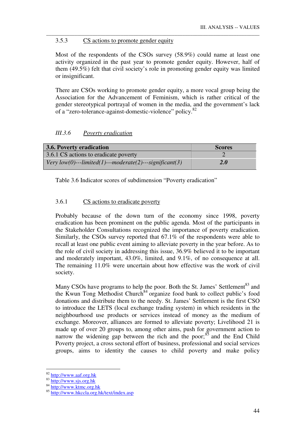### 3.5.3 CS actions to promote gender equity

Most of the respondents of the CSOs survey (58.9%) could name at least one activity organized in the past year to promote gender equity. However, half of them (49.5%) felt that civil society's role in promoting gender equity was limited or insignificant.

\_\_\_\_\_\_\_\_\_\_\_\_\_\_\_\_\_\_\_\_\_\_\_\_\_\_\_\_\_\_\_\_\_\_\_\_\_\_\_\_\_\_\_\_\_\_\_\_\_\_\_\_\_\_\_\_\_\_\_\_\_\_\_\_\_\_\_\_\_\_\_\_\_\_\_\_\_\_\_\_\_\_\_

There are CSOs working to promote gender equity, a more vocal group being the Association for the Advancement of Feminism, which is rather critical of the gender stereotypical portrayal of women in the media, and the government's lack of a "zero-tolerance-against-domestic-violence" policy.<sup>82</sup>

# *III.3.6 Poverty eradication*

| <b>3.6. Poverty eradication</b>                         | <b>Scores</b> |
|---------------------------------------------------------|---------------|
| 3.6.1 CS actions to eradicate poverty                   |               |
| Very low(0)---limited(1)---moderate(2)---significant(3) | <b>2.0</b>    |

Table 3.6 Indicator scores of subdimension "Poverty eradication"

# 3.6.1 CS actions to eradicate poverty

Probably because of the down turn of the economy since 1998, poverty eradication has been prominent on the public agenda. Most of the participants in the Stakeholder Consultations recognized the importance of poverty eradication. Similarly, the CSOs survey reported that 67.1% of the respondents were able to recall at least one public event aiming to alleviate poverty in the year before. As to the role of civil society in addressing this issue, 36.9% believed it to be important and moderately important, 43.0%, limited, and 9.1%, of no consequence at all. The remaining 11.0% were uncertain about how effective was the work of civil society.

Many CSOs have programs to help the poor. Both the St. James' Settlement<sup>83</sup> and the Kwun Tong Methodist Church<sup>84</sup> organize food bank to collect public's food donations and distribute them to the needy. St. James' Settlement is the first CSO to introduce the LETS (local exchange trading system) in which residents in the neighbourhood use products or services instead of money as the medium of exchange. Moreover, alliances are formed to alleviate poverty; Livelihood 21 is made up of over 20 groups to, among other aims, push for government action to narrow the widening gap between the rich and the poor; $85$  and the End Child Poverty project, a cross sectoral effort of business, professional and social services groups, aims to identity the causes to child poverty and make policy

<u>.</u>

<sup>82</sup> http://www.aaf.org.hk

<sup>83</sup> http://www.sjs.org.hk

<sup>84</sup> http://www.ktmc.org.hk

<sup>85</sup> http://www.hkccla.org.hk/text/index.asp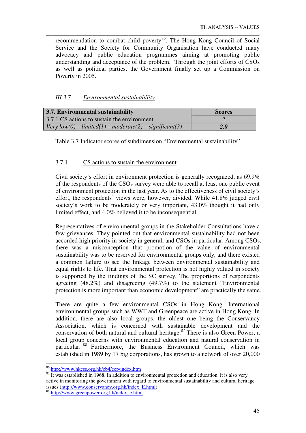recommendation to combat child poverty<sup>86</sup>. The Hong Kong Council of Social Service and the Society for Community Organisation have conducted many advocacy and public education programmes aiming at promoting public understanding and acceptance of the problem. Through the joint efforts of CSOs as well as political parties, the Government finally set up a Commission on Poverty in 2005.

\_\_\_\_\_\_\_\_\_\_\_\_\_\_\_\_\_\_\_\_\_\_\_\_\_\_\_\_\_\_\_\_\_\_\_\_\_\_\_\_\_\_\_\_\_\_\_\_\_\_\_\_\_\_\_\_\_\_\_\_\_\_\_\_\_\_\_\_\_\_\_\_\_\_\_\_\_\_\_\_\_\_\_

# *III.3.7 Environmental sustainability*

| 3.7. Environmental sustainability                               | <b>Scores</b> |  |
|-----------------------------------------------------------------|---------------|--|
| 3.7.1 CS actions to sustain the environment                     |               |  |
| $\vert$ Very low(0)---limited(1)---moderate(2)---significant(3) | <b>2.0</b>    |  |

Table 3.7 Indicator scores of subdimension "Environmental sustainability"

# 3.7.1 CS actions to sustain the environment

Civil society's effort in environment protection is generally recognized, as 69.9% of the respondents of the CSOs survey were able to recall at least one public event of environment protection in the last year. As to the effectiveness of civil society's effort, the respondents' views were, however, divided. While 41.8% judged civil society's work to be moderately or very important, 43.0% thought it had only limited effect, and 4.0% believed it to be inconsequential.

Representatives of environmental groups in the Stakeholder Consultations have a few grievances. They pointed out that environmental sustainability had not been accorded high priority in society in general, and CSOs in particular. Among CSOs, there was a misconception that promotion of the value of environmental sustainability was to be reserved for environmental groups only, and there existed a common failure to see the linkage between environmental sustainability and equal rights to life. That environmental protection is not highly valued in society is supported by the findings of the SC survey. The proportions of respondents agreeing (48.2%) and disagreeing (49.7%) to the statement "Environmental protection is more important than economic development" are practically the same.

There are quite a few environmental CSOs in Hong Kong. International environmental groups such as WWF and Greenpeace are active in Hong Kong. In addition, there are also local groups, the oldest one being the Conservancy Association, which is concerned with sustainable development and the conservation of both natural and cultural heritage.<sup>87</sup> There is also Green Power, a local group concerns with environmental education and natural conservation in particular. <sup>88</sup> Furthermore, the Business Environment Council, which was established in 1989 by 17 big corporations, has grown to a network of over 20,000

-

<sup>&</sup>lt;sup>86</sup> http://www.hkcss.org.hk/cb4/ecp/index.htm

 $\frac{87}{1}$  It was established in 1968. In addition to environmental protection and education, it is also very active in monitoring the government with regard to environmental sustainability and cultural heritage issues (http://www.conservancy.org.hk/index\_E.html).

<sup>88</sup> http://www.greenpower.org.hk/index\_e.html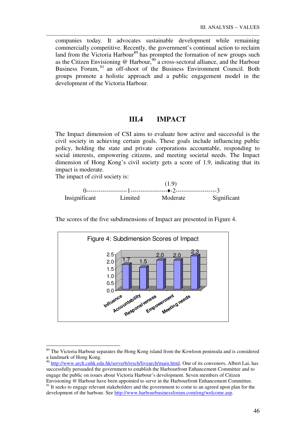companies today. It advocates sustainable development while remaining commercially competitive. Recently, the government's continual action to reclaim land from the Victoria Harbour<sup>89</sup> has prompted the formation of new groups such as the Citizen Envisioning  $\omega$  Harbour,<sup>90</sup> a cross-sectoral alliance, and the Harbour Business Forum, <sup>91</sup> an off-shoot of the Business Environment Council. Both groups promote a holistic approach and a public engagement model in the development of the Victoria Harbour.

\_\_\_\_\_\_\_\_\_\_\_\_\_\_\_\_\_\_\_\_\_\_\_\_\_\_\_\_\_\_\_\_\_\_\_\_\_\_\_\_\_\_\_\_\_\_\_\_\_\_\_\_\_\_\_\_\_\_\_\_\_\_\_\_\_\_\_\_\_\_\_\_\_\_\_\_\_\_\_\_\_\_\_

## **III.4 IMPACT**

The Impact dimension of CSI aims to evaluate how active and successful is the civil society in achieving certain goals. These goals include influencing public policy, holding the state and private corporations accountable, responding to social interests, empowering citizens, and meeting societal needs. The Impact dimension of Hong Kong's civil society gets a score of 1.9, indicating that its impact is moderate.

The impact of civil society is:

-



The scores of the five subdimensions of Impact are presented in Figure 4.



<sup>&</sup>lt;sup>89</sup> The Victoria Harbour separates the Hong Kong island from the Kowloon peninsula and is considered a landmark of Hong Kong.

<sup>90</sup> http://www.arch.cuhk.edu.hk/serverb/resch/livearch/main.html. One of its convenors, Albert Lai, has successfully persuaded the government to establish the Harbourfront Enhancement Committee and to engage the public on issues about Victoria Harbour's development. Seven members of Citizen Envisioning @ Harbour have been appointed to serve in the Harbourfront Enhancement Committee.

<sup>&</sup>lt;sup>91</sup> It seeks to engage relevant stakeholders and the government to come to an agreed upon plan for the development of the harbour. See http://www.harbourbusinessforum.com/eng/welcome.asp.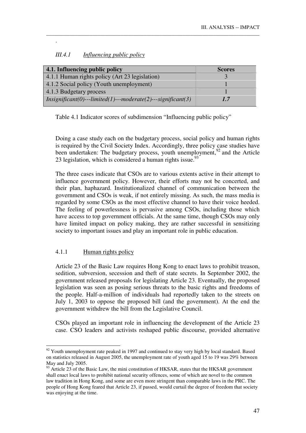| III.4.1 | Influencing public policy |  |
|---------|---------------------------|--|
|         |                           |  |

.

| 4.1. Influencing public policy                                      | <b>Scores</b> |
|---------------------------------------------------------------------|---------------|
| 4.1.1 Human rights policy (Art 23 legislation)                      |               |
| 4.1.2 Social policy (Youth unemployment)                            |               |
| 4.1.3 Budgetary process                                             |               |
| $\mid$ Insignificant(0)---limited(1)---moderate(2)---significant(3) | 1.7           |

\_\_\_\_\_\_\_\_\_\_\_\_\_\_\_\_\_\_\_\_\_\_\_\_\_\_\_\_\_\_\_\_\_\_\_\_\_\_\_\_\_\_\_\_\_\_\_\_\_\_\_\_\_\_\_\_\_\_\_\_\_\_\_\_\_\_\_\_\_\_\_\_\_\_\_\_\_\_\_\_\_\_\_

Table 4.1 Indicator scores of subdimension "Influencing public policy"

Doing a case study each on the budgetary process, social policy and human rights is required by the Civil Society Index. Accordingly, three policy case studies have been undertaken: The budgetary process, youth unemployment,  $^{92}$  and the Article 23 legislation, which is considered a human rights issue.<sup>93</sup>

The three cases indicate that CSOs are to various extents active in their attempt to influence government policy. However, their efforts may not be concerted, and their plan, haphazard. Institutionalized channel of communication between the government and CSOs is weak, if not entirely missing. As such, the mass media is regarded by some CSOs as the most effective channel to have their voice heeded. The feeling of powerlessness is pervasive among CSOs, including those which have access to top government officials. At the same time, though CSOs may only have limited impact on policy making, they are rather successful in sensitizing society to important issues and play an important role in public education.

# 4.1.1 Human rights policy

-

Article 23 of the Basic Law requires Hong Kong to enact laws to prohibit treason, sedition, subversion, secession and theft of state secrets. In September 2002, the government released proposals for legislating Article 23. Eventually, the proposed legislation was seen as posing serious threats to the basic rights and freedoms of the people. Half-a-million of individuals had reportedly taken to the streets on July 1, 2003 to oppose the proposed bill (and the government). At the end the government withdrew the bill from the Legislative Council.

CSOs played an important role in influencing the development of the Article 23 case. CSO leaders and activists reshaped public discourse, provided alternative

 $92$  Youth unemployment rate peaked in 1997 and continued to stay very high by local standard. Based on statistics released in August 2005, the unemployment rate of youth aged 15 to 19 was 29% between May and July 2005.

<sup>&</sup>lt;sup>93</sup> Article 23 of the Basic Law, the mini constitution of HKSAR, states that the HKSAR government shall enact local laws to prohibit national security offences, some of which are novel to the common law tradition in Hong Kong, and some are even more stringent than comparable laws in the PRC. The people of Hong Kong feared that Article 23, if passed, would curtail the degree of freedom that society was enjoying at the time.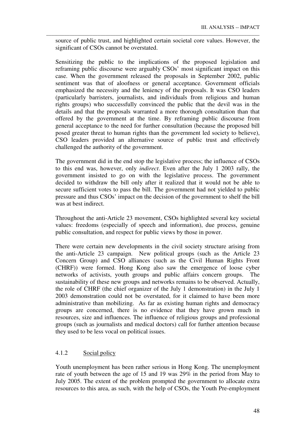source of public trust, and highlighted certain societal core values. However, the significant of CSOs cannot be overstated.

\_\_\_\_\_\_\_\_\_\_\_\_\_\_\_\_\_\_\_\_\_\_\_\_\_\_\_\_\_\_\_\_\_\_\_\_\_\_\_\_\_\_\_\_\_\_\_\_\_\_\_\_\_\_\_\_\_\_\_\_\_\_\_\_\_\_\_\_\_\_\_\_\_\_\_\_\_\_\_\_\_\_\_

Sensitizing the public to the implications of the proposed legislation and reframing public discourse were arguably CSOs' most significant impact on this case. When the government released the proposals in September 2002, public sentiment was that of aloofness or general acceptance. Government officials emphasized the necessity and the leniency of the proposals. It was CSO leaders (particularly barristers, journalists, and individuals from religious and human rights groups) who successfully convinced the public that the devil was in the details and that the proposals warranted a more thorough consultation than that offered by the government at the time. By reframing public discourse from general acceptance to the need for further consultation (because the proposed bill posed greater threat to human rights than the government led society to believe), CSO leaders provided an alternative source of public trust and effectively challenged the authority of the government.

The government did in the end stop the legislative process; the influence of CSOs to this end was, however, only *indirect*. Even after the July 1 2003 rally, the government insisted to go on with the legislative process. The government decided to withdraw the bill only after it realized that it would not be able to secure sufficient votes to pass the bill. The government had not yielded to public pressure and thus CSOs' impact on the decision of the government to shelf the bill was at best indirect.

Throughout the anti-Article 23 movement, CSOs highlighted several key societal values: freedoms (especially of speech and information), due process, genuine public consultation, and respect for public views by those in power.

There were certain new developments in the civil society structure arising from the anti-Article 23 campaign. New political groups (such as the Article 23 Concern Group) and CSO alliances (such as the Civil Human Rights Front (CHRF)) were formed. Hong Kong also saw the emergence of loose cyber networks of activists, youth groups and public affairs concern groups. The sustainability of these new groups and networks remains to be observed. Actually, the role of CHRF (the chief organizer of the July 1 demonstration) in the July 1 2003 demonstration could not be overstated, for it claimed to have been more administrative than mobilizing. As far as existing human rights and democracy groups are concerned, there is no evidence that they have grown much in resources, size and influences. The influence of religious groups and professional groups (such as journalists and medical doctors) call for further attention because they used to be less vocal on political issues.

# 4.1.2 Social policy

Youth unemployment has been rather serious in Hong Kong. The unemployment rate of youth between the age of 15 and 19 was 29% in the period from May to July 2005. The extent of the problem prompted the government to allocate extra resources to this area, as such, with the help of CSOs, the Youth Pre-employment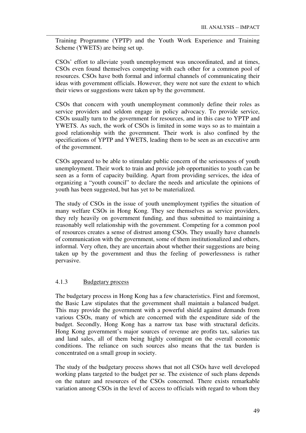Training Programme (YPTP) and the Youth Work Experience and Training Scheme (YWETS) are being set up.

\_\_\_\_\_\_\_\_\_\_\_\_\_\_\_\_\_\_\_\_\_\_\_\_\_\_\_\_\_\_\_\_\_\_\_\_\_\_\_\_\_\_\_\_\_\_\_\_\_\_\_\_\_\_\_\_\_\_\_\_\_\_\_\_\_\_\_\_\_\_\_\_\_\_\_\_\_\_\_\_\_\_\_

CSOs' effort to alleviate youth unemployment was uncoordinated, and at times, CSOs even found themselves competing with each other for a common pool of resources. CSOs have both formal and informal channels of communicating their ideas with government officials. However, they were not sure the extent to which their views or suggestions were taken up by the government.

CSOs that concern with youth unemployment commonly define their roles as service providers and seldom engage in policy advocacy. To provide service, CSOs usually turn to the government for resources, and in this case to YPTP and YWETS. As such, the work of CSOs is limited in some ways so as to maintain a good relationship with the government. Their work is also confined by the specifications of YPTP and YWETS, leading them to be seen as an executive arm of the government.

CSOs appeared to be able to stimulate public concern of the seriousness of youth unemployment. Their work to train and provide job opportunities to youth can be seen as a form of capacity building. Apart from providing services, the idea of organizing a "youth council" to declare the needs and articulate the opinions of youth has been suggested, but has yet to be materialized.

The study of CSOs in the issue of youth unemployment typifies the situation of many welfare CSOs in Hong Kong. They see themselves as service providers, they rely heavily on government funding, and thus submitted to maintaining a reasonably well relationship with the government. Competing for a common pool of resources creates a sense of distrust among CSOs. They usually have channels of communication with the government, some of them institutionalized and others, informal. Very often, they are uncertain about whether their suggestions are being taken up by the government and thus the feeling of powerlessness is rather pervasive.

### 4.1.3 Budgetary process

The budgetary process in Hong Kong has a few characteristics. First and foremost, the Basic Law stipulates that the government shall maintain a balanced budget. This may provide the government with a powerful shield against demands from various CSOs, many of which are concerned with the expenditure side of the budget. Secondly, Hong Kong has a narrow tax base with structural deficits. Hong Kong government's major sources of revenue are profits tax, salaries tax and land sales, all of them being highly contingent on the overall economic conditions. The reliance on such sources also means that the tax burden is concentrated on a small group in society.

The study of the budgetary process shows that not all CSOs have well developed working plans targeted to the budget per se. The existence of such plans depends on the nature and resources of the CSOs concerned. There exists remarkable variation among CSOs in the level of access to officials with regard to whom they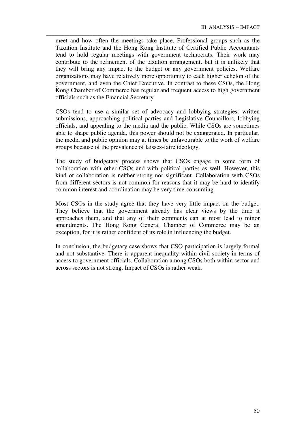meet and how often the meetings take place. Professional groups such as the Taxation Institute and the Hong Kong Institute of Certified Public Accountants tend to hold regular meetings with government technocrats. Their work may contribute to the refinement of the taxation arrangement, but it is unlikely that they will bring any impact to the budget or any government policies. Welfare organizations may have relatively more opportunity to each higher echelon of the government, and even the Chief Executive. In contrast to these CSOs, the Hong Kong Chamber of Commerce has regular and frequent access to high government officials such as the Financial Secretary.

\_\_\_\_\_\_\_\_\_\_\_\_\_\_\_\_\_\_\_\_\_\_\_\_\_\_\_\_\_\_\_\_\_\_\_\_\_\_\_\_\_\_\_\_\_\_\_\_\_\_\_\_\_\_\_\_\_\_\_\_\_\_\_\_\_\_\_\_\_\_\_\_\_\_\_\_\_\_\_\_\_\_\_

CSOs tend to use a similar set of advocacy and lobbying strategies: written submissions, approaching political parties and Legislative Councillors, lobbying officials, and appealing to the media and the public. While CSOs are sometimes able to shape public agenda, this power should not be exaggerated. In particular, the media and public opinion may at times be unfavourable to the work of welfare groups because of the prevalence of laissez-faire ideology.

The study of budgetary process shows that CSOs engage in some form of collaboration with other CSOs and with political parties as well. However, this kind of collaboration is neither strong nor significant. Collaboration with CSOs from different sectors is not common for reasons that it may be hard to identify common interest and coordination may be very time-consuming.

Most CSOs in the study agree that they have very little impact on the budget. They believe that the government already has clear views by the time it approaches them, and that any of their comments can at most lead to minor amendments. The Hong Kong General Chamber of Commerce may be an exception, for it is rather confident of its role in influencing the budget.

In conclusion, the budgetary case shows that CSO participation is largely formal and not substantive. There is apparent inequality within civil society in terms of access to government officials. Collaboration among CSOs both within sector and across sectors is not strong. Impact of CSOs is rather weak.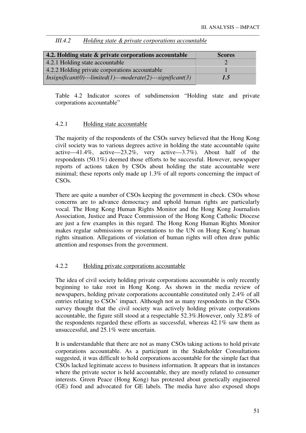| 4.2. Holding state & private corporations accountable          | <b>Scores</b> |
|----------------------------------------------------------------|---------------|
| 4.2.1 Holding state accountable                                |               |
| 4.2.2 Holding private corporations accountable                 |               |
| $Insignificant(0)$ --limited(1)---moderate(2)---significant(3) | 1.5           |

\_\_\_\_\_\_\_\_\_\_\_\_\_\_\_\_\_\_\_\_\_\_\_\_\_\_\_\_\_\_\_\_\_\_\_\_\_\_\_\_\_\_\_\_\_\_\_\_\_\_\_\_\_\_\_\_\_\_\_\_\_\_\_\_\_\_\_\_\_\_\_\_\_\_\_\_\_\_\_\_\_\_\_

#### *III.4.2 Holding state & private corporations accountable*

Table 4.2 Indicator scores of subdimension "Holding state and private corporations accountable"

# 4.2.1 Holding state accountable

The majority of the respondents of the CSOs survey believed that the Hong Kong civil society was to various degrees active in holding the state accountable (quite active—41.4%, active—23.2%, very active—3.7%). About half of the respondents (50.1%) deemed those efforts to be successful. However, newspaper reports of actions taken by CSOs about holding the state accountable were minimal; these reports only made up 1.3% of all reports concerning the impact of CSOs.

There are quite a number of CSOs keeping the government in check. CSOs whose concerns are to advance democracy and uphold human rights are particularly vocal. The Hong Kong Human Rights Monitor and the Hong Kong Journalists Association, Justice and Peace Commission of the Hong Kong Catholic Diocese are just a few examples in this regard. The Hong Kong Human Rights Monitor makes regular submissions or presentations to the UN on Hong Kong's human rights situation. Allegations of violation of human rights will often draw public attention and responses from the government.

# 4.2.2 Holding private corporations accountable

The idea of civil society holding private corporations accountable is only recently beginning to take root in Hong Kong. As shown in the media review of newspapers, holding private corporations accountable constituted only 2.4% of all entries relating to CSOs' impact. Although not as many respondents in the CSOs survey thought that the civil society was actively holding private corporations accountable, the figure still stood at a respectable 52.3%.However, only 32.8% of the respondents regarded these efforts as successful, whereas 42.1% saw them as unsuccessful, and 25.1% were uncertain.

It is understandable that there are not as many CSOs taking actions to hold private corporations accountable. As a participant in the Stakeholder Consultations suggested, it was difficult to hold corporations accountable for the simple fact that CSOs lacked legitimate access to business information. It appears that in instances where the private sector is held accountable, they are mostly related to consumer interests. Green Peace (Hong Kong) has protested about genetically engineered (GE) food and advocated for GE labels. The media have also exposed shops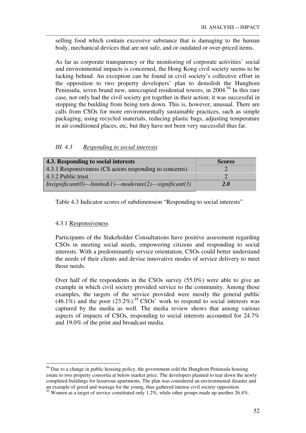selling food which contain excessive substance that is damaging to the human body, mechanical devices that are not safe, and or outdated or over-priced items.

\_\_\_\_\_\_\_\_\_\_\_\_\_\_\_\_\_\_\_\_\_\_\_\_\_\_\_\_\_\_\_\_\_\_\_\_\_\_\_\_\_\_\_\_\_\_\_\_\_\_\_\_\_\_\_\_\_\_\_\_\_\_\_\_\_\_\_\_\_\_\_\_\_\_\_\_\_\_\_\_\_\_\_

As far as corporate transparency or the monitoring of corporate activities' social and environmental impacts is concerned, the Hong Kong civil society seems to be lacking behind. An exception can be found in civil society's collective effort in the opposition to two property developers' plan to demolish the Hunghom Peninsula, seven brand new, unoccupied residential towers, in  $2004<sup>94</sup>$  In this rare case, not only had the civil society got together in their action; it was successful in stopping the building from being torn down. This is, however, unusual. There are calls from CSOs for more environmentally sustainable practices, such as simple packaging, using recycled materials, reducing plastic bags, adjusting temperature in air-conditioned places, etc, but they have not been very successful thus far.

### *III. 4.3 Responding to social interests*

| 4.3. Responding to social interests                                 | <b>Scores</b> |
|---------------------------------------------------------------------|---------------|
| 4.3.1 Responsiveness (CS actors responding to concerns)             |               |
| 4.3.2 Public trust                                                  |               |
| $\mid$ Insignificant(0)---limited(1)---moderate(2)---significant(3) | <b>2.0</b>    |

Table 4.3 Indicator scores of subdimension "Responding to social interests"

#### 4.3.1 Responsiveness

-

Participants of the Stakeholder Consultations have positive assessment regarding CSOs in meeting social needs, empowering citizens and responding to social interests. With a predominantly service orientation, CSOs could better understand the needs of their clients and devise innovative modes of service delivery to meet those needs.

Over half of the respondents in the CSOs survey (55.0%) were able to give an example in which civil society provided service to the community. Among those examples, the targets of the service provided were mostly the general public  $(46.1\%)$  and the poor  $(23.2\%)$ <sup>95</sup> CSOs' work to respond to social interests was captured by the media as well. The media review shows that among various aspects of impacts of CSOs, responding to social interests accounted for 24.7% and 19.0% of the print and broadcast media.

 $94$  Due to a change in public housing policy, the government sold the Hunghom Peninsula housing estate to two property consortia at below market price. The developers planned to tear down the newly completed buildings for luxurious apartments. The plan was considered an environmental disaster and an example of greed and wastage for the young, thus gathered intense civil society opposition.

<sup>&</sup>lt;sup>95</sup> Women as a target of service constituted only 1.2%, while other groups made up another 26.4%.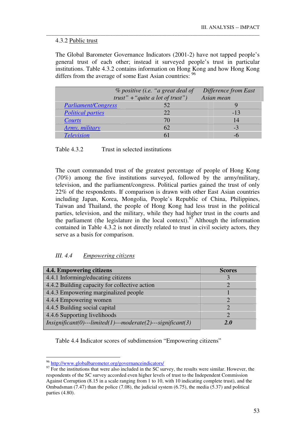### 4.3.2 Public trust

The Global Barometer Governance Indicators (2001-2) have not tapped people's general trust of each other; instead it surveyed people's trust in particular institutions. Table 4.3.2 contains information on Hong Kong and how Hong Kong differs from the average of some East Asian countries: <sup>96</sup>

\_\_\_\_\_\_\_\_\_\_\_\_\_\_\_\_\_\_\_\_\_\_\_\_\_\_\_\_\_\_\_\_\_\_\_\_\_\_\_\_\_\_\_\_\_\_\_\_\_\_\_\_\_\_\_\_\_\_\_\_\_\_\_\_\_\_\_\_\_\_\_\_\_\_\_\_\_\_\_\_\_\_\_

|                            | <i>% positive (i.e. "a great deal of</i><br>trust" + "quite a lot of trust") | Difference from East<br>Asian mean |
|----------------------------|------------------------------------------------------------------------------|------------------------------------|
| <b>Parliament/Congress</b> | 52                                                                           |                                    |
| <b>Political parties</b>   | 22.                                                                          | $-13$                              |
| Courts                     | 70                                                                           | 14                                 |
| Army, military             | 62                                                                           | -3                                 |
| <b>Television</b>          |                                                                              |                                    |

| Table 4.3.2 | Trust in selected institutions |
|-------------|--------------------------------|
|-------------|--------------------------------|

The court commanded trust of the greatest percentage of people of Hong Kong (70%) among the five institutions surveyed, followed by the army/military, television, and the parliament/congress. Political parties gained the trust of only 22% of the respondents. If comparison is drawn with other East Asian countries including Japan, Korea, Mongolia, People's Republic of China, Philippines, Taiwan and Thailand, the people of Hong Kong had less trust in the political parties, television, and the military, while they had higher trust in the courts and the parliament (the legislature in the local context).<sup>97</sup> Although the information contained in Table 4.3.2 is not directly related to trust in civil society actors, they serve as a basis for comparison.

# *III. 4.4 Empowering citizens*

| 4.4. Empowering citizens                                        | <b>Scores</b> |
|-----------------------------------------------------------------|---------------|
| 4.4.1 Informing/educating citizens                              |               |
| 4.4.2 Building capacity for collective action                   |               |
| 4.4.3 Empowering marginalized people                            |               |
| 4.4.4 Empowering women                                          |               |
| 4.4.5 Building social capital                                   |               |
| 4.4.6 Supporting livelihoods                                    |               |
| $Insignificant(0)$ ---limited(1)---moderate(2)---significant(3) | 2.0           |

Table 4.4 Indicator scores of subdimension "Empowering citizens"

<u>.</u>

<sup>&</sup>lt;sup>96</sup> http://www.globalbarometer.org/governanceindicators/

 $\frac{97}{2}$  For the institutions that were also included in the SC survey, the results were similar. However, the respondents of the SC survey accorded even higher levels of trust to the Independent Commission Against Corruption (8.15 in a scale ranging from 1 to 10, with 10 indicating complete trust), and the Ombudsman  $(7.47)$  than the police  $(7.08)$ , the judicial system  $(6.75)$ , the media  $(5.37)$  and political parties (4.80).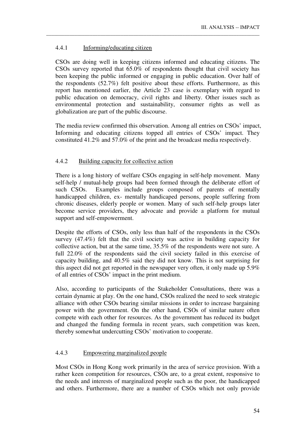### 4.4.1 Informing/educating citizen

CSOs are doing well in keeping citizens informed and educating citizens. The CSOs survey reported that 65.0% of respondents thought that civil society has been keeping the public informed or engaging in public education. Over half of the respondents (52.7%) felt positive about these efforts. Furthermore, as this report has mentioned earlier, the Article 23 case is exemplary with regard to public education on democracy, civil rights and liberty. Other issues such as environmental protection and sustainability, consumer rights as well as globalization are part of the public discourse.

\_\_\_\_\_\_\_\_\_\_\_\_\_\_\_\_\_\_\_\_\_\_\_\_\_\_\_\_\_\_\_\_\_\_\_\_\_\_\_\_\_\_\_\_\_\_\_\_\_\_\_\_\_\_\_\_\_\_\_\_\_\_\_\_\_\_\_\_\_\_\_\_\_\_\_\_\_\_\_\_\_\_\_

The media review confirmed this observation. Among all entries on CSOs' impact, Informing and educating citizens topped all entries of CSOs' impact. They constituted 41.2% and 57.0% of the print and the broadcast media respectively.

# 4.4.2 Building capacity for collective action

There is a long history of welfare CSOs engaging in self-help movement. Many self-help / mutual-help groups had been formed through the deliberate effort of such CSOs. Examples include groups composed of parents of mentally handicapped children, ex- mentally handicaped persons, people suffering from chronic diseases, elderly people or women. Many of such self-help groups later become service providers, they advocate and provide a platform for mutual support and self-empowerment.

Despite the efforts of CSOs, only less than half of the respondents in the CSOs survey (47.4%) felt that the civil society was active in building capacity for collective action, but at the same time, 35.5% of the respondents were not sure. A full 22.0% of the respondents said the civil society failed in this exercise of capacity building, and 40.5% said they did not know. This is not surprising for this aspect did not get reported in the newspaper very often, it only made up 5.9% of all entries of CSOs' impact in the print medium.

Also, according to participants of the Stakeholder Consultations, there was a certain dynamic at play. On the one hand, CSOs realized the need to seek strategic alliance with other CSOs bearing similar missions in order to increase bargaining power with the government. On the other hand, CSOs of similar nature often compete with each other for resources. As the government has reduced its budget and changed the funding formula in recent years, such competition was keen, thereby somewhat undercutting CSOs' motivation to cooperate.

### 4.4.3 Empowering marginalized people

Most CSOs in Hong Kong work primarily in the area of service provision. With a rather keen competition for resources, CSOs are, to a great extent, responsive to the needs and interests of marginalized people such as the poor, the handicapped and others. Furthermore, there are a number of CSOs which not only provide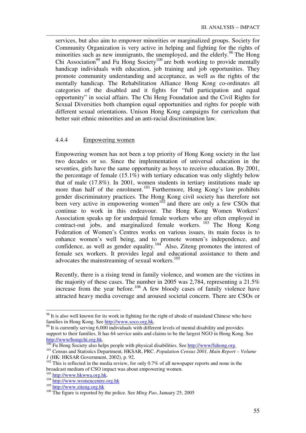services, but also aim to empower minorities or marginalized groups. Society for Community Organization is very active in helping and fighting for the rights of minorities such as new immigrants, the unemployed, and the elderly.<sup>98</sup> The Hong Chi Association<sup>99</sup> and Fu Hong Society<sup>100</sup> are both working to provide mentally handicap individuals with education, job training and job opportunities. They promote community understanding and acceptance, as well as the rights of the mentally handicap. The Rehabilitation Alliance Hong Kong co-ordinates all categories of the disabled and it fights for "full participation and equal opportunity" in social affairs. The Chi Heng Foundation and the Civil Rights for Sexual Diversities both champion equal opportunities and rights for people with different sexual orientations. Unison Hong Kong campaigns for curriculum that better suit ethnic minorities and an anti-racial discrimination law.

\_\_\_\_\_\_\_\_\_\_\_\_\_\_\_\_\_\_\_\_\_\_\_\_\_\_\_\_\_\_\_\_\_\_\_\_\_\_\_\_\_\_\_\_\_\_\_\_\_\_\_\_\_\_\_\_\_\_\_\_\_\_\_\_\_\_\_\_\_\_\_\_\_\_\_\_\_\_\_\_\_\_\_

### 4.4.4 Empowering women

Empowering women has not been a top priority of Hong Kong society in the last two decades or so. Since the implementation of universal education in the seventies, girls have the same opportunity as boys to receive education. By 2001, the percentage of female (15.1%) with tertiary education was only slightly below that of male (17.8%). In 2001, women students in tertiary institutions made up more than half of the enrolment.<sup>101</sup> Furthermore, Hong Kong's law prohibits gender discriminatory practices. The Hong Kong civil society has therefore not been very active in empowering women<sup>102</sup> and there are only a few CSOs that continue to work in this endeavour. The Hong Kong Women Workers' Association speaks up for underpaid female workers who are often employed in contract-out jobs, and marginalized female workers.  $^{103}$  The Hong Kong Federation of Women's Centres works on various issues, its main focus is to enhance women's well being, and to promote women's independence, and confidence, as well as gender equality.<sup>104</sup> Also, Ziteng promotes the interest of female sex workers. It provides legal and educational assistance to them and advocates the mainstreaming of sexual workers.<sup>105</sup>

Recently, there is a rising trend in family violence, and women are the victims in the majority of these cases. The number in 2005 was 2,784, representing a 21.5% increase from the year before.<sup>106</sup> A few bloody cases of family violence have attracted heavy media coverage and aroused societal concern. There are CSOs or

-

<sup>&</sup>lt;sup>98</sup> It is also well known for its work in fighting for the right of abode of mainland Chinese who have families in Hong Kong. See http://www.soco.org.hk.

 $^{99}$  It is currently serving 6,000 individuals with different levels of mental disability and provides support to their families. It has 64 service units and claims to be the largest NGO in Hong Kong. See http://www/hongchi.org.hk.

<sup>&</sup>lt;sup>100</sup> Fu Hong Society also helps people with physical disabilities. See http://www/fuhong.org.

<sup>101</sup> Census and Statistics Department, HKSAR, PRC. *Population Census 2001, Main Report – Volume 1* (HK: HKSAR Government, 2002), p. 92.

 $102$  This is reflected in the media review, for only 0.7% of all newspaper reports and none in the broadcast medium of CSO impact was about empowering women.

<sup>103</sup> http://www.hkwwa.org.hk.

<sup>104</sup> http://www.womencentre.org.hk

<sup>105</sup> http://www.ziteng.org.hk

<sup>106</sup> The figure is reported by the police. See *Ming Pao*, January 25, 2005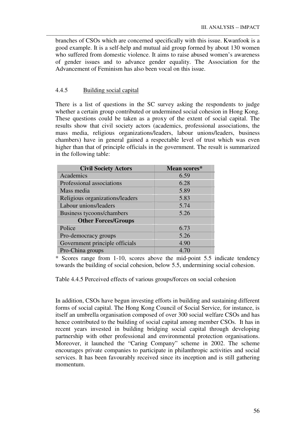branches of CSOs which are concerned specifically with this issue. Kwanfook is a good example. It is a self-help and mutual aid group formed by about 130 women who suffered from domestic violence. It aims to raise abused women's awareness of gender issues and to advance gender equality. The Association for the Advancement of Feminism has also been vocal on this issue.

\_\_\_\_\_\_\_\_\_\_\_\_\_\_\_\_\_\_\_\_\_\_\_\_\_\_\_\_\_\_\_\_\_\_\_\_\_\_\_\_\_\_\_\_\_\_\_\_\_\_\_\_\_\_\_\_\_\_\_\_\_\_\_\_\_\_\_\_\_\_\_\_\_\_\_\_\_\_\_\_\_\_\_

# 4.4.5 Building social capital

There is a list of questions in the SC survey asking the respondents to judge whether a certain group contributed or undermined social cohesion in Hong Kong. These questions could be taken as a proxy of the extent of social capital. The results show that civil society actors (academics, professional associations, the mass media, religious organizations/leaders, labour unions/leaders, business chambers) have in general gained a respectable level of trust which was even higher than that of principle officials in the government. The result is summarized in the following table:

| <b>Civil Society Actors</b>     | Mean scores* |
|---------------------------------|--------------|
| Academics                       | 6.59         |
| Professional associations       | 6.28         |
| Mass media                      | 5.89         |
| Religious organizations/leaders | 5.83         |
| Labour unions/leaders           | 5.74         |
| Business tycoons/chambers       | 5.26         |
| <b>Other Forces/Groups</b>      |              |
| Police                          | 6.73         |
| Pro-democracy groups            | 5.26         |
| Government principle officials  | 4.90         |
| Pro-China groups                | 4.70         |

\* Scores range from 1-10, scores above the mid-point 5.5 indicate tendency towards the building of social cohesion, below 5.5, undermining social cohesion.

Table 4.4.5 Perceived effects of various groups/forces on social cohesion

In addition, CSOs have begun investing efforts in building and sustaining different forms of social capital. The Hong Kong Council of Social Service, for instance, is itself an umbrella organisation composed of over 300 social welfare CSOs and has hence contributed to the building of social capital among member CSOs. It has in recent years invested in building bridging social capital through developing partnership with other professional and environmental protection organisations. Moreover, it launched the "Caring Company" scheme in 2002. The scheme encourages private companies to participate in philanthropic activities and social services. It has been favourably received since its inception and is still gathering momentum.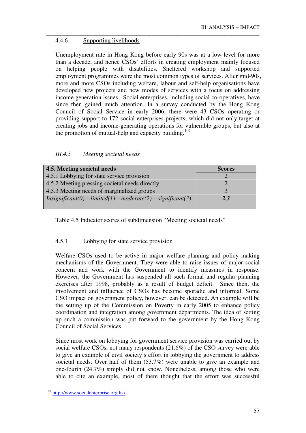# 4.4.6 Supporting livelihoods

Unemployment rate in Hong Kong before early 90s was at a low level for more than a decade, and hence CSOs' efforts in creating employment mainly focused on helping people with disabilities. Sheltered workshop and supported employment programmes were the most common types of services. After mid-90s, more and more CSOs including welfare, labour and self-help organisations have developed new projects and new modes of services with a focus on addressing income generation issues. Social enterprises, including social co-operatives, have since then gained much attention. In a survey conducted by the Hong Kong Council of Social Service in early 2006, there were 43 CSOs operating or providing support to 172 social enterprises projects, which did not only target at creating jobs and income-generating operations for vulnerable groups, but also at the promotion of mutual-help and capacity building.<sup>107</sup>

\_\_\_\_\_\_\_\_\_\_\_\_\_\_\_\_\_\_\_\_\_\_\_\_\_\_\_\_\_\_\_\_\_\_\_\_\_\_\_\_\_\_\_\_\_\_\_\_\_\_\_\_\_\_\_\_\_\_\_\_\_\_\_\_\_\_\_\_\_\_\_\_\_\_\_\_\_\_\_\_\_\_\_

# *III.4.5 Meeting societal needs*

| 4.5. Meeting societal needs                                        | <b>Scores</b> |
|--------------------------------------------------------------------|---------------|
| 4.5.1 Lobbying for state service provision                         |               |
| 4.5.2 Meeting pressing societal needs directly                     |               |
| 4.5.3 Meeting needs of marginalized groups                         |               |
| $In significant(0) -- limited(1) -- moderate(2) -- significant(3)$ | 2.3           |

Table 4.5 Indicator scores of subdimension "Meeting societal needs"

# 4.5.1 Lobbying for state service provision

Welfare CSOs used to be active in major welfare planning and policy making mechanisms of the Government. They were able to raise issues of major social concern and work with the Government to identify measures in response. However, the Government has suspended all such formal and regular planning exercises after 1998, probably as a result of budget deficit. Since then, the involvement and influence of CSOs has become sporadic and informal. Some CSO impact on government policy, however, can be detected. An example will be the setting up of the Commission on Poverty in early 2005 to enhance policy coordination and integration among government departments. The idea of setting up such a commission was put forward to the government by the Hong Kong Council of Social Services.

Since most work on lobbying for government service provision was carried out by social welfare CSOs, not many respondents (21.6%) of the CSO survey were able to give an example of civil society's effort in lobbying the government to address societal needs. Over half of them (53.7%) were unable to give an example and one-fourth (24.7%) simply did not know. Nonetheless, among those who were able to cite an example, most of them thought that the effort was successful

<sup>&</sup>lt;u>.</u> <sup>107</sup> http://www.socialenterprise.org.hk/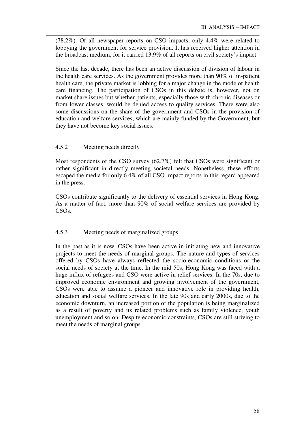(78.2%). Of all newspaper reports on CSO impacts, only 4.4% were related to lobbying the government for service provision. It has received higher attention in the broadcast medium, for it carried 13.9% of all reports on civil society's impact.

\_\_\_\_\_\_\_\_\_\_\_\_\_\_\_\_\_\_\_\_\_\_\_\_\_\_\_\_\_\_\_\_\_\_\_\_\_\_\_\_\_\_\_\_\_\_\_\_\_\_\_\_\_\_\_\_\_\_\_\_\_\_\_\_\_\_\_\_\_\_\_\_\_\_\_\_\_\_\_\_\_\_\_

Since the last decade, there has been an active discussion of division of labour in the health care services. As the government provides more than 90% of in-patient health care, the private market is lobbing for a major change in the mode of health care financing. The participation of CSOs in this debate is, however, not on market share issues but whether patients, especially those with chronic diseases or from lower classes, would be denied access to quality services. There were also some discussions on the share of the government and CSOs in the provision of education and welfare services, which are mainly funded by the Government, but they have not become key social issues.

# 4.5.2 Meeting needs directly

Most respondents of the CSO survey (62.7%) felt that CSOs were significant or rather significant in directly meeting societal needs. Nonetheless, these efforts escaped the media for only 6.4% of all CSO impact reports in this regard appeared in the press.

CSOs contribute significantly to the delivery of essential services in Hong Kong. As a matter of fact, more than 90% of social welfare services are provided by CSOs.

### 4.5.3 Meeting needs of marginalized groups

In the past as it is now, CSOs have been active in initiating new and innovative projects to meet the needs of marginal groups. The nature and types of services offered by CSOs have always reflected the socio-economic conditions or the social needs of society at the time. In the mid 50s, Hong Kong was faced with a huge influx of refugees and CSO were active in relief services. In the 70s, due to improved economic environment and growing involvement of the government, CSOs were able to assume a pioneer and innovative role in providing health, education and social welfare services. In the late 90s and early 2000s, due to the economic downturn, an increased portion of the population is being marginalized as a result of poverty and its related problems such as family violence, youth unemployment and so on. Despite economic constraints, CSOs are still striving to meet the needs of marginal groups.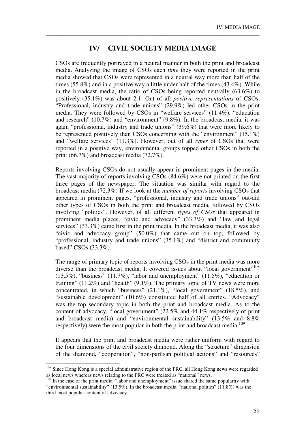# **IV/ CIVIL SOCIETY MEDIA IMAGE**

\_\_\_\_\_\_\_\_\_\_\_\_\_\_\_\_\_\_\_\_\_\_\_\_\_\_\_\_\_\_\_\_\_\_\_\_\_\_\_\_\_\_\_\_\_\_\_\_\_\_\_\_\_\_\_\_\_\_\_\_\_\_\_\_\_\_\_\_\_\_\_\_\_\_\_\_\_\_\_\_\_\_\_

CSOs are frequently portrayed in a neutral manner in both the print and broadcast media. Analyzing the image of CSOs each *time* they were reported in the print media showed that CSOs were represented in a neutral way more than half of the times (55.8%) and in a positive way a little under half of the times (43.4%). While in the broadcast media, the ratio of CSOs being reported neutrally (63.6%) to positively (35.1%) was about 2:1. Out of all *positive representations* of CSOs, "Professional, industry and trade unions" (29.9%) led other CSOs in the print media. They were followed by CSOs in "welfare services" (11.4%), "education and research" (10.7%) and "environment" (9.8%). In the broadcast media, it was again "professional, industry and trade unions" (39.6%) that were more likely to be represented positively than CSOs concerning with the "environment" (15.1%) and "welfare services" (11.3%). However, out of all *types* of CSOs that were reported in a positive way, environmental groups topped other CSOs in both the print (66.7%) and broadcast media (72.7%).

Reports involving CSOs do not usually appear in prominent pages in the media. The vast majority of reports involving CSOs (84.6%) were not printed on the first three pages of the newspaper. The situation was similar with regard to the broadcast media (72.3%) If we look at the *number of reports* involving CSOs that appeared in prominent pages, "professional, industry and trade unions" out-did other types of CSOs in both the print and broadcast media, followed by CSOs involving "politics". However, of all different *types of CSOs* that appeared in prominent media places, "civic and advocacy" (33.3%) and "law and legal services" (33.3%) came first in the print media. In the broadcast media, it was also "civic and advocacy group" (50.0%) that came out on top, followed by "professional, industry and trade unions" (35.1%) and "district and community based" CSOs (33.3%).

The range of primary topic of reports involving CSOs in the print media was more diverse than the broadcast media. It covered issues about "local government"<sup>108</sup>  $(13.5\%)$ , "business"  $(11.7\%)$ , "labor and unemployment"  $(11.5\%)$ , "education or training" (11.2%) and "health" (9.1%). The primary topic of TV news were more concentrated, in which "business" (21.1%), "local government" (18.5%), and "sustainable development" (10.6%) constituted half of all entries. "Advocacy" was the top secondary topic in both the print and broadcast media. As to the content of advocacy, "local government" (22.5% and 44.1% respectively of print and broadcast media) and "environmental sustainability" (13.5% and 8.8% respectively) were the most popular in both the print and broadcast media.<sup>109</sup>

It appears that the print and broadcast media were rather uniform with regard to the four dimensions of the civil society diamond. Along the "structure" dimension of the diamond, "cooperation", "non-partisan political actions" and "resources"

-

<sup>&</sup>lt;sup>108</sup> Since Hong Kong is a special administrative region of the PRC, all Hong Kong news were regarded as local news whereas news relating to the PRC were treated as "national" news.

<sup>&</sup>lt;sup>109</sup> In the case of the print media, "labor and unemployment" issue shared the same popularity with "environmental sustainability" (13.5%). In the broadcast media, "national politics" (11.8%) was the third most popular content of advocacy.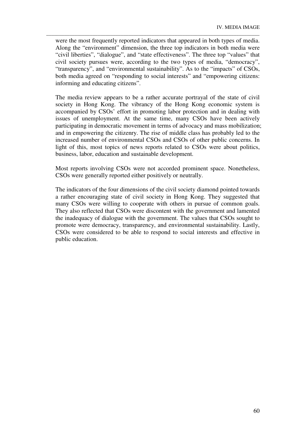were the most frequently reported indicators that appeared in both types of media. Along the "environment" dimension, the three top indicators in both media were "civil liberties", "dialogue", and "state effectiveness". The three top "values" that civil society pursues were, according to the two types of media, "democracy", "transparency", and "environmental sustainability". As to the "impacts" of CSOs, both media agreed on "responding to social interests" and "empowering citizens: informing and educating citizens".

\_\_\_\_\_\_\_\_\_\_\_\_\_\_\_\_\_\_\_\_\_\_\_\_\_\_\_\_\_\_\_\_\_\_\_\_\_\_\_\_\_\_\_\_\_\_\_\_\_\_\_\_\_\_\_\_\_\_\_\_\_\_\_\_\_\_\_\_\_\_\_\_\_\_\_\_\_\_\_\_\_\_\_

The media review appears to be a rather accurate portrayal of the state of civil society in Hong Kong. The vibrancy of the Hong Kong economic system is accompanied by CSOs' effort in promoting labor protection and in dealing with issues of unemployment. At the same time, many CSOs have been actively participating in democratic movement in terms of advocacy and mass mobilization; and in empowering the citizenry. The rise of middle class has probably led to the increased number of environmental CSOs and CSOs of other public concerns. In light of this, most topics of news reports related to CSOs were about politics, business, labor, education and sustainable development.

Most reports involving CSOs were not accorded prominent space. Nonetheless, CSOs were generally reported either positively or neutrally.

The indicators of the four dimensions of the civil society diamond pointed towards a rather encouraging state of civil society in Hong Kong. They suggested that many CSOs were willing to cooperate with others in pursue of common goals. They also reflected that CSOs were discontent with the government and lamented the inadequacy of dialogue with the government. The values that CSOs sought to promote were democracy, transparency, and environmental sustainability. Lastly, CSOs were considered to be able to respond to social interests and effective in public education.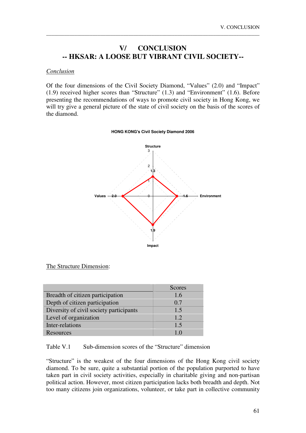# **V/ CONCLUSION -- HKSAR: A LOOSE BUT VIBRANT CIVIL SOCIETY--**

\_\_\_\_\_\_\_\_\_\_\_\_\_\_\_\_\_\_\_\_\_\_\_\_\_\_\_\_\_\_\_\_\_\_\_\_\_\_\_\_\_\_\_\_\_\_\_\_\_\_\_\_\_\_\_\_\_\_\_\_\_\_\_\_\_\_\_\_\_\_\_\_\_\_\_\_\_\_\_\_\_\_\_

#### *Conclusion*

Of the four dimensions of the Civil Society Diamond, "Values" (2.0) and "Impact" (1.9) received higher scores than "Structure" (1.3) and "Environment" (1.6). Before presenting the recommendations of ways to promote civil society in Hong Kong, we will try give a general picture of the state of civil society on the basis of the scores of the diamond.

#### **HONG KONG's Civil Society Diamond 2006**



#### The Structure Dimension:

|                                         | Scores |
|-----------------------------------------|--------|
| Breadth of citizen participation        | 1.6    |
| Depth of citizen participation          | 0.7    |
| Diversity of civil society participants | 1.5    |
| Level of organization                   | 1.2.   |
| Inter-relations                         | 1.5    |
| Resources                               |        |

### Table V.1 Sub-dimension scores of the "Structure" dimension

"Structure" is the weakest of the four dimensions of the Hong Kong civil society diamond. To be sure, quite a substantial portion of the population purported to have taken part in civil society activities, especially in charitable giving and non-partisan political action. However, most citizen participation lacks both breadth and depth. Not too many citizens join organizations, volunteer, or take part in collective community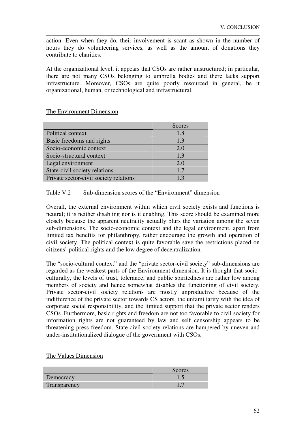action. Even when they do, their involvement is scant as shown in the number of hours they do volunteering services, as well as the amount of donations they contribute to charities.

\_\_\_\_\_\_\_\_\_\_\_\_\_\_\_\_\_\_\_\_\_\_\_\_\_\_\_\_\_\_\_\_\_\_\_\_\_\_\_\_\_\_\_\_\_\_\_\_\_\_\_\_\_\_\_\_\_\_\_\_\_\_\_\_\_\_\_\_\_\_\_\_\_\_\_\_\_\_\_\_\_\_\_

At the organizational level, it appears that CSOs are rather unstructured; in particular, there are not many CSOs belonging to umbrella bodies and there lacks support infrastructure. Moreover, CSOs are quite poorly resourced in general, be it organizational, human, or technological and infrastructural.

The Environment Dimension

|                                        | <b>Scores</b> |
|----------------------------------------|---------------|
| Political context                      | 1.8           |
| Basic freedoms and rights              | 1.3           |
| Socio-economic context                 | 2.0           |
| Socio-structural context               | 1.3           |
| Legal environment                      | 2.0           |
| State-civil society relations          | 1.7           |
| Private sector-civil society relations | 1.3           |

### Table V.2 Sub-dimension scores of the "Environment" dimension

Overall, the external environment within which civil society exists and functions is neutral; it is neither disabling nor is it enabling. This score should be examined more closely because the apparent neutrality actually blurs the variation among the seven sub-dimensions. The socio-economic context and the legal environment, apart from limited tax benefits for philanthropy, rather encourage the growth and operation of civil society. The political context is quite favorable save the restrictions placed on citizens' political rights and the low degree of decentralization.

The "socio-cultural context" and the "private sector-civil society" sub-dimensions are regarded as the weakest parts of the Environment dimension. It is thought that socioculturally, the levels of trust, tolerance, and public spiritedness are rather low among members of society and hence somewhat disables the functioning of civil society. Private sector-civil society relations are mostly unproductive because of the indifference of the private sector towards CS actors, the unfamiliarity with the idea of corporate social responsibility, and the limited support that the private sector renders CSOs. Furthermore, basic rights and freedom are not too favorable to civil society for information rights are not guaranteed by law and self censorship appears to be threatening press freedom. State-civil society relations are hampered by uneven and under-institutionalized dialogue of the government with CSOs.

|              | Scores <sup>7</sup> |
|--------------|---------------------|
| Democracy    |                     |
| Transparency |                     |

### The Values Dimension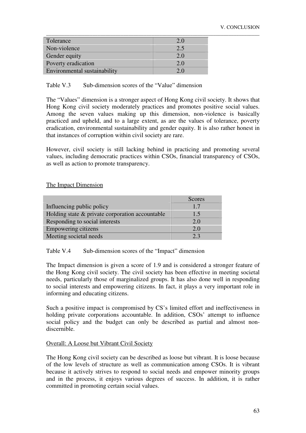| Tolerance                    | 2.0 |
|------------------------------|-----|
| Non-violence                 | 2.5 |
| Gender equity                | 2.0 |
| Poverty eradication          | 2.0 |
| Environmental sustainability |     |

Table V.3 Sub-dimension scores of the "Value" dimension

The "Values" dimension is a stronger aspect of Hong Kong civil society. It shows that Hong Kong civil society moderately practices and promotes positive social values. Among the seven values making up this dimension, non-violence is basically practiced and upheld, and to a large extent, as are the values of tolerance, poverty eradication, environmental sustainability and gender equity. It is also rather honest in that instances of corruption within civil society are rare.

However, civil society is still lacking behind in practicing and promoting several values, including democratic practices within CSOs, financial transparency of CSOs, as well as action to promote transparency.

The Impact Dimension

|                                                 | Scores |
|-------------------------------------------------|--------|
| Influencing public policy                       | 1.7    |
| Holding state & private corporation accountable | 1.5    |
| Responding to social interests                  | 2.0    |
| Empowering citizens                             | 2.0    |
| Meeting societal needs                          | 2.3    |

Table V.4 Sub-dimension scores of the "Impact" dimension

The Impact dimension is given a score of 1.9 and is considered a stronger feature of the Hong Kong civil society. The civil society has been effective in meeting societal needs, particularly those of marginalized groups. It has also done well in responding to social interests and empowering citizens. In fact, it plays a very important role in informing and educating citizens.

Such a positive impact is compromised by CS's limited effort and ineffectiveness in holding private corporations accountable. In addition, CSOs' attempt to influence social policy and the budget can only be described as partial and almost nondiscernible.

#### Overall: A Loose but Vibrant Civil Society

The Hong Kong civil society can be described as loose but vibrant. It is loose because of the low levels of structure as well as communication among CSOs. It is vibrant because it actively strives to respond to social needs and empower minority groups and in the process, it enjoys various degrees of success. In addition, it is rather committed in promoting certain social values.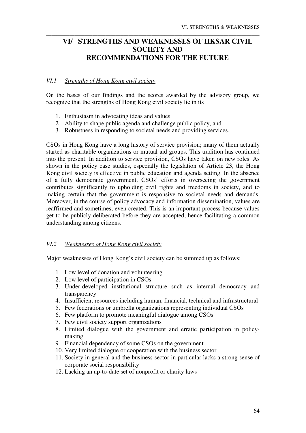# **VI/ STRENGTHS AND WEAKNESSES OF HKSAR CIVIL SOCIETY AND RECOMMENDATIONS FOR THE FUTURE**

\_\_\_\_\_\_\_\_\_\_\_\_\_\_\_\_\_\_\_\_\_\_\_\_\_\_\_\_\_\_\_\_\_\_\_\_\_\_\_\_\_\_\_\_\_\_\_\_\_\_\_\_\_\_\_\_\_\_\_\_\_\_\_\_\_\_\_\_\_\_\_\_\_\_\_\_\_\_\_\_\_\_\_

# *VI.1 Strengths of Hong Kong civil society*

On the bases of our findings and the scores awarded by the advisory group, we recognize that the strengths of Hong Kong civil society lie in its

- 1. Enthusiasm in advocating ideas and values
- 2. Ability to shape public agenda and challenge public policy, and
- 3. Robustness in responding to societal needs and providing services.

CSOs in Hong Kong have a long history of service provision; many of them actually started as charitable organizations or mutual aid groups. This tradition has continued into the present. In addition to service provision, CSOs have taken on new roles. As shown in the policy case studies, especially the legislation of Article 23, the Hong Kong civil society is effective in public education and agenda setting. In the absence of a fully democratic government, CSOs' efforts in overseeing the government contributes significantly to upholding civil rights and freedoms in society, and to making certain that the government is responsive to societal needs and demands. Moreover, in the course of policy advocacy and information dissemination, values are reaffirmed and sometimes, even created. This is an important process because values get to be publicly deliberated before they are accepted, hence facilitating a common understanding among citizens.

### *VI.2 Weaknesses of Hong Kong civil society*

Major weaknesses of Hong Kong's civil society can be summed up as follows:

- 1. Low level of donation and volunteering
- 2. Low level of participation in CSOs
- 3. Under-developed institutional structure such as internal democracy and transparency
- 4. Insufficient resources including human, financial, technical and infrastructural
- 5. Few federations or umbrella organizations representing individual CSOs
- 6. Few platform to promote meaningful dialogue among CSOs
- 7. Few civil society support organizations
- 8. Limited dialogue with the government and erratic participation in policymaking
- 9. Financial dependency of some CSOs on the government
- 10. Very limited dialogue or cooperation with the business sector
- 11. Society in general and the business sector in particular lacks a strong sense of corporate social responsibility
- 12. Lacking an up-to-date set of nonprofit or charity laws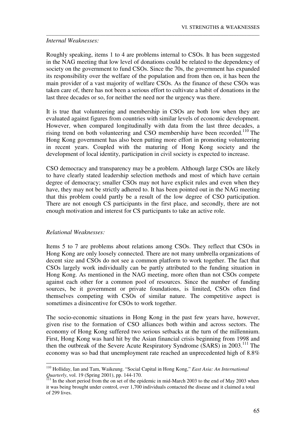### *Internal Weaknesses:*

Roughly speaking, items 1 to 4 are problems internal to CSOs. It has been suggested in the NAG meeting that low level of donations could be related to the dependency of society on the government to fund CSOs. Since the 70s, the government has expanded its responsibility over the welfare of the population and from then on, it has been the main provider of a vast majority of welfare CSOs. As the finance of these CSOs was taken care of, there has not been a serious effort to cultivate a habit of donations in the last three decades or so, for neither the need nor the urgency was there.

\_\_\_\_\_\_\_\_\_\_\_\_\_\_\_\_\_\_\_\_\_\_\_\_\_\_\_\_\_\_\_\_\_\_\_\_\_\_\_\_\_\_\_\_\_\_\_\_\_\_\_\_\_\_\_\_\_\_\_\_\_\_\_\_\_\_\_\_\_\_\_\_\_\_\_\_\_\_\_\_\_\_\_

It is true that volunteering and membership in CSOs are both low when they are evaluated against figures from countries with similar levels of economic development. However, when compared longitudinally with data from the last three decades, a rising trend on both volunteering and CSO membership have been recorded.<sup>110</sup> The Hong Kong government has also been putting more effort in promoting volunteering in recent years. Coupled with the maturing of Hong Kong society and the development of local identity, participation in civil society is expected to increase.

CSO democracy and transparency may be a problem. Although large CSOs are likely to have clearly stated leadership selection methods and most of which have certain degree of democracy; smaller CSOs may not have explicit rules and even when they have, they may not be strictly adhered to. It has been pointed out in the NAG meeting that this problem could partly be a result of the low degree of CSO participation. There are not enough CS participants in the first place, and secondly, there are not enough motivation and interest for CS participants to take an active role.

### *Relational Weaknesses:*

-

Items 5 to 7 are problems about relations among CSOs. They reflect that CSOs in Hong Kong are only loosely connected. There are not many umbrella organizations of decent size and CSOs do not see a common platform to work together. The fact that CSOs largely work individually can be partly attributed to the funding situation in Hong Kong. As mentioned in the NAG meeting, more often than not CSOs compete against each other for a common pool of resources. Since the number of funding sources, be it government or private foundations, is limited, CSOs often find themselves competing with CSOs of similar nature. The competitive aspect is sometimes a disincentive for CSOs to work together.

The socio-economic situations in Hong Kong in the past few years have, however, given rise to the formation of CSO alliances both within and across sectors. The economy of Hong Kong suffered two serious setbacks at the turn of the millennium. First, Hong Kong was hard hit by the Asian financial crisis beginning from 1998 and then the outbreak of the Severe Acute Respiratory Syndrome (SARS) in 2003.<sup>111</sup> The economy was so bad that unemployment rate reached an unprecedented high of 8.8%

<sup>110</sup> Holliday, Ian and Tam, Waikeung. "Social Capital in Hong Kong," *East Asia: An International Quarterly*, vol. 19 (Spring 2001), pp. 144-170.

<sup>&</sup>lt;sup>111</sup> In the short period from the on set of the epidemic in mid-March 2003 to the end of May 2003 when it was being brought under control, over 1,700 individuals contacted the disease and it claimed a total of 299 lives.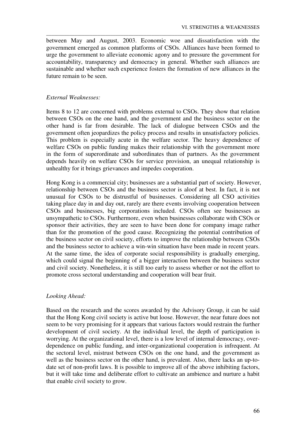between May and August, 2003. Economic woe and dissatisfaction with the government emerged as common platforms of CSOs. Alliances have been formed to urge the government to alleviate economic agony and to pressure the government for accountability, transparency and democracy in general. Whether such alliances are sustainable and whether such experience fosters the formation of new alliances in the future remain to be seen.

\_\_\_\_\_\_\_\_\_\_\_\_\_\_\_\_\_\_\_\_\_\_\_\_\_\_\_\_\_\_\_\_\_\_\_\_\_\_\_\_\_\_\_\_\_\_\_\_\_\_\_\_\_\_\_\_\_\_\_\_\_\_\_\_\_\_\_\_\_\_\_\_\_\_\_\_\_\_\_\_\_\_\_

## *External Weaknesses:*

Items 8 to 12 are concerned with problems external to CSOs. They show that relation between CSOs on the one hand, and the government and the business sector on the other hand is far from desirable. The lack of dialogue between CSOs and the government often jeopardizes the policy process and results in unsatisfactory policies. This problem is especially acute in the welfare sector. The heavy dependence of welfare CSOs on public funding makes their relationship with the government more in the form of superordinate and subordinates than of partners. As the government depends heavily on welfare CSOs for service provision, an unequal relationship is unhealthy for it brings grievances and impedes cooperation.

Hong Kong is a commercial city; businesses are a substantial part of society. However, relationship between CSOs and the business sector is aloof at best. In fact, it is not unusual for CSOs to be distrustful of businesses. Considering all CSO activities taking place day in and day out, rarely are there events involving cooperation between CSOs and businesses, big corporations included. CSOs often see businesses as unsympathetic to CSOs. Furthermore, even when businesses collaborate with CSOs or sponsor their activities, they are seen to have been done for company image rather than for the promotion of the good cause. Recognizing the potential contribution of the business sector on civil society, efforts to improve the relationship between CSOs and the business sector to achieve a win-win situation have been made in recent years. At the same time, the idea of corporate social responsibility is gradually emerging, which could signal the beginning of a bigger interaction between the business sector and civil society. Nonetheless, it is still too early to assess whether or not the effort to promote cross sectoral understanding and cooperation will bear fruit.

## *Looking Ahead:*

Based on the research and the scores awarded by the Advisory Group, it can be said that the Hong Kong civil society is active but loose. However, the near future does not seem to be very promising for it appears that various factors would restrain the further development of civil society. At the individual level, the depth of participation is worrying. At the organizational level, there is a low level of internal democracy, overdependence on public funding, and inter-organizational cooperation is infrequent. At the sectoral level, mistrust between CSOs on the one hand, and the government as well as the business sector on the other hand, is prevalent. Also, there lacks an up-todate set of non-profit laws. It is possible to improve all of the above inhibiting factors, but it will take time and deliberate effort to cultivate an ambience and nurture a habit that enable civil society to grow.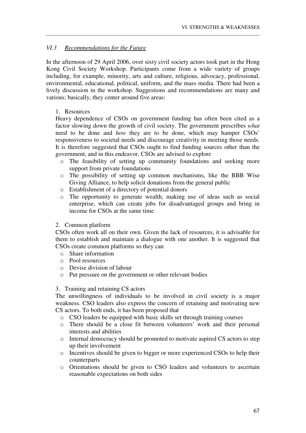## *VI.3 Recommendations for the Future*

In the afternoon of 29 April 2006, over sixty civil society actors took part in the Hong Kong Civil Society Workshop. Participants come from a wide variety of groups including, for example, minority, arts and culture, religious, advocacy, professional, environmental, educational, political, uniform, and the mass media. There had been a lively discussion in the workshop. Suggestions and recommendations are many and various; basically, they center around five areas:

\_\_\_\_\_\_\_\_\_\_\_\_\_\_\_\_\_\_\_\_\_\_\_\_\_\_\_\_\_\_\_\_\_\_\_\_\_\_\_\_\_\_\_\_\_\_\_\_\_\_\_\_\_\_\_\_\_\_\_\_\_\_\_\_\_\_\_\_\_\_\_\_\_\_\_\_\_\_\_\_\_\_\_

## 1. Resources

Heavy dependence of CSOs on government funding has often been cited as a factor slowing down the growth of civil society. The government prescribes *what* need to be done and *how* they are to be done, which may hamper CSOs' responsiveness to societal needs and discourage creativity in meeting those needs. It is therefore suggested that CSOs ought to find funding sources other than the government, and in this endeavor, CSOs are advised to explore

- o The feasibility of setting up community foundations and seeking more support from private foundations
- o The possibility of setting up common mechanisms, like the BBB Wise Giving Alliance, to help solicit donations from the general public
- o Establishment of a directory of potential donors
- o The opportunity to generate wealth, making use of ideas such as social enterprise, which can create jobs for disadvantaged groups and bring in income for CSOs at the same time

## 2. Common platform

CSOs often work all on their own. Given the lack of resources, it is advisable for them to establish and maintain a dialogue with one another. It is suggested that CSOs create common platforms so they can

- o Share information
- o Pool resources
- o Devise division of labour
- o Put pressure on the government or other relevant bodies

## 3. Training and retaining CS actors

The unwillingness of individuals to be involved in civil society is a major weakness. CSO leaders also express the concern of retaining and motivating new CS actors. To both ends, it has been proposed that

- o CSO leaders be equipped with basic skills set through training courses
- o There should be a close fit between volunteers' work and their personal interests and abilities
- o Internal democracy should be promoted to motivate aspired CS actors to step up their involvement
- o Incentives should be given to bigger or more experienced CSOs to help their counterparts
- o Orientations should be given to CSO leaders and volunteers to ascertain reasonable expectations on both sides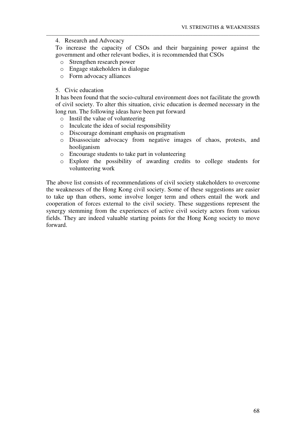4. Research and Advocacy

To increase the capacity of CSOs and their bargaining power against the government and other relevant bodies, it is recommended that CSOs

\_\_\_\_\_\_\_\_\_\_\_\_\_\_\_\_\_\_\_\_\_\_\_\_\_\_\_\_\_\_\_\_\_\_\_\_\_\_\_\_\_\_\_\_\_\_\_\_\_\_\_\_\_\_\_\_\_\_\_\_\_\_\_\_\_\_\_\_\_\_\_\_\_\_\_\_\_\_\_\_\_\_\_

- o Strengthen research power
- o Engage stakeholders in dialogue
- o Form advocacy alliances
- 5. Civic education

It has been found that the socio-cultural environment does not facilitate the growth of civil society. To alter this situation, civic education is deemed necessary in the long run. The following ideas have been put forward

- o Instil the value of volunteering
- o Inculcate the idea of social responsibility
- o Discourage dominant emphasis on pragmatism
- o Disassociate advocacy from negative images of chaos, protests, and hooliganism
- o Encourage students to take part in volunteering
- o Explore the possibility of awarding credits to college students for volunteering work

The above list consists of recommendations of civil society stakeholders to overcome the weaknesses of the Hong Kong civil society. Some of these suggestions are easier to take up than others, some involve longer term and others entail the work and cooperation of forces external to the civil society. These suggestions represent the synergy stemming from the experiences of active civil society actors from various fields. They are indeed valuable starting points for the Hong Kong society to move forward.